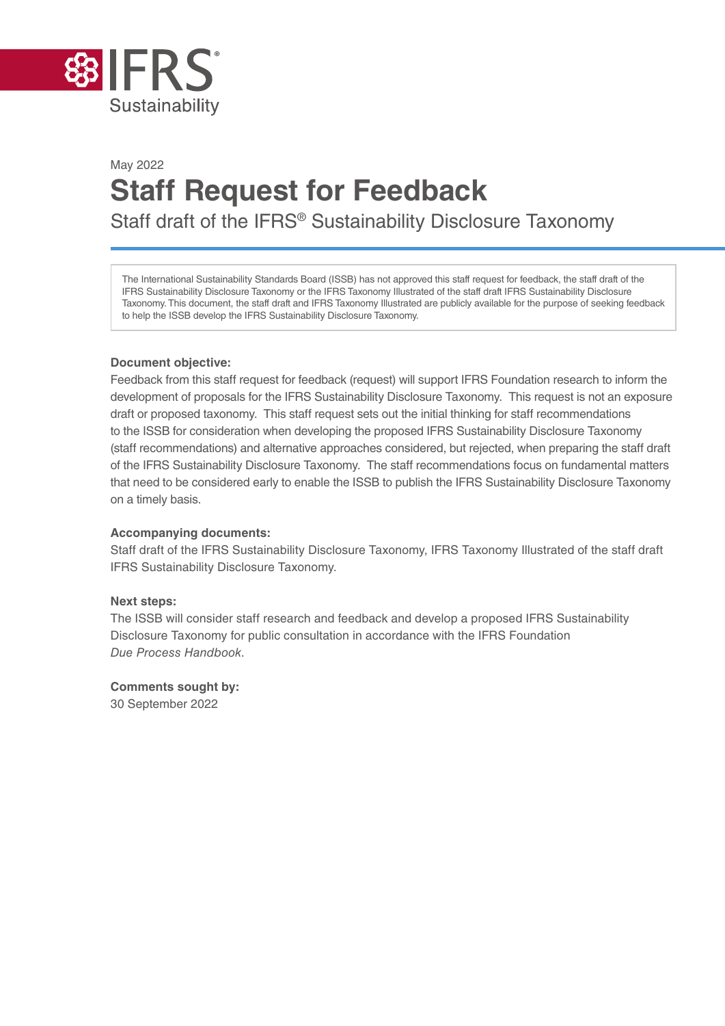

# May 2022 **Staff Request for Feedback**  Staff draft of the IFRS® Sustainability Disclosure Taxonomy

The International Sustainability Standards Board (ISSB) has not approved this staff request for feedback, the staff draft of the IFRS Sustainability Disclosure Taxonomy or the IFRS Taxonomy Illustrated of the staff draft IFRS Sustainability Disclosure Taxonomy. This document, the staff draft and IFRS Taxonomy Illustrated are publicly available for the purpose of seeking feedback to help the ISSB develop the IFRS Sustainability Disclosure Taxonomy.

### **Document objective:**

Feedback from this staff request for feedback (request) will support IFRS Foundation research to inform the development of proposals for the IFRS Sustainability Disclosure Taxonomy. This request is not an exposure draft or proposed taxonomy. This staff request sets out the initial thinking for staff recommendations to the ISSB for consideration when developing the proposed IFRS Sustainability Disclosure Taxonomy (staff recommendations) and alternative approaches considered, but rejected, when preparing the staff draft of the IFRS Sustainability Disclosure Taxonomy. The staff recommendations focus on fundamental matters that need to be considered early to enable the ISSB to publish the IFRS Sustainability Disclosure Taxonomy on a timely basis.

### **Accompanying documents:**

Staff draft of the IFRS Sustainability Disclosure Taxonomy, IFRS Taxonomy Illustrated of the staff draft IFRS Sustainability Disclosure Taxonomy.

### **Next steps:**

The ISSB will consider staff research and feedback and develop a proposed IFRS Sustainability Disclosure Taxonomy for public consultation in accordance with the IFRS Foundation *Due Process Handbook*.

**Comments sought by:** 30 September 2022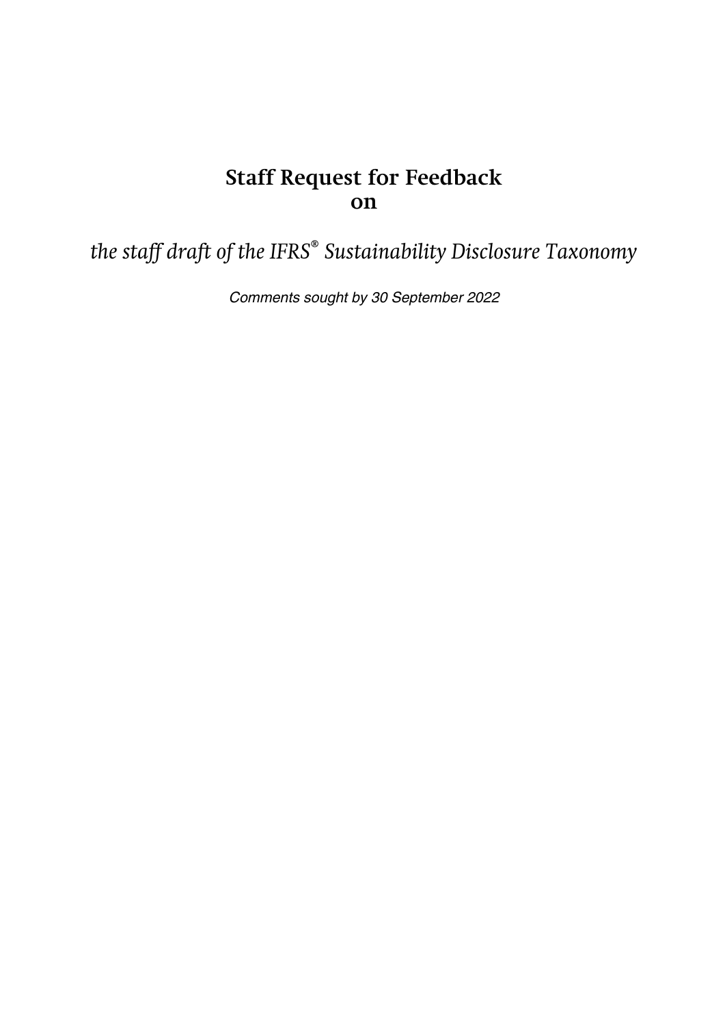# **Staff Request for Feedback on**

*the staff draft of the IFRS® Sustainability Disclosure Taxonomy*

Comments sought by 30 September 2022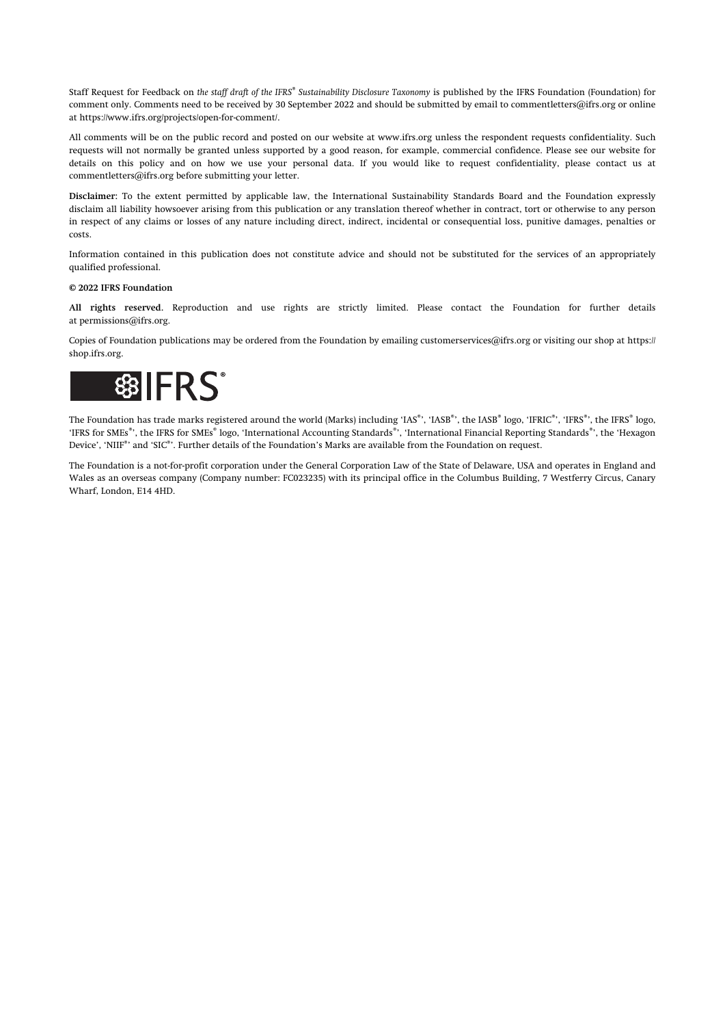Staff Request for Feedback on *the staff draft of the IFRS® Sustainability Disclosure Taxonomy* is published by the IFRS Foundation (Foundation) for comment only. Comments need to be received by 30 September 2022 and should be submitted by email to [commentletters@ifrs.org](mailto:commentletters@ifrs.org) or online at [https://www.ifrs.org/projects/open-for-comment/.](https://www.ifrs.org/projects/open-for-comment/)

All comments will be on the public record and posted on our website at [www.ifrs.org](https://www.ifrs.org) unless the respondent requests confidentiality. Such requests will not normally be granted unless supported by a good reason, for example, commercial confidence. Please see our website for details on this policy and on how we use your personal data. If you would like to request confidentiality, please contact us at [commentletters@ifrs.org](mailto:commentletters@ifrs.org) before submitting your letter.

**Disclaimer:** To the extent permitted by applicable law, the International Sustainability Standards Board and the Foundation expressly disclaim all liability howsoever arising from this publication or any translation thereof whether in contract, tort or otherwise to any person in respect of any claims or losses of any nature including direct, indirect, incidental or consequential loss, punitive damages, penalties or costs.

Information contained in this publication does not constitute advice and should not be substituted for the services of an appropriately qualified professional.

#### **© 2022 IFRS Foundation**

**All rights reserved.** Reproduction and use rights are strictly limited. Please contact the Foundation for further details at [permissions@ifrs.org.](mailto:permissions@ifrs.org)

Copies of Foundation publications may be ordered from the Foundation by emailing [customerservices@ifrs.org](mailto:customerservices@ifrs.org) or visiting our shop at [https://](https://shop.ifrs.org) [shop.ifrs.org](https://shop.ifrs.org).



The Foundation has trade marks registered around the world (Marks) including 'IAS®', the IASB®, the IASB® logo, 'IFRIC®', 'IFRS®', the IFRS® logo, 'IFRS for SMEs<sup>®</sup>', the IFRS for SMEs<sup>®</sup> logo, 'International Accounting Standards<sup>®</sup>', 'International Financial Reporting Standards<sup>®</sup>', the 'Hexagon Device', 'NIIF®' and 'SIC®'. Further details of the Foundation's Marks are available from the Foundation on request.

The Foundation is a not-for-profit corporation under the General Corporation Law of the State of Delaware, USA and operates in England and Wales as an overseas company (Company number: FC023235) with its principal office in the Columbus Building, 7 Westferry Circus, Canary Wharf, London, E14 4HD.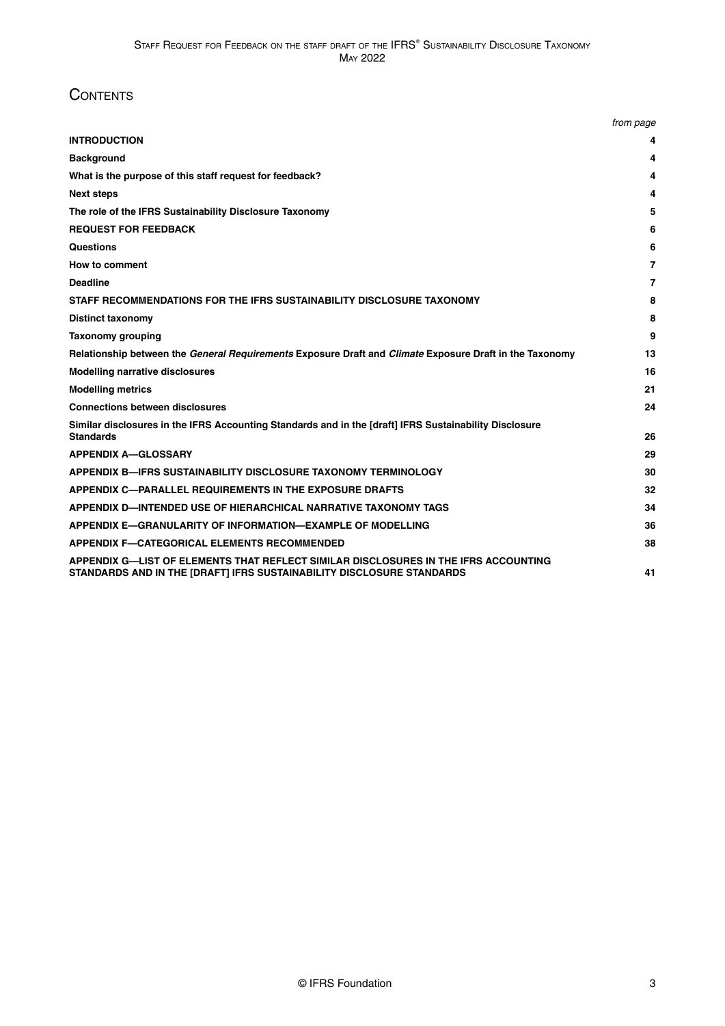### **CONTENTS**

|                                                                                                                                                              | from page |
|--------------------------------------------------------------------------------------------------------------------------------------------------------------|-----------|
| <b>INTRODUCTION</b>                                                                                                                                          | 4         |
| <b>Background</b>                                                                                                                                            | 4         |
| What is the purpose of this staff request for feedback?                                                                                                      | 4         |
| <b>Next steps</b>                                                                                                                                            | 4         |
| The role of the IFRS Sustainability Disclosure Taxonomy                                                                                                      | 5         |
| <b>REQUEST FOR FEEDBACK</b>                                                                                                                                  | 6         |
| <b>Questions</b>                                                                                                                                             | 6         |
| How to comment                                                                                                                                               | 7         |
| <b>Deadline</b>                                                                                                                                              | 7         |
| STAFF RECOMMENDATIONS FOR THE IFRS SUSTAINABILITY DISCLOSURE TAXONOMY                                                                                        | 8         |
| <b>Distinct taxonomy</b>                                                                                                                                     | 8         |
| <b>Taxonomy grouping</b>                                                                                                                                     | 9         |
| Relationship between the General Requirements Exposure Draft and Climate Exposure Draft in the Taxonomy                                                      | 13        |
| <b>Modelling narrative disclosures</b>                                                                                                                       | 16        |
| <b>Modelling metrics</b>                                                                                                                                     | 21        |
| <b>Connections between disclosures</b>                                                                                                                       | 24        |
| Similar disclosures in the IFRS Accounting Standards and in the [draft] IFRS Sustainability Disclosure<br><b>Standards</b>                                   | 26        |
| <b>APPENDIX A-GLOSSARY</b>                                                                                                                                   | 29        |
| <b>APPENDIX B-IFRS SUSTAINABILITY DISCLOSURE TAXONOMY TERMINOLOGY</b>                                                                                        | 30        |
| <b>APPENDIX C-PARALLEL REQUIREMENTS IN THE EXPOSURE DRAFTS</b>                                                                                               | 32        |
| APPENDIX D-INTENDED USE OF HIERARCHICAL NARRATIVE TAXONOMY TAGS                                                                                              | 34        |
| APPENDIX E-GRANULARITY OF INFORMATION-EXAMPLE OF MODELLING                                                                                                   | 36        |
| <b>APPENDIX F-CATEGORICAL ELEMENTS RECOMMENDED</b>                                                                                                           | 38        |
| APPENDIX G—LIST OF ELEMENTS THAT REFLECT SIMILAR DISCLOSURES IN THE IFRS ACCOUNTING<br>STANDARDS AND IN THE [DRAFT] IFRS SUSTAINABILITY DISCLOSURE STANDARDS | 41        |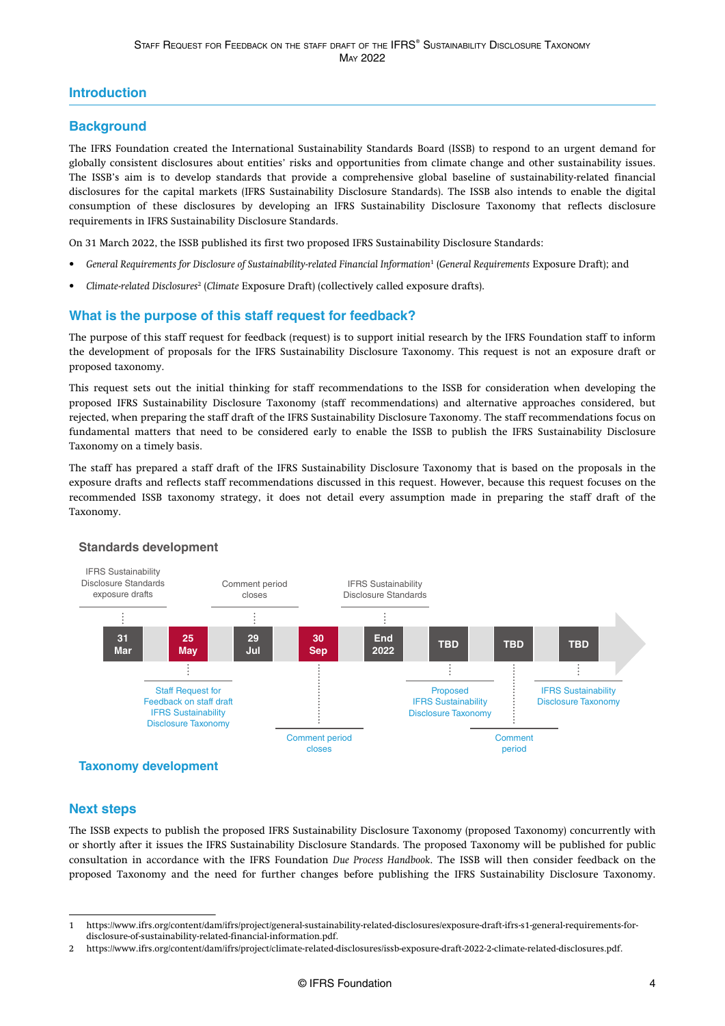### <span id="page-4-0"></span>**Introduction**

### **Background**

The IFRS Foundation created the International Sustainability Standards Board (ISSB) to respond to an urgent demand for globally consistent disclosures about entities' risks and opportunities from climate change and other sustainability issues. The ISSB's aim is to develop standards that provide a comprehensive global baseline of sustainability-related financial disclosures for the capital markets (IFRS Sustainability Disclosure Standards). The ISSB also intends to enable the digital consumption of these disclosures by developing an IFRS Sustainability Disclosure Taxonomy that reflects disclosure requirements in IFRS Sustainability Disclosure Standards.

On 31 March 2022, the ISSB published its first two proposed IFRS Sustainability Disclosure Standards:

- *[General Requirements for Disclosure of Sustainability-related Financial Information](https://www.ifrs.org/content/dam/ifrs/project/general-sustainability-related-disclosures/exposure-draft-ifrs-s1-general-requirements-for-disclosure-of-sustainability-related-financial-information.pdf)*<sup>1</sup> (*General Requirements* Exposure Draft); and
- *[Climate-related Disclosures](https://www.ifrs.org/content/dam/ifrs/project/climate-related-disclosures/issb-exposure-draft-2022-2-climate-related-disclosures.pdf)*<sup>2</sup> (*Climate* Exposure Draft) (collectively called exposure drafts).

### **What is the purpose of this staff request for feedback?**

The purpose of this staff request for feedback (request) is to support initial research by the IFRS Foundation staff to inform the development of proposals for the IFRS Sustainability Disclosure Taxonomy. This request is not an exposure draft or proposed taxonomy.

This request sets out the initial thinking for staff recommendations to the ISSB for consideration when developing the proposed IFRS Sustainability Disclosure Taxonomy (staff recommendations) and alternative approaches considered, but rejected, when preparing the staff draft of the IFRS Sustainability Disclosure Taxonomy. The staff recommendations focus on fundamental matters that need to be considered early to enable the ISSB to publish the IFRS Sustainability Disclosure Taxonomy on a timely basis.

The staff has prepared a staff draft of the IFRS Sustainability Disclosure Taxonomy that is based on the proposals in the exposure drafts and reflects staff recommendations discussed in this request. However, because this request focuses on the recommended ISSB taxonomy strategy, it does not detail every assumption made in preparing the staff draft of the Taxonomy.



### **Standards development**

### **Next steps**

The ISSB expects to publish the proposed IFRS Sustainability Disclosure Taxonomy (proposed Taxonomy) concurrently with or shortly after it issues the IFRS Sustainability Disclosure Standards. The proposed Taxonomy will be published for public consultation in accordance with the IFRS Foundation *Due Process Handbook*. The ISSB will then consider feedback on the proposed Taxonomy and the need for further changes before publishing the IFRS Sustainability Disclosure Taxonomy.

<sup>1</sup> [https://www.ifrs.org/content/dam/ifrs/project/general-sustainability-related-disclosures/exposure-draft-ifrs-s1-general-requirements-for](https://www.ifrs.org/content/dam/ifrs/project/general-sustainability-related-disclosures/exposure-draft-ifrs-s1-general-requirements-for-disclosure-of-sustainability-related-financial-information.pdf)[disclosure-of-sustainability-related-financial-information.pdf.](https://www.ifrs.org/content/dam/ifrs/project/general-sustainability-related-disclosures/exposure-draft-ifrs-s1-general-requirements-for-disclosure-of-sustainability-related-financial-information.pdf)

<sup>2</sup><https://www.ifrs.org/content/dam/ifrs/project/climate-related-disclosures/issb-exposure-draft-2022-2-climate-related-disclosures.pdf>.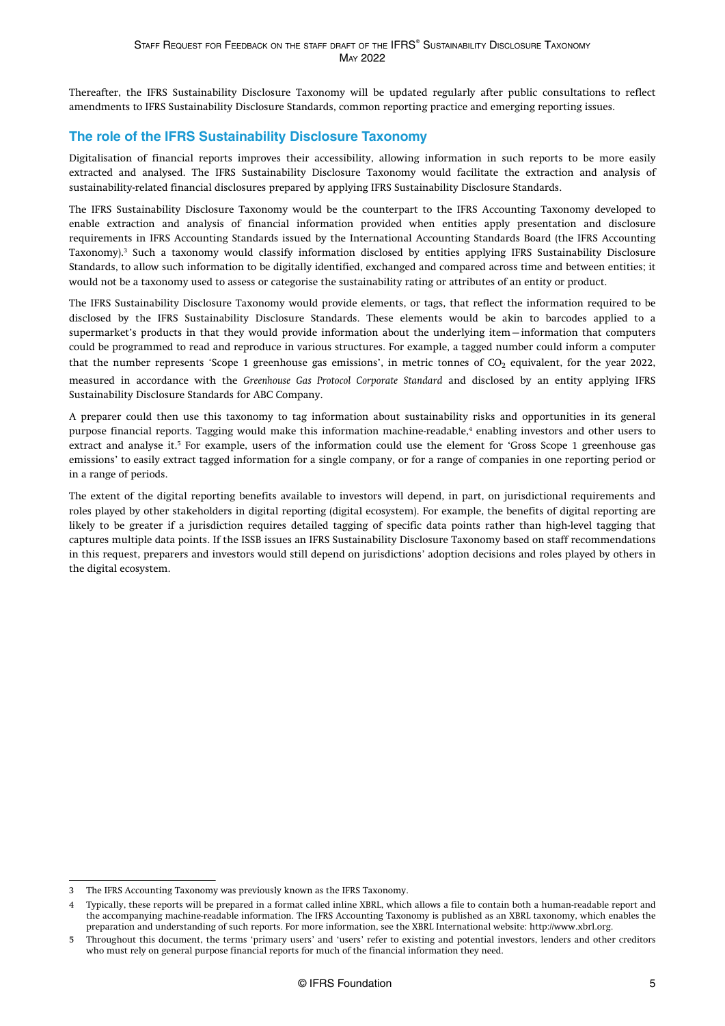<span id="page-5-0"></span>Thereafter, the IFRS Sustainability Disclosure Taxonomy will be updated regularly after public consultations to reflect amendments to IFRS Sustainability Disclosure Standards, common reporting practice and emerging reporting issues.

### **The role of the IFRS Sustainability Disclosure Taxonomy**

Digitalisation of financial reports improves their accessibility, allowing information in such reports to be more easily extracted and analysed. The IFRS Sustainability Disclosure Taxonomy would facilitate the extraction and analysis of sustainability-related financial disclosures prepared by applying IFRS Sustainability Disclosure Standards.

The IFRS Sustainability Disclosure Taxonomy would be the counterpart to the IFRS Accounting Taxonomy developed to enable extraction and analysis of financial information provided when entities apply presentation and disclosure requirements in IFRS Accounting Standards issued by the International Accounting Standards Board (the IFRS Accounting Taxonomy).<sup>3</sup> Such a taxonomy would classify information disclosed by entities applying IFRS Sustainability Disclosure Standards, to allow such information to be digitally identified, exchanged and compared across time and between entities; it would not be a taxonomy used to assess or categorise the sustainability rating or attributes of an entity or product.

The IFRS Sustainability Disclosure Taxonomy would provide elements, or tags, that reflect the information required to be disclosed by the IFRS Sustainability Disclosure Standards. These elements would be akin to barcodes applied to a supermarket's products in that they would provide information about the underlying item—information that computers could be programmed to read and reproduce in various structures. For example, a tagged number could inform a computer that the number represents 'Scope 1 greenhouse gas emissions', in metric tonnes of  $CO<sub>2</sub>$  equivalent, for the year 2022, measured in accordance with the *Greenhouse Gas Protocol Corporate Standard* and disclosed by an entity applying IFRS Sustainability Disclosure Standards for ABC Company.

A preparer could then use this taxonomy to tag information about sustainability risks and opportunities in its general purpose financial reports. Tagging would make this information machine-readable,<sup>4</sup> enabling investors and other users to extract and analyse it.<sup>5</sup> For example, users of the information could use the element for 'Gross Scope 1 greenhouse gas emissions' to easily extract tagged information for a single company, or for a range of companies in one reporting period or in a range of periods.

The extent of the digital reporting benefits available to investors will depend, in part, on jurisdictional requirements and roles played by other stakeholders in digital reporting (digital ecosystem). For example, the benefits of digital reporting are likely to be greater if a jurisdiction requires detailed tagging of specific data points rather than high-level tagging that captures multiple data points. If the ISSB issues an IFRS Sustainability Disclosure Taxonomy based on staff recommendations in this request, preparers and investors would still depend on jurisdictions' adoption decisions and roles played by others in the digital ecosystem.

<sup>3</sup> The IFRS Accounting Taxonomy was previously known as the IFRS Taxonomy.

<sup>4</sup> Typically, these reports will be prepared in a format called inline XBRL, which allows a file to contain both a human-readable report and the accompanying machine-readable information. The IFRS Accounting Taxonomy is published as an XBRL taxonomy, which enables the preparation and understanding of such reports. For more information, see the XBRL International website: [http://www.xbrl.org.](http://www.xbrl.org)

<sup>5</sup> Throughout this document, the terms 'primary users' and 'users' refer to existing and potential investors, lenders and other creditors who must rely on general purpose financial reports for much of the financial information they need.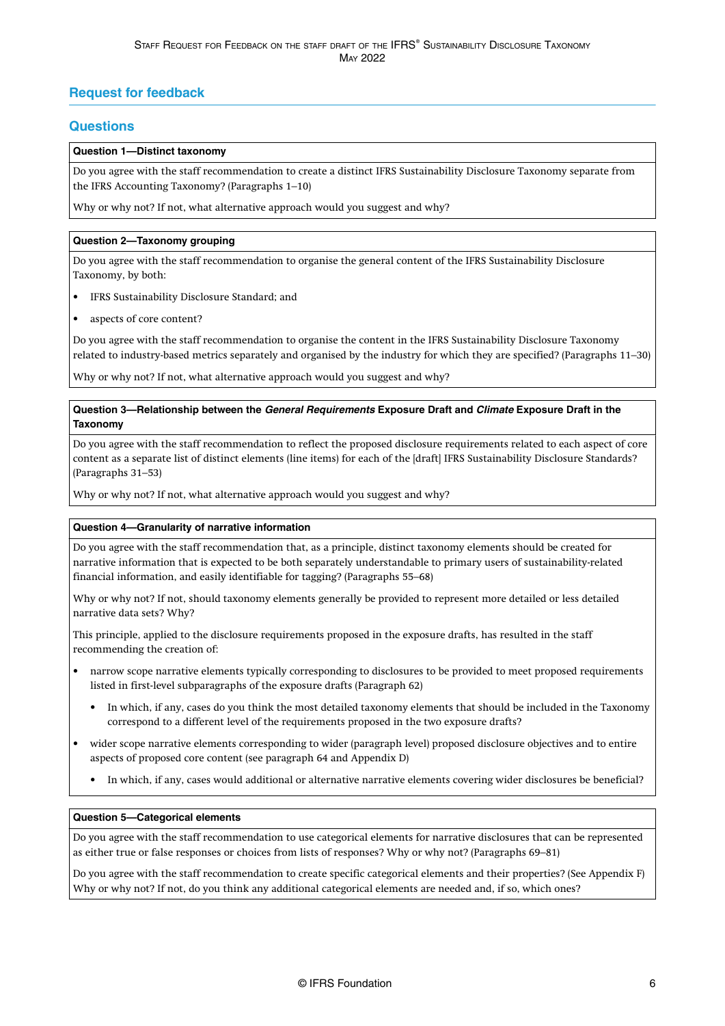### <span id="page-6-0"></span>**Request for feedback**

### **Questions**

#### **Question 1—Distinct taxonomy**

Do you agree with the staff recommendation to create a distinct IFRS Sustainability Disclosure Taxonomy separate from the IFRS Accounting Taxonomy? ([Paragraphs 1–10](#page-8-0))

Why or why not? If not, what alternative approach would you suggest and why?

### **Question 2—Taxonomy grouping**

Do you agree with the staff recommendation to organise the general content of the IFRS Sustainability Disclosure Taxonomy, by both:

- IFRS Sustainability Disclosure Standard; and
- aspects of core content?

Do you agree with the staff recommendation to organise the content in the IFRS Sustainability Disclosure Taxonomy related to industry-based metrics separately and organised by the industry for which they are specified? ([Paragraphs 11–30](#page-9-0))

Why or why not? If not, what alternative approach would you suggest and why?

### **Question 3—Relationship between the General Requirements Exposure Draft and Climate Exposure Draft in the Taxonomy**

Do you agree with the staff recommendation to reflect the proposed disclosure requirements related to each aspect of core content as a separate list of distinct elements (line items) for each of the [draft] IFRS Sustainability Disclosure Standards? [\(Paragraphs 31–53\)](#page-13-0)

Why or why not? If not, what alternative approach would you suggest and why?

### **Question 4—Granularity of narrative information**

Do you agree with the staff recommendation that, as a principle, distinct taxonomy elements should be created for narrative information that is expected to be both separately understandable to primary users of sustainability-related financial information, and easily identifiable for tagging? [\(Paragraphs 55–68\)](#page-16-0)

Why or why not? If not, should taxonomy elements generally be provided to represent more detailed or less detailed narrative data sets? Why?

This principle, applied to the disclosure requirements proposed in the exposure drafts, has resulted in the staff recommending the creation of:

- narrow scope narrative elements typically corresponding to disclosures to be provided to meet proposed requirements listed in first-level subparagraphs of the exposure drafts [\(Paragraph 62\)](#page-17-0)
	- In which, if any, cases do you think the most detailed taxonomy elements that should be included in the Taxonomy correspond to a different level of the requirements proposed in the two exposure drafts?
- wider scope narrative elements corresponding to wider (paragraph level) proposed disclosure objectives and to entire aspects of proposed core content (see [paragraph 64](#page-17-0) and [Appendix D\)](#page-34-0)
	- In which, if any, cases would additional or alternative narrative elements covering wider disclosures be beneficial?

#### **Question 5—Categorical elements**

Do you agree with the staff recommendation to use categorical elements for narrative disclosures that can be represented as either true or false responses or choices from lists of responses? Why or why not? [\(Paragraphs 69–81\)](#page-19-0)

Do you agree with the staff recommendation to create specific categorical elements and their properties? (See [Appendix F](#page-38-0)) Why or why not? If not, do you think any additional categorical elements are needed and, if so, which ones?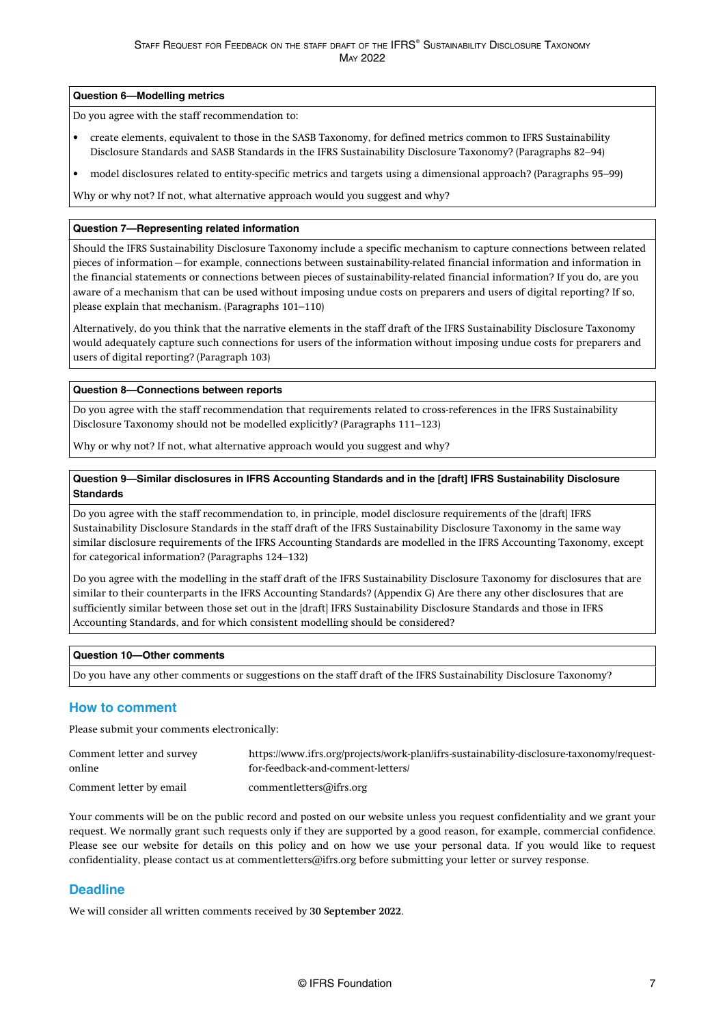#### <span id="page-7-0"></span>**Question 6—Modelling metrics**

Do you agree with the staff recommendation to:

- create elements, equivalent to those in the SASB Taxonomy, for defined metrics common to IFRS Sustainability Disclosure Standards and SASB Standards in the IFRS Sustainability Disclosure Taxonomy? [\(Paragraphs 82–94](#page-21-0))
- model disclosures related to entity-specific metrics and targets using a dimensional approach? ([Paragraphs 95–99](#page-22-0))

Why or why not? If not, what alternative approach would you suggest and why?

#### **Question 7—Representing related information**

Should the IFRS Sustainability Disclosure Taxonomy include a specific mechanism to capture connections between related pieces of information—for example, connections between sustainability-related financial information and information in the financial statements or connections between pieces of sustainability-related financial information? If you do, are you aware of a mechanism that can be used without imposing undue costs on preparers and users of digital reporting? If so, please explain that mechanism. [\(Paragraphs 101–110\)](#page-24-0)

Alternatively, do you think that the narrative elements in the staff draft of the IFRS Sustainability Disclosure Taxonomy would adequately capture such connections for users of the information without imposing undue costs for preparers and users of digital reporting? [\(Paragraph 103\)](#page-24-0)

#### **Question 8—Connections between reports**

Do you agree with the staff recommendation that requirements related to cross-references in the IFRS Sustainability Disclosure Taxonomy should not be modelled explicitly? [\(Paragraphs 111–123\)](#page-25-0)

Why or why not? If not, what alternative approach would you suggest and why?

### **Question 9—Similar disclosures in IFRS Accounting Standards and in the [draft] IFRS Sustainability Disclosure Standards**

Do you agree with the staff recommendation to, in principle, model disclosure requirements of the [draft] IFRS Sustainability Disclosure Standards in the staff draft of the IFRS Sustainability Disclosure Taxonomy in the same way similar disclosure requirements of the IFRS Accounting Standards are modelled in the IFRS Accounting Taxonomy, except for categorical information? ([Paragraphs 124–132](#page-26-0))

Do you agree with the modelling in the staff draft of the IFRS Sustainability Disclosure Taxonomy for disclosures that are similar to their counterparts in the IFRS Accounting Standards? ([Appendix G\)](#page-41-0) Are there any other disclosures that are sufficiently similar between those set out in the [draft] IFRS Sustainability Disclosure Standards and those in IFRS Accounting Standards, and for which consistent modelling should be considered?

#### **Question 10—Other comments**

Do you have any other comments or suggestions on the staff draft of the IFRS Sustainability Disclosure Taxonomy?

### **How to comment**

Please submit your comments electronically:

| Comment letter and survey | https://www.ifrs.org/projects/work-plan/ifrs-sustainability-disclosure-taxonomy/request- |
|---------------------------|------------------------------------------------------------------------------------------|
| online                    | for-feedback-and-comment-letters/                                                        |
| Comment letter by email   | commentletters@ifrs.org                                                                  |

Your comments will be on the public record and posted on our website unless you request confidentiality and we grant your request. We normally grant such requests only if they are supported by a good reason, for example, commercial confidence. Please see our website for details on this policy and on how we use your personal data. If you would like to request confidentiality, please contact us at [commentletters@ifrs.org](mailto:commentletters@ifrs.org) before submitting your letter or survey response.

### **Deadline**

We will consider all written comments received by **30 September 2022**.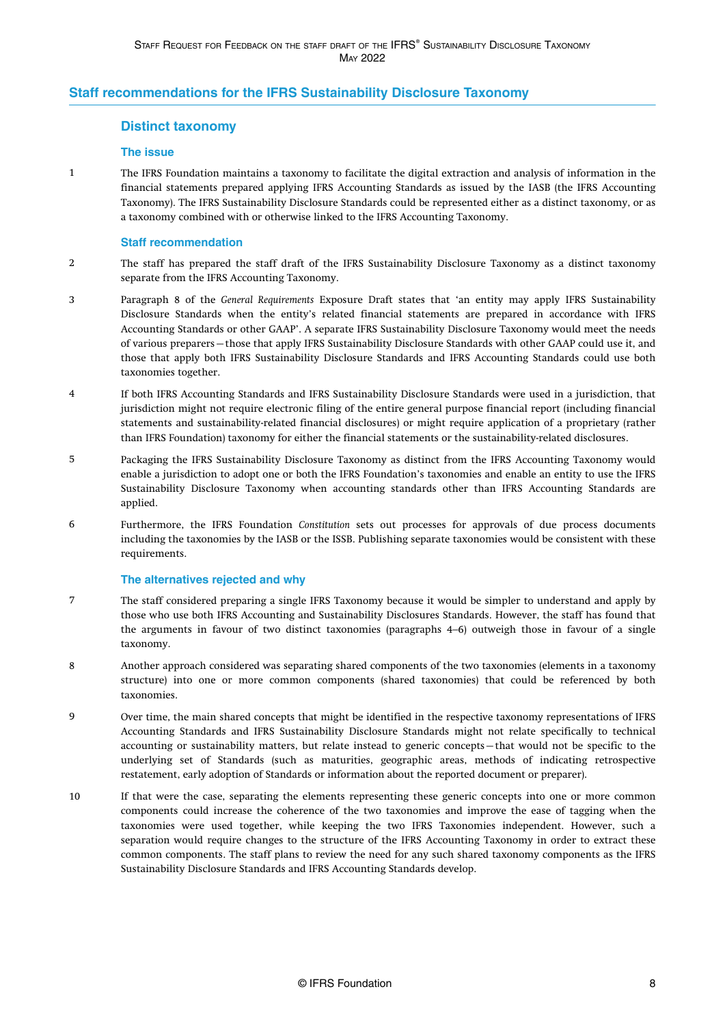### <span id="page-8-0"></span>**Staff recommendations for the IFRS Sustainability Disclosure Taxonomy**

### **Distinct taxonomy**

### **The issue**

The IFRS Foundation maintains a taxonomy to facilitate the digital extraction and analysis of information in the financial statements prepared applying IFRS Accounting Standards as issued by the IASB (the IFRS Accounting Taxonomy). The IFRS Sustainability Disclosure Standards could be represented either as a distinct taxonomy, or as a taxonomy combined with or otherwise linked to the IFRS Accounting Taxonomy. 1

### **Staff recommendation**

- The staff has prepared the staff draft of the IFRS Sustainability Disclosure Taxonomy as a distinct taxonomy separate from the IFRS Accounting Taxonomy. 2
- Paragraph 8 of the *General Requirements* Exposure Draft states that 'an entity may apply IFRS Sustainability Disclosure Standards when the entity's related financial statements are prepared in accordance with IFRS Accounting Standards or other GAAP'. A separate IFRS Sustainability Disclosure Taxonomy would meet the needs of various preparers—those that apply IFRS Sustainability Disclosure Standards with other GAAP could use it, and those that apply both IFRS Sustainability Disclosure Standards and IFRS Accounting Standards could use both taxonomies together. 3
- If both IFRS Accounting Standards and IFRS Sustainability Disclosure Standards were used in a jurisdiction, that jurisdiction might not require electronic filing of the entire general purpose financial report (including financial statements and sustainability-related financial disclosures) or might require application of a proprietary (rather than IFRS Foundation) taxonomy for either the financial statements or the sustainability-related disclosures. 4
- Packaging the IFRS Sustainability Disclosure Taxonomy as distinct from the IFRS Accounting Taxonomy would enable a jurisdiction to adopt one or both the IFRS Foundation's taxonomies and enable an entity to use the IFRS Sustainability Disclosure Taxonomy when accounting standards other than IFRS Accounting Standards are applied. 5
- Furthermore, the IFRS Foundation *Constitution* sets out processes for approvals of due process documents including the taxonomies by the IASB or the ISSB. Publishing separate taxonomies would be consistent with these requirements. 6

#### **The alternatives rejected and why**

- The staff considered preparing a single IFRS Taxonomy because it would be simpler to understand and apply by those who use both IFRS Accounting and Sustainability Disclosures Standards. However, the staff has found that the arguments in favour of two distinct taxonomies (paragraphs 4–6) outweigh those in favour of a single taxonomy. 7
- Another approach considered was separating shared components of the two taxonomies (elements in a taxonomy structure) into one or more common components (shared taxonomies) that could be referenced by both taxonomies. 8
- Over time, the main shared concepts that might be identified in the respective taxonomy representations of IFRS Accounting Standards and IFRS Sustainability Disclosure Standards might not relate specifically to technical accounting or sustainability matters, but relate instead to generic concepts—that would not be specific to the underlying set of Standards (such as maturities, geographic areas, methods of indicating retrospective restatement, early adoption of Standards or information about the reported document or preparer).  $\overline{9}$
- If that were the case, separating the elements representing these generic concepts into one or more common components could increase the coherence of the two taxonomies and improve the ease of tagging when the taxonomies were used together, while keeping the two IFRS Taxonomies independent. However, such a separation would require changes to the structure of the IFRS Accounting Taxonomy in order to extract these common components. The staff plans to review the need for any such shared taxonomy components as the IFRS Sustainability Disclosure Standards and IFRS Accounting Standards develop. 10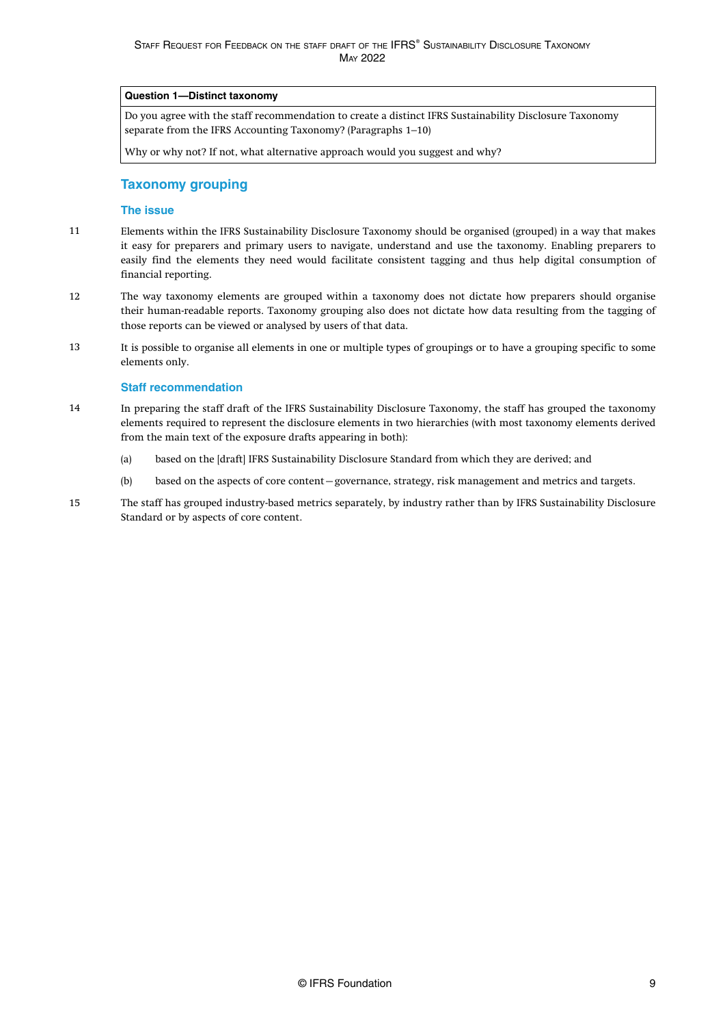### <span id="page-9-0"></span>**Question 1—Distinct taxonomy**

Do you agree with the staff recommendation to create a distinct IFRS Sustainability Disclosure Taxonomy separate from the IFRS Accounting Taxonomy? ([Paragraphs 1–10\)](#page-8-0)

Why or why not? If not, what alternative approach would you suggest and why?

### **Taxonomy grouping**

### **The issue**

- Elements within the IFRS Sustainability Disclosure Taxonomy should be organised (grouped) in a way that makes it easy for preparers and primary users to navigate, understand and use the taxonomy. Enabling preparers to easily find the elements they need would facilitate consistent tagging and thus help digital consumption of financial reporting. 11
- The way taxonomy elements are grouped within a taxonomy does not dictate how preparers should organise their human-readable reports. Taxonomy grouping also does not dictate how data resulting from the tagging of those reports can be viewed or analysed by users of that data. 12
- It is possible to organise all elements in one or multiple types of groupings or to have a grouping specific to some elements only. 13

#### **Staff recommendation**

- In preparing the staff draft of the IFRS Sustainability Disclosure Taxonomy, the staff has grouped the taxonomy elements required to represent the disclosure elements in two hierarchies (with most taxonomy elements derived from the main text of the exposure drafts appearing in both): 14
	- (a) based on the [draft] IFRS Sustainability Disclosure Standard from which they are derived; and
	- (b) based on the aspects of core content—governance, strategy, risk management and metrics and targets.
- The staff has grouped industry-based metrics separately, by industry rather than by IFRS Sustainability Disclosure Standard or by aspects of core content. 15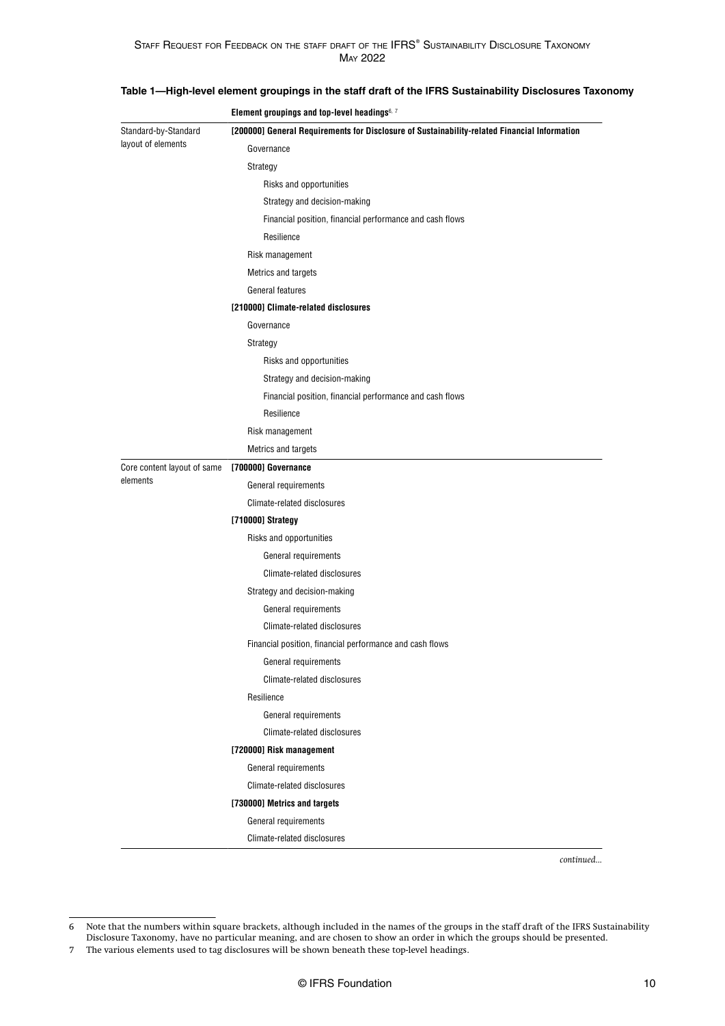|                             | Element groupings and top-level headings6, 7                                                 |  |  |  |
|-----------------------------|----------------------------------------------------------------------------------------------|--|--|--|
| Standard-by-Standard        | [200000] General Requirements for Disclosure of Sustainability-related Financial Information |  |  |  |
| layout of elements          | Governance                                                                                   |  |  |  |
|                             | Strategy                                                                                     |  |  |  |
|                             | Risks and opportunities                                                                      |  |  |  |
|                             | Strategy and decision-making                                                                 |  |  |  |
|                             | Financial position, financial performance and cash flows                                     |  |  |  |
|                             | Resilience                                                                                   |  |  |  |
|                             | Risk management                                                                              |  |  |  |
|                             | Metrics and targets                                                                          |  |  |  |
|                             | General features                                                                             |  |  |  |
|                             | [210000] Climate-related disclosures                                                         |  |  |  |
|                             | Governance                                                                                   |  |  |  |
|                             | Strategy                                                                                     |  |  |  |
|                             | Risks and opportunities                                                                      |  |  |  |
|                             | Strategy and decision-making                                                                 |  |  |  |
|                             | Financial position, financial performance and cash flows                                     |  |  |  |
|                             | Resilience                                                                                   |  |  |  |
|                             | Risk management                                                                              |  |  |  |
|                             | Metrics and targets                                                                          |  |  |  |
| Core content layout of same | [700000] Governance                                                                          |  |  |  |
| elements                    | General requirements                                                                         |  |  |  |
|                             | Climate-related disclosures                                                                  |  |  |  |
|                             | [710000] Strategy                                                                            |  |  |  |
|                             | Risks and opportunities                                                                      |  |  |  |
|                             | General requirements                                                                         |  |  |  |
|                             | Climate-related disclosures                                                                  |  |  |  |
|                             | Strategy and decision-making                                                                 |  |  |  |
|                             | General requirements                                                                         |  |  |  |
|                             | Climate-related disclosures                                                                  |  |  |  |
|                             | Financial position, financial performance and cash flows                                     |  |  |  |
|                             | General requirements                                                                         |  |  |  |
|                             | Climate-related disclosures                                                                  |  |  |  |
|                             | Resilience                                                                                   |  |  |  |
|                             | General requirements                                                                         |  |  |  |
|                             | Climate-related disclosures                                                                  |  |  |  |
|                             | [720000] Risk management                                                                     |  |  |  |
|                             | General requirements                                                                         |  |  |  |
|                             | Climate-related disclosures                                                                  |  |  |  |
|                             | [730000] Metrics and targets                                                                 |  |  |  |
|                             | General requirements                                                                         |  |  |  |
|                             | Climate-related disclosures                                                                  |  |  |  |

### **Table 1—High-level element groupings in the staff draft of the IFRS Sustainability Disclosures Taxonomy**

*continued...*

<sup>6</sup> Note that the numbers within square brackets, although included in the names of the groups in the staff draft of the IFRS Sustainability Disclosure Taxonomy, have no particular meaning, and are chosen to show an order in which the groups should be presented.

<sup>7</sup> The various elements used to tag disclosures will be shown beneath these top-level headings.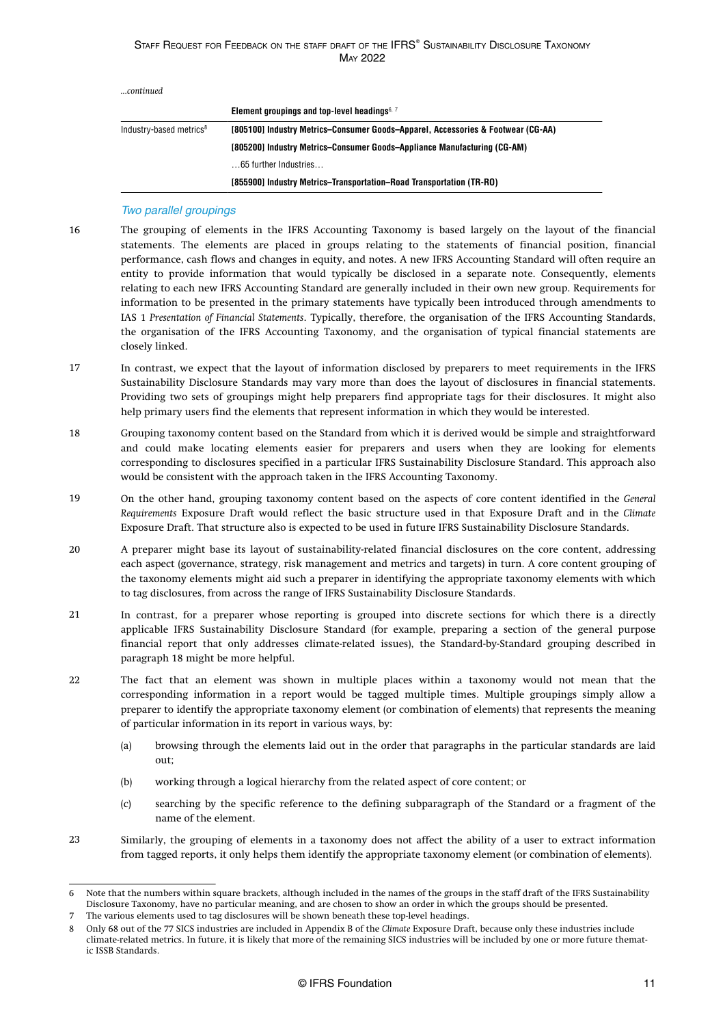<span id="page-11-0"></span>

| continued |  |
|-----------|--|
|           |  |

|                                     | Element groupings and top-level headings $6, 7$                                  |
|-------------------------------------|----------------------------------------------------------------------------------|
| Industry-based metrics <sup>8</sup> | [805100] Industry Metrics-Consumer Goods-Apparel, Accessories & Footwear (CG-AA) |
|                                     | [805200] Industry Metrics-Consumer Goods-Appliance Manufacturing (CG-AM)         |
|                                     | 65 further Industries                                                            |
|                                     | [855900] Industry Metrics-Transportation-Road Transportation (TR-RO)             |

### Two parallel groupings

- The grouping of elements in the IFRS Accounting Taxonomy is based largely on the layout of the financial statements. The elements are placed in groups relating to the statements of financial position, financial performance, cash flows and changes in equity, and notes. A new IFRS Accounting Standard will often require an entity to provide information that would typically be disclosed in a separate note. Consequently, elements relating to each new IFRS Accounting Standard are generally included in their own new group. Requirements for information to be presented in the primary statements have typically been introduced through amendments to IAS 1 *Presentation of Financial Statements*. Typically, therefore, the organisation of the IFRS Accounting Standards, the organisation of the IFRS Accounting Taxonomy, and the organisation of typical financial statements are closely linked. 16
- In contrast, we expect that the layout of information disclosed by preparers to meet requirements in the IFRS Sustainability Disclosure Standards may vary more than does the layout of disclosures in financial statements. Providing two sets of groupings might help preparers find appropriate tags for their disclosures. It might also help primary users find the elements that represent information in which they would be interested. 17
- Grouping taxonomy content based on the Standard from which it is derived would be simple and straightforward and could make locating elements easier for preparers and users when they are looking for elements corresponding to disclosures specified in a particular IFRS Sustainability Disclosure Standard. This approach also would be consistent with the approach taken in the IFRS Accounting Taxonomy. 18
- On the other hand, grouping taxonomy content based on the aspects of core content identified in the *General Requirements* Exposure Draft would reflect the basic structure used in that Exposure Draft and in the *Climate* Exposure Draft. That structure also is expected to be used in future IFRS Sustainability Disclosure Standards. 19
- A preparer might base its layout of sustainability-related financial disclosures on the core content, addressing each aspect (governance, strategy, risk management and metrics and targets) in turn. A core content grouping of the taxonomy elements might aid such a preparer in identifying the appropriate taxonomy elements with which to tag disclosures, from across the range of IFRS Sustainability Disclosure Standards. 20
- In contrast, for a preparer whose reporting is grouped into discrete sections for which there is a directly applicable IFRS Sustainability Disclosure Standard (for example, preparing a section of the general purpose financial report that only addresses climate-related issues), the Standard-by-Standard grouping described in paragraph 18 might be more helpful. 21
- The fact that an element was shown in multiple places within a taxonomy would not mean that the corresponding information in a report would be tagged multiple times. Multiple groupings simply allow a preparer to identify the appropriate taxonomy element (or combination of elements) that represents the meaning of particular information in its report in various ways, by: 22
	- (a) browsing through the elements laid out in the order that paragraphs in the particular standards are laid  $011t$
	- (b) working through a logical hierarchy from the related aspect of core content; or
	- (c) searching by the specific reference to the defining subparagraph of the Standard or a fragment of the name of the element.
- Similarly, the grouping of elements in a taxonomy does not affect the ability of a user to extract information from tagged reports, it only helps them identify the appropriate taxonomy element (or combination of elements).  $2<sub>2</sub>$

<sup>6</sup> Note that the numbers within square brackets, although included in the names of the groups in the staff draft of the IFRS Sustainability Disclosure Taxonomy, have no particular meaning, and are chosen to show an order in which the groups should be presented.

<sup>7</sup> The various elements used to tag disclosures will be shown beneath these top-level headings.

<sup>8</sup> Only 68 out of the 77 SICS industries are included in Appendix B of the *Climate* Exposure Draft, because only these industries include climate-related metrics. In future, it is likely that more of the remaining SICS industries will be included by one or more future thematic ISSB Standards.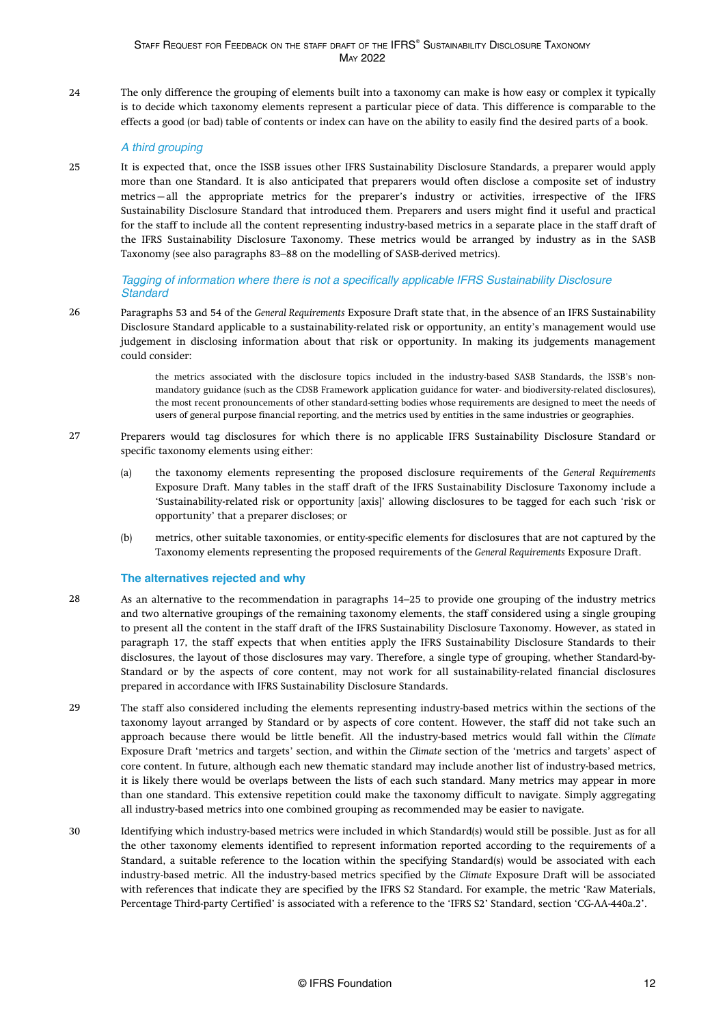The only difference the grouping of elements built into a taxonomy can make is how easy or complex it typically is to decide which taxonomy elements represent a particular piece of data. This difference is comparable to the effects a good (or bad) table of contents or index can have on the ability to easily find the desired parts of a book. 24

### A third grouping

It is expected that, once the ISSB issues other IFRS Sustainability Disclosure Standards, a preparer would apply more than one Standard. It is also anticipated that preparers would often disclose a composite set of industry metrics—all the appropriate metrics for the preparer's industry or activities, irrespective of the IFRS Sustainability Disclosure Standard that introduced them. Preparers and users might find it useful and practical for the staff to include all the content representing industry-based metrics in a separate place in the staff draft of the IFRS Sustainability Disclosure Taxonomy. These metrics would be arranged by industry as in the SASB Taxonomy (see also [paragraphs 83–88](#page-21-0) on the modelling of SASB-derived metrics). 25

Tagging of information where there is not a specifically applicable IFRS Sustainability Disclosure **Standard** 

[Paragraphs 53](#page-16-0) and [54](#page-16-0) of the *General Requirements* Exposure Draft state that, in the absence of an IFRS Sustainability Disclosure Standard applicable to a sustainability-related risk or opportunity, an entity's management would use judgement in disclosing information about that risk or opportunity. In making its judgements management could consider: 26

> the metrics associated with the disclosure topics included in the industry-based SASB Standards, the ISSB's nonmandatory guidance (such as the CDSB Framework application guidance for water- and biodiversity-related disclosures), the most recent pronouncements of other standard-setting bodies whose requirements are designed to meet the needs of users of general purpose financial reporting, and the metrics used by entities in the same industries or geographies.

- Preparers would tag disclosures for which there is no applicable IFRS Sustainability Disclosure Standard or specific taxonomy elements using either: 27
	- (a) the taxonomy elements representing the proposed disclosure requirements of the *General Requirements* Exposure Draft. Many tables in the staff draft of the IFRS Sustainability Disclosure Taxonomy include a 'Sustainability-related risk or opportunity [axis]' allowing disclosures to be tagged for each such 'risk or opportunity' that a preparer discloses; or
	- (b) metrics, other suitable taxonomies, or entity-specific elements for disclosures that are not captured by the Taxonomy elements representing the proposed requirements of the *General Requirements* Exposure Draft.

### **The alternatives rejected and why**

- As an alternative to the recommendation in [paragraphs 14–25](#page-9-0) to provide one grouping of the industry metrics and two alternative groupings of the remaining taxonomy elements, the staff considered using a single grouping to present all the content in the staff draft of the IFRS Sustainability Disclosure Taxonomy. However, as stated in [paragraph 17,](#page-11-0) the staff expects that when entities apply the IFRS Sustainability Disclosure Standards to their disclosures, the layout of those disclosures may vary. Therefore, a single type of grouping, whether Standard-by-Standard or by the aspects of core content, may not work for all sustainability-related financial disclosures prepared in accordance with IFRS Sustainability Disclosure Standards. 28
- The staff also considered including the elements representing industry-based metrics within the sections of the taxonomy layout arranged by Standard or by aspects of core content. However, the staff did not take such an approach because there would be little benefit. All the industry-based metrics would fall within the *Climate* Exposure Draft 'metrics and targets' section, and within the *Climate* section of the 'metrics and targets' aspect of core content. In future, although each new thematic standard may include another list of industry-based metrics, it is likely there would be overlaps between the lists of each such standard. Many metrics may appear in more than one standard. This extensive repetition could make the taxonomy difficult to navigate. Simply aggregating all industry-based metrics into one combined grouping as recommended may be easier to navigate. 29
- Identifying which industry-based metrics were included in which Standard(s) would still be possible. Just as for all the other taxonomy elements identified to represent information reported according to the requirements of a Standard, a suitable reference to the location within the specifying Standard(s) would be associated with each industry-based metric. All the industry-based metrics specified by the *Climate* Exposure Draft will be associated with references that indicate they are specified by the IFRS S2 Standard. For example, the metric 'Raw Materials, Percentage Third-party Certified' is associated with a reference to the 'IFRS S2' Standard, section 'CG-AA-440a.2'. 30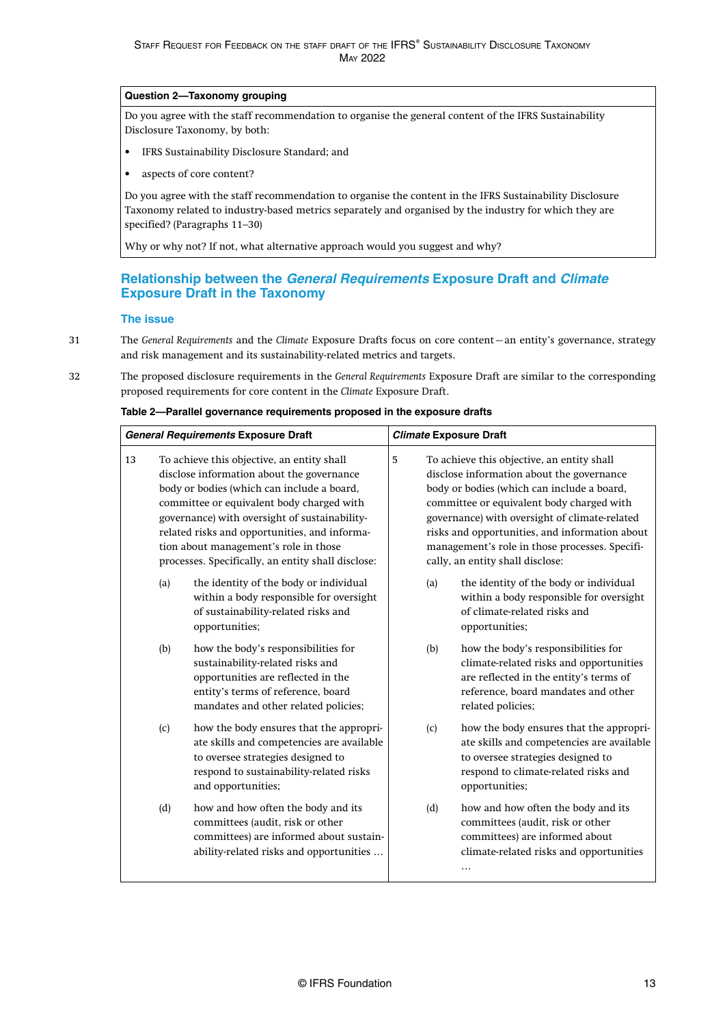### <span id="page-13-0"></span>**Question 2—Taxonomy grouping**

Do you agree with the staff recommendation to organise the general content of the IFRS Sustainability Disclosure Taxonomy, by both:

- IFRS Sustainability Disclosure Standard; and
- aspects of core content?

Do you agree with the staff recommendation to organise the content in the IFRS Sustainability Disclosure Taxonomy related to industry-based metrics separately and organised by the industry for which they are specified? ([Paragraphs 11–30](#page-9-0))

Why or why not? If not, what alternative approach would you suggest and why?

### **Relationship between the General Requirements Exposure Draft and Climate Exposure Draft in the Taxonomy**

#### **The issue**

- The *General Requirements* and the *Climate* Exposure Drafts focus on core content—an entity's governance, strategy and risk management and its sustainability-related metrics and targets. 31
- The proposed disclosure requirements in the *General Requirements* Exposure Draft are similar to the corresponding proposed requirements for core content in the *Climate* Exposure Draft. 32

| <b>General Requirements Exposure Draft</b> |     | <b>Climate Exposure Draft</b>                                                                                                                                                                                                                                                                                                                                                       |   |     |                                                                                                                                                                                                                                                                                                                                                                             |
|--------------------------------------------|-----|-------------------------------------------------------------------------------------------------------------------------------------------------------------------------------------------------------------------------------------------------------------------------------------------------------------------------------------------------------------------------------------|---|-----|-----------------------------------------------------------------------------------------------------------------------------------------------------------------------------------------------------------------------------------------------------------------------------------------------------------------------------------------------------------------------------|
| 13                                         |     | To achieve this objective, an entity shall<br>disclose information about the governance<br>body or bodies (which can include a board,<br>committee or equivalent body charged with<br>governance) with oversight of sustainability-<br>related risks and opportunities, and informa-<br>tion about management's role in those<br>processes. Specifically, an entity shall disclose: | 5 |     | To achieve this objective, an entity shall<br>disclose information about the governance<br>body or bodies (which can include a board,<br>committee or equivalent body charged with<br>governance) with oversight of climate-related<br>risks and opportunities, and information about<br>management's role in those processes. Specifi-<br>cally, an entity shall disclose: |
|                                            | (a) | the identity of the body or individual<br>within a body responsible for oversight<br>of sustainability-related risks and<br>opportunities;                                                                                                                                                                                                                                          |   | (a) | the identity of the body or individual<br>within a body responsible for oversight<br>of climate-related risks and<br>opportunities;                                                                                                                                                                                                                                         |
|                                            | (b) | how the body's responsibilities for<br>sustainability-related risks and<br>opportunities are reflected in the<br>entity's terms of reference, board<br>mandates and other related policies;                                                                                                                                                                                         |   | (b) | how the body's responsibilities for<br>climate-related risks and opportunities<br>are reflected in the entity's terms of<br>reference, board mandates and other<br>related policies;                                                                                                                                                                                        |
|                                            | (c) | how the body ensures that the appropri-<br>ate skills and competencies are available<br>to oversee strategies designed to<br>respond to sustainability-related risks<br>and opportunities;                                                                                                                                                                                          |   | (c) | how the body ensures that the appropri-<br>ate skills and competencies are available<br>to oversee strategies designed to<br>respond to climate-related risks and<br>opportunities;                                                                                                                                                                                         |
|                                            | (d) | how and how often the body and its<br>committees (audit, risk or other<br>committees) are informed about sustain-<br>ability-related risks and opportunities                                                                                                                                                                                                                        |   | (d) | how and how often the body and its<br>committees (audit, risk or other<br>committees) are informed about<br>climate-related risks and opportunities                                                                                                                                                                                                                         |

#### **Table 2—Parallel governance requirements proposed in the exposure drafts**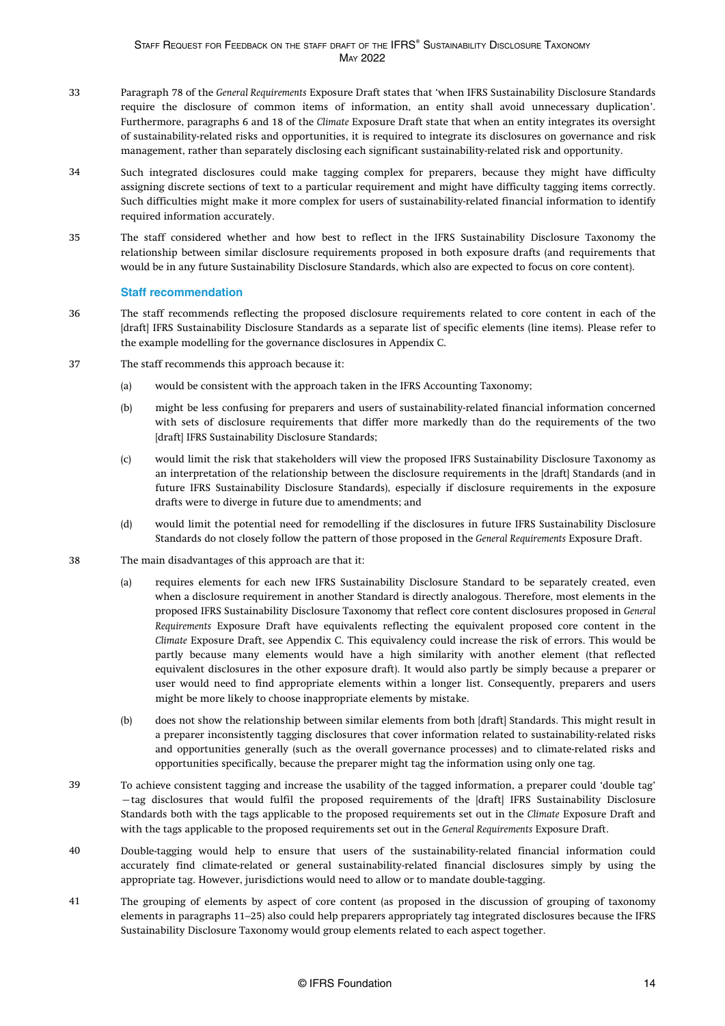- Paragraph 78 of the *General Requirements* Exposure Draft states that 'when IFRS Sustainability Disclosure Standards require the disclosure of common items of information, an entity shall avoid unnecessary duplication'. Furthermore, paragraphs 6 and 18 of the *Climate* Exposure Draft state that when an entity integrates its oversight of sustainability-related risks and opportunities, it is required to integrate its disclosures on governance and risk management, rather than separately disclosing each significant sustainability-related risk and opportunity. 33
- Such integrated disclosures could make tagging complex for preparers, because they might have difficulty assigning discrete sections of text to a particular requirement and might have difficulty tagging items correctly. Such difficulties might make it more complex for users of sustainability-related financial information to identify required information accurately. 34
- The staff considered whether and how best to reflect in the IFRS Sustainability Disclosure Taxonomy the relationship between similar disclosure requirements proposed in both exposure drafts (and requirements that would be in any future Sustainability Disclosure Standards, which also are expected to focus on core content). 35

### **Staff recommendation**

- The staff recommends reflecting the proposed disclosure requirements related to core content in each of the [draft] IFRS Sustainability Disclosure Standards as a separate list of specific elements (line items). Please refer to the example modelling for the governance disclosures in [Appendix C](#page-32-0). 36
- The staff recommends this approach because it: 37
	- (a) would be consistent with the approach taken in the IFRS Accounting Taxonomy;
	- (b) might be less confusing for preparers and users of sustainability-related financial information concerned with sets of disclosure requirements that differ more markedly than do the requirements of the two [draft] IFRS Sustainability Disclosure Standards;
	- (c) would limit the risk that stakeholders will view the proposed IFRS Sustainability Disclosure Taxonomy as an interpretation of the relationship between the disclosure requirements in the [draft] Standards (and in future IFRS Sustainability Disclosure Standards), especially if disclosure requirements in the exposure drafts were to diverge in future due to amendments; and
	- (d) would limit the potential need for remodelling if the disclosures in future IFRS Sustainability Disclosure Standards do not closely follow the pattern of those proposed in the *General Requirements* Exposure Draft.
- The main disadvantages of this approach are that it: 38
	- (a) requires elements for each new IFRS Sustainability Disclosure Standard to be separately created, even when a disclosure requirement in another Standard is directly analogous. Therefore, most elements in the proposed IFRS Sustainability Disclosure Taxonomy that reflect core content disclosures proposed in *General Requirements* Exposure Draft have equivalents reflecting the equivalent proposed core content in the *Climate* Exposure Draft, see [Appendix C](aem://author.ifrs.org/content/dam/ifrs-standards/en/issb/staff-drafts/issb-staff-2022-1/ISSB-STAFF-2022-1_APPC.dita). This equivalency could increase the risk of errors. This would be partly because many elements would have a high similarity with another element (that reflected equivalent disclosures in the other exposure draft). It would also partly be simply because a preparer or user would need to find appropriate elements within a longer list. Consequently, preparers and users might be more likely to choose inappropriate elements by mistake.
	- (b) does not show the relationship between similar elements from both [draft] Standards. This might result in a preparer inconsistently tagging disclosures that cover information related to sustainability-related risks and opportunities generally (such as the overall governance processes) and to climate-related risks and opportunities specifically, because the preparer might tag the information using only one tag.
- To achieve consistent tagging and increase the usability of the tagged information, a preparer could 'double tag' —tag disclosures that would fulfil the proposed requirements of the [draft] IFRS Sustainability Disclosure Standards both with the tags applicable to the proposed requirements set out in the *Climate* Exposure Draft and with the tags applicable to the proposed requirements set out in the *General Requirements* Exposure Draft. 39
- Double-tagging would help to ensure that users of the sustainability-related financial information could accurately find climate-related or general sustainability-related financial disclosures simply by using the appropriate tag. However, jurisdictions would need to allow or to mandate double-tagging. 40
- The grouping of elements by aspect of core content (as proposed in the discussion of grouping of taxonomy elements in [paragraphs 11–25](#page-9-0)) also could help preparers appropriately tag integrated disclosures because the IFRS Sustainability Disclosure Taxonomy would group elements related to each aspect together. 41

### © IFRS Foundation 14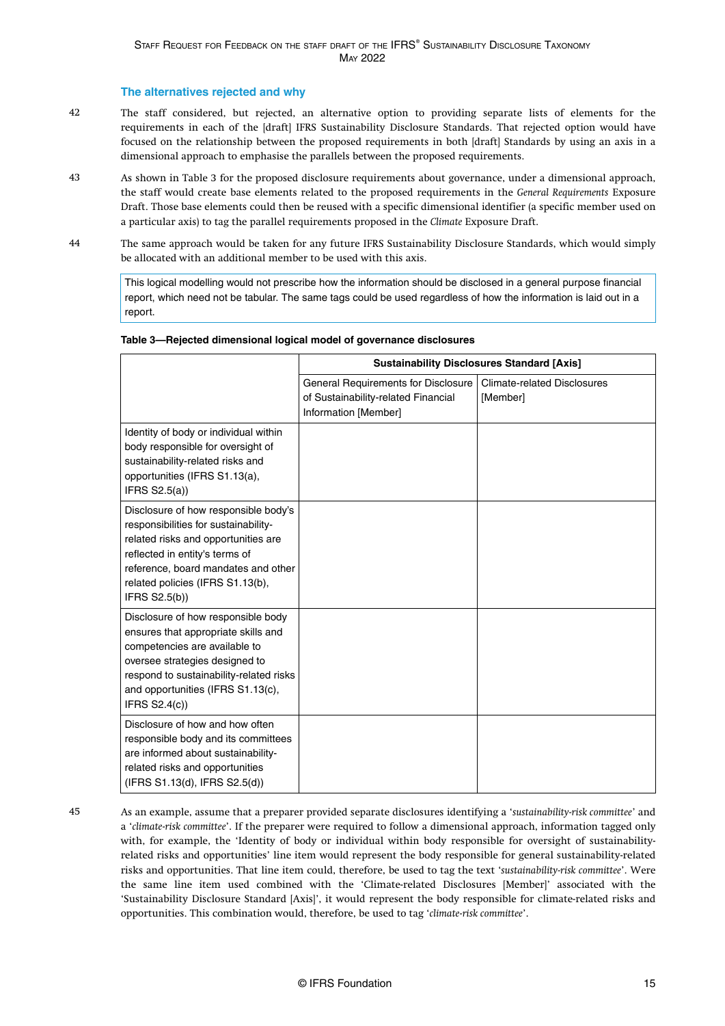### **The alternatives rejected and why**

- The staff considered, but rejected, an alternative option to providing separate lists of elements for the requirements in each of the [draft] IFRS Sustainability Disclosure Standards. That rejected option would have focused on the relationship between the proposed requirements in both [draft] Standards by using an axis in a dimensional approach to emphasise the parallels between the proposed requirements. 42
- As shown in [Table 3](#page-22-0) for the proposed disclosure requirements about governance, under a dimensional approach, the staff would create base elements related to the proposed requirements in the *General Requirements* Exposure Draft. Those base elements could then be reused with a specific dimensional identifier (a specific member used on a particular axis) to tag the parallel requirements proposed in the *Climate* Exposure Draft. 43
- The same approach would be taken for any future IFRS Sustainability Disclosure Standards, which would simply be allocated with an additional member to be used with this axis. 44

This logical modelling would not prescribe how the information should be disclosed in a general purpose financial report, which need not be tabular. The same tags could be used regardless of how the information is laid out in a report.

|                                                                                                                                                                                                                                                   | <b>Sustainability Disclosures Standard [Axis]</b>                                                  |                                                |  |
|---------------------------------------------------------------------------------------------------------------------------------------------------------------------------------------------------------------------------------------------------|----------------------------------------------------------------------------------------------------|------------------------------------------------|--|
|                                                                                                                                                                                                                                                   | General Requirements for Disclosure<br>of Sustainability-related Financial<br>Information [Member] | <b>Climate-related Disclosures</b><br>[Member] |  |
| Identity of body or individual within<br>body responsible for oversight of<br>sustainability-related risks and<br>opportunities (IFRS S1.13(a),<br>IFRS $S2.5(a)$                                                                                 |                                                                                                    |                                                |  |
| Disclosure of how responsible body's<br>responsibilities for sustainability-<br>related risks and opportunities are<br>reflected in entity's terms of<br>reference, board mandates and other<br>related policies (IFRS S1.13(b),<br>IFRS S2.5(b)) |                                                                                                    |                                                |  |
| Disclosure of how responsible body<br>ensures that appropriate skills and<br>competencies are available to<br>oversee strategies designed to<br>respond to sustainability-related risks<br>and opportunities (IFRS S1.13(c),<br>IFRS S2.4(c))     |                                                                                                    |                                                |  |
| Disclosure of how and how often<br>responsible body and its committees<br>are informed about sustainability-<br>related risks and opportunities<br>(IFRS S1.13(d), IFRS S2.5(d))                                                                  |                                                                                                    |                                                |  |

### **Table 3—Rejected dimensional logical model of governance disclosures**

45

As an example, assume that a preparer provided separate disclosures identifying a '*sustainability-risk committee*' and a '*climate-risk committee*'. If the preparer were required to follow a dimensional approach, information tagged only with, for example, the 'Identity of body or individual within body responsible for oversight of sustainabilityrelated risks and opportunities' line item would represent the body responsible for general sustainability-related risks and opportunities. That line item could, therefore, be used to tag the text '*sustainability-risk committee*'. Were the same line item used combined with the 'Climate-related Disclosures [Member]' associated with the 'Sustainability Disclosure Standard [Axis]', it would represent the body responsible for climate-related risks and opportunities. This combination would, therefore, be used to tag '*climate-risk committee*'.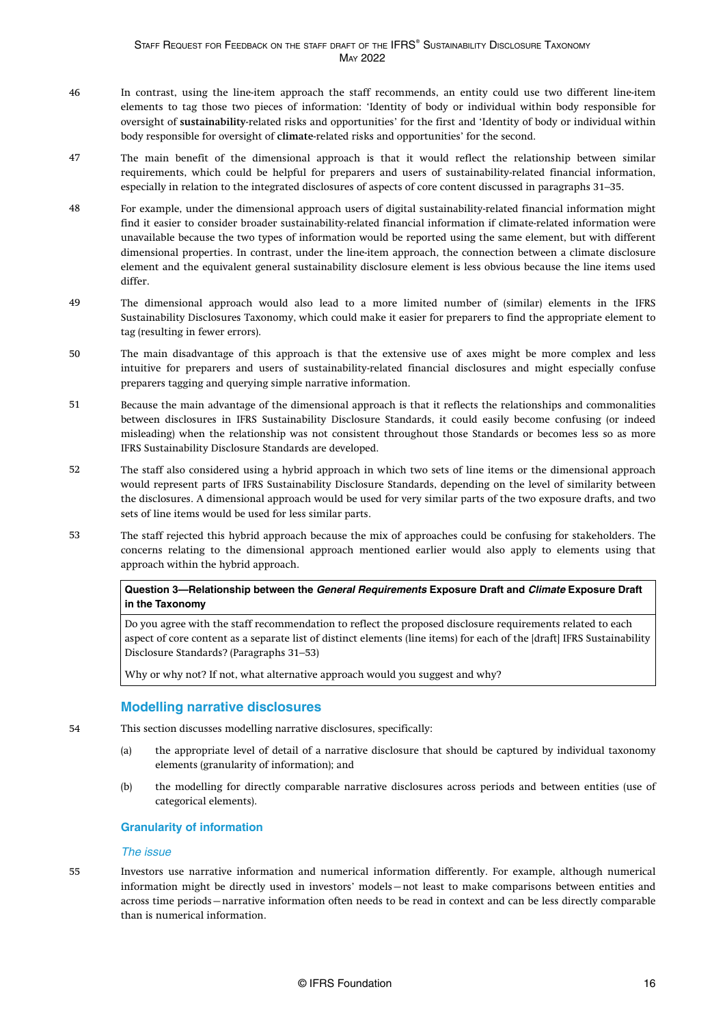- <span id="page-16-0"></span>In contrast, using the line-item approach the staff recommends, an entity could use two different line-item elements to tag those two pieces of information: 'Identity of body or individual within body responsible for oversight of **sustainability**-related risks and opportunities' for the first and 'Identity of body or individual within body responsible for oversight of **climate**-related risks and opportunities' for the second. 46
- The main benefit of the dimensional approach is that it would reflect the relationship between similar requirements, which could be helpful for preparers and users of sustainability-related financial information, especially in relation to the integrated disclosures of aspects of core content discussed in [paragraphs 31–35](#page-13-0). 47
- For example, under the dimensional approach users of digital sustainability-related financial information might find it easier to consider broader sustainability-related financial information if climate-related information were unavailable because the two types of information would be reported using the same element, but with different dimensional properties. In contrast, under the line-item approach, the connection between a climate disclosure element and the equivalent general sustainability disclosure element is less obvious because the line items used differ. 48
- The dimensional approach would also lead to a more limited number of (similar) elements in the IFRS Sustainability Disclosures Taxonomy, which could make it easier for preparers to find the appropriate element to tag (resulting in fewer errors). 49
- The main disadvantage of this approach is that the extensive use of axes might be more complex and less intuitive for preparers and users of sustainability-related financial disclosures and might especially confuse preparers tagging and querying simple narrative information. 50
- Because the main advantage of the dimensional approach is that it reflects the relationships and commonalities between disclosures in IFRS Sustainability Disclosure Standards, it could easily become confusing (or indeed misleading) when the relationship was not consistent throughout those Standards or becomes less so as more IFRS Sustainability Disclosure Standards are developed. 51
- The staff also considered using a hybrid approach in which two sets of line items or the dimensional approach would represent parts of IFRS Sustainability Disclosure Standards, depending on the level of similarity between the disclosures. A dimensional approach would be used for very similar parts of the two exposure drafts, and two sets of line items would be used for less similar parts. 52
- The staff rejected this hybrid approach because the mix of approaches could be confusing for stakeholders. The concerns relating to the dimensional approach mentioned earlier would also apply to elements using that approach within the hybrid approach. 53

### **Question 3—Relationship between the General Requirements Exposure Draft and Climate Exposure Draft in the Taxonomy**

Do you agree with the staff recommendation to reflect the proposed disclosure requirements related to each aspect of core content as a separate list of distinct elements (line items) for each of the [draft] IFRS Sustainability Disclosure Standards? [\(Paragraphs 31–53\)](#page-13-0)

Why or why not? If not, what alternative approach would you suggest and why?

### **Modelling narrative disclosures**

- This section discusses modelling narrative disclosures, specifically: 54
	- (a) the appropriate level of detail of a narrative disclosure that should be captured by individual taxonomy elements (granularity of information); and
	- (b) the modelling for directly comparable narrative disclosures across periods and between entities (use of categorical elements).

### **Granularity of information**

#### The issue

55

Investors use narrative information and numerical information differently. For example, although numerical information might be directly used in investors' models—not least to make comparisons between entities and across time periods—narrative information often needs to be read in context and can be less directly comparable than is numerical information.

© IFRS Foundation 16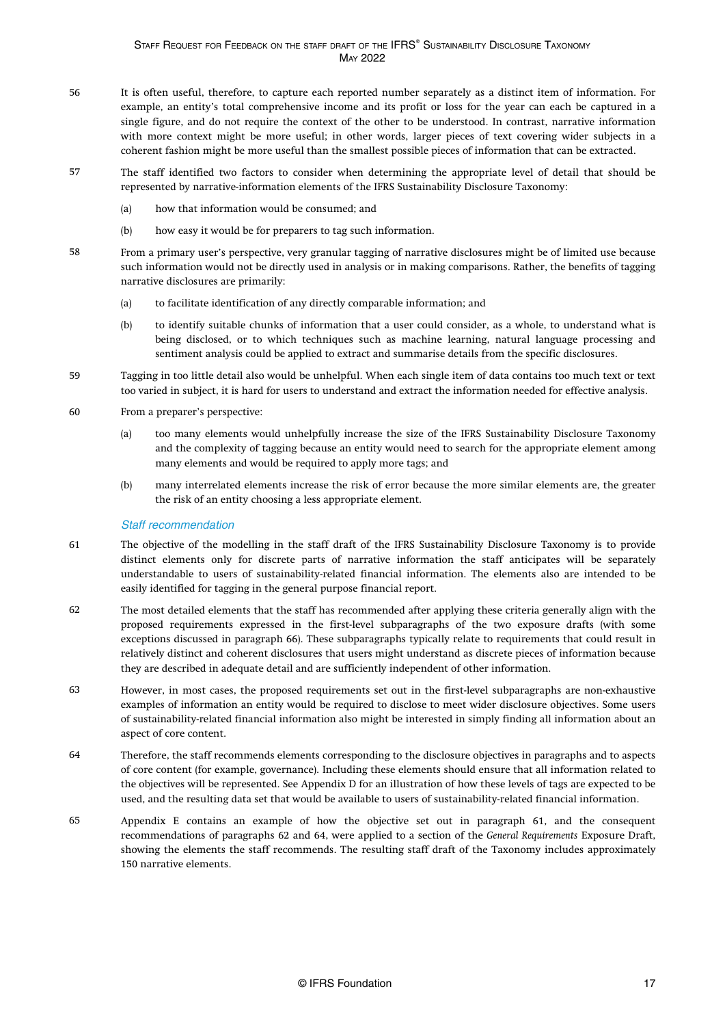- <span id="page-17-0"></span>It is often useful, therefore, to capture each reported number separately as a distinct item of information. For example, an entity's total comprehensive income and its profit or loss for the year can each be captured in a single figure, and do not require the context of the other to be understood. In contrast, narrative information with more context might be more useful; in other words, larger pieces of text covering wider subjects in a coherent fashion might be more useful than the smallest possible pieces of information that can be extracted. 56
- The staff identified two factors to consider when determining the appropriate level of detail that should be represented by narrative-information elements of the IFRS Sustainability Disclosure Taxonomy: 57
	- (a) how that information would be consumed; and
	- (b) how easy it would be for preparers to tag such information.
- From a primary user's perspective, very granular tagging of narrative disclosures might be of limited use because such information would not be directly used in analysis or in making comparisons. Rather, the benefits of tagging narrative disclosures are primarily: 58
	- (a) to facilitate identification of any directly comparable information; and
	- (b) to identify suitable chunks of information that a user could consider, as a whole, to understand what is being disclosed, or to which techniques such as machine learning, natural language processing and sentiment analysis could be applied to extract and summarise details from the specific disclosures.
- Tagging in too little detail also would be unhelpful. When each single item of data contains too much text or text too varied in subject, it is hard for users to understand and extract the information needed for effective analysis. 59
- From a preparer's perspective:  $60$ 
	- (a) too many elements would unhelpfully increase the size of the IFRS Sustainability Disclosure Taxonomy and the complexity of tagging because an entity would need to search for the appropriate element among many elements and would be required to apply more tags; and
	- (b) many interrelated elements increase the risk of error because the more similar elements are, the greater the risk of an entity choosing a less appropriate element.

### Staff recommendation

- The objective of the modelling in the staff draft of the IFRS Sustainability Disclosure Taxonomy is to provide distinct elements only for discrete parts of narrative information the staff anticipates will be separately understandable to users of sustainability-related financial information. The elements also are intended to be easily identified for tagging in the general purpose financial report. 61
- The most detailed elements that the staff has recommended after applying these criteria generally align with the proposed requirements expressed in the first-level subparagraphs of the two exposure drafts (with some exceptions discussed in [paragraph 66](#page-18-0)). These subparagraphs typically relate to requirements that could result in relatively distinct and coherent disclosures that users might understand as discrete pieces of information because they are described in adequate detail and are sufficiently independent of other information. 62
- However, in most cases, the proposed requirements set out in the first-level subparagraphs are non-exhaustive examples of information an entity would be required to disclose to meet wider disclosure objectives. Some users of sustainability-related financial information also might be interested in simply finding all information about an aspect of core content. 63
- Therefore, the staff recommends elements corresponding to the disclosure objectives in paragraphs and to aspects of core content (for example, governance). Including these elements should ensure that all information related to the objectives will be represented. See [Appendix D](#page-34-0) for an illustration of how these levels of tags are expected to be used, and the resulting data set that would be available to users of sustainability-related financial information. 64
- [Appendix E](#page-36-0) contains an example of how the objective set out in paragraph 61, and the consequent recommendations of paragraphs 62 and 64, were applied to a section of the *General Requirements* Exposure Draft, showing the elements the staff recommends. The resulting staff draft of the Taxonomy includes approximately 150 narrative elements. 65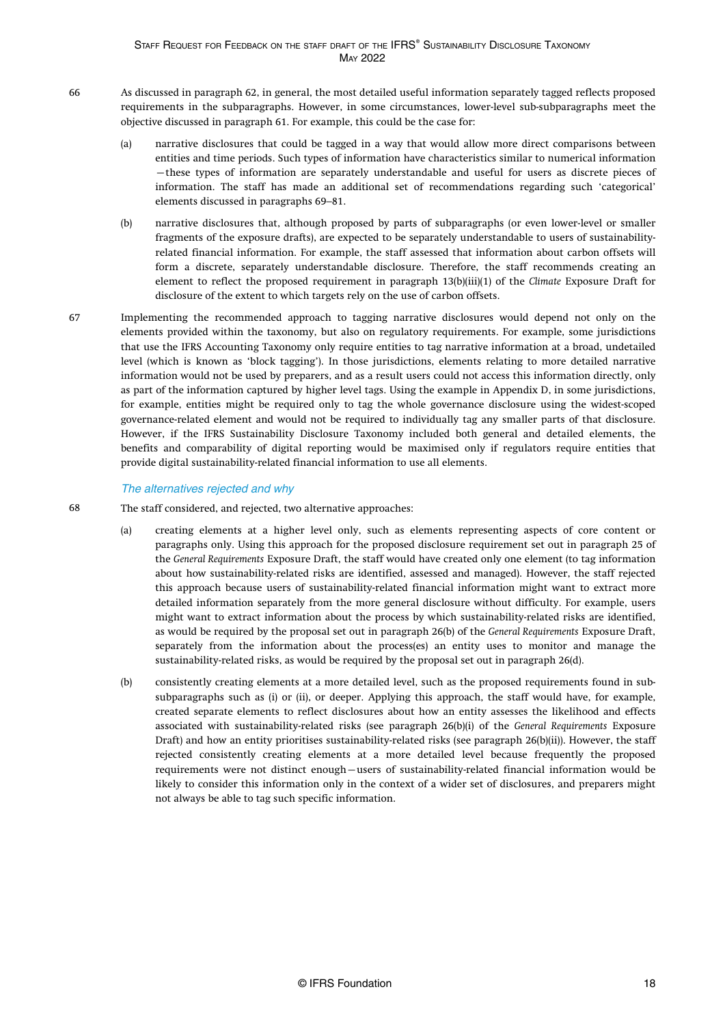- <span id="page-18-0"></span>As discussed in [paragraph 62,](#page-17-0) in general, the most detailed useful information separately tagged reflects proposed requirements in the subparagraphs. However, in some circumstances, lower-level sub-subparagraphs meet the objective discussed in [paragraph 61](#page-17-0). For example, this could be the case for: 66
	- (a) narrative disclosures that could be tagged in a way that would allow more direct comparisons between entities and time periods. Such types of information have characteristics similar to numerical information —these types of information are separately understandable and useful for users as discrete pieces of information. The staff has made an additional set of recommendations regarding such 'categorical' elements discussed in [paragraphs 69–81.](#page-19-0)
	- (b) narrative disclosures that, although proposed by parts of subparagraphs (or even lower-level or smaller fragments of the exposure drafts), are expected to be separately understandable to users of sustainabilityrelated financial information. For example, the staff assessed that information about carbon offsets will form a discrete, separately understandable disclosure. Therefore, the staff recommends creating an element to reflect the proposed requirement in paragraph 13(b)(iii)(1) of the *Climate* Exposure Draft for disclosure of the extent to which targets rely on the use of carbon offsets.
- Implementing the recommended approach to tagging narrative disclosures would depend not only on the elements provided within the taxonomy, but also on regulatory requirements. For example, some jurisdictions that use the IFRS Accounting Taxonomy only require entities to tag narrative information at a broad, undetailed level (which is known as 'block tagging'). In those jurisdictions, elements relating to more detailed narrative information would not be used by preparers, and as a result users could not access this information directly, only as part of the information captured by higher level tags. Using the example i[n Appendix D](#page-34-0), in some jurisdictions, for example, entities might be required only to tag the whole governance disclosure using the widest-scoped governance-related element and would not be required to individually tag any smaller parts of that disclosure. However, if the IFRS Sustainability Disclosure Taxonomy included both general and detailed elements, the benefits and comparability of digital reporting would be maximised only if regulators require entities that provide digital sustainability-related financial information to use all elements. 67

### The alternatives rejected and why

68

- The staff considered, and rejected, two alternative approaches:
	- (a) creating elements at a higher level only, such as elements representing aspects of core content or paragraphs only. Using this approach for the proposed disclosure requirement set out in paragraph 25 of the *General Requirements* Exposure Draft, the staff would have created only one element (to tag information about how sustainability-related risks are identified, assessed and managed). However, the staff rejected this approach because users of sustainability-related financial information might want to extract more detailed information separately from the more general disclosure without difficulty. For example, users might want to extract information about the process by which sustainability-related risks are identified, as would be required by the proposal set out in paragraph 26(b) of the *General Requirements* Exposure Draft, separately from the information about the process(es) an entity uses to monitor and manage the sustainability-related risks, as would be required by the proposal set out in paragraph 26(d).
	- (b) consistently creating elements at a more detailed level, such as the proposed requirements found in subsubparagraphs such as (i) or (ii), or deeper. Applying this approach, the staff would have, for example, created separate elements to reflect disclosures about how an entity assesses the likelihood and effects associated with sustainability-related risks (see paragraph 26(b)(i) of the *General Requirements* Exposure Draft) and how an entity prioritises sustainability-related risks (see paragraph 26(b)(ii)). However, the staff rejected consistently creating elements at a more detailed level because frequently the proposed requirements were not distinct enough—users of sustainability-related financial information would be likely to consider this information only in the context of a wider set of disclosures, and preparers might not always be able to tag such specific information.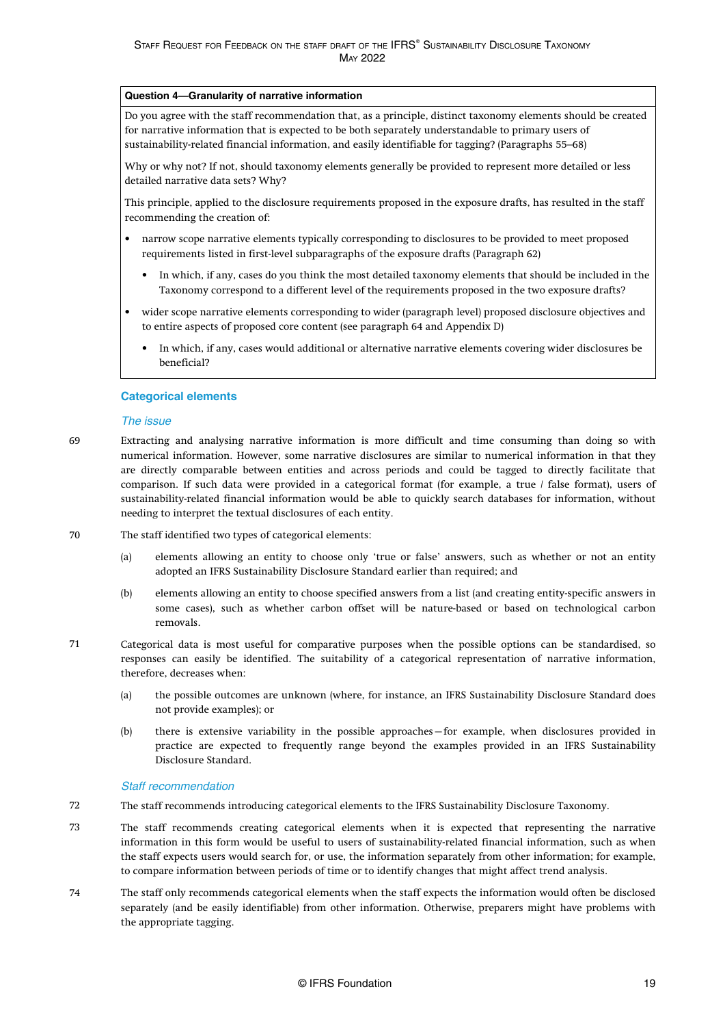### <span id="page-19-0"></span>**Question 4—Granularity of narrative information**

Do you agree with the staff recommendation that, as a principle, distinct taxonomy elements should be created for narrative information that is expected to be both separately understandable to primary users of sustainability-related financial information, and easily identifiable for tagging? [\(Paragraphs 55–68\)](#page-16-0)

Why or why not? If not, should taxonomy elements generally be provided to represent more detailed or less detailed narrative data sets? Why?

This principle, applied to the disclosure requirements proposed in the exposure drafts, has resulted in the staff recommending the creation of:

- narrow scope narrative elements typically corresponding to disclosures to be provided to meet proposed requirements listed in first-level subparagraphs of the exposure drafts ([Paragraph 62\)](#page-17-0)
	- In which, if any, cases do you think the most detailed taxonomy elements that should be included in the Taxonomy correspond to a different level of the requirements proposed in the two exposure drafts?
- wider scope narrative elements corresponding to wider (paragraph level) proposed disclosure objectives and to entire aspects of proposed core content (see [paragraph 64](#page-17-0) and [Appendix D](#page-34-0))
	- In which, if any, cases would additional or alternative narrative elements covering wider disclosures be beneficial?

### **Categorical elements**

#### The issue

- Extracting and analysing narrative information is more difficult and time consuming than doing so with numerical information. However, some narrative disclosures are similar to numerical information in that they are directly comparable between entities and across periods and could be tagged to directly facilitate that comparison. If such data were provided in a categorical format (for example, a true / false format), users of sustainability-related financial information would be able to quickly search databases for information, without needing to interpret the textual disclosures of each entity. 69
- The staff identified two types of categorical elements: 70
	- (a) elements allowing an entity to choose only 'true or false' answers, such as whether or not an entity adopted an IFRS Sustainability Disclosure Standard earlier than required; and
	- (b) elements allowing an entity to choose specified answers from a list (and creating entity-specific answers in some cases), such as whether carbon offset will be nature-based or based on technological carbon removals.
- Categorical data is most useful for comparative purposes when the possible options can be standardised, so responses can easily be identified. The suitability of a categorical representation of narrative information, therefore, decreases when: 71
	- (a) the possible outcomes are unknown (where, for instance, an IFRS Sustainability Disclosure Standard does not provide examples); or
	- (b) there is extensive variability in the possible approaches—for example, when disclosures provided in practice are expected to frequently range beyond the examples provided in an IFRS Sustainability Disclosure Standard.

#### Staff recommendation

- The staff recommends introducing categorical elements to the IFRS Sustainability Disclosure Taxonomy. 72
- The staff recommends creating categorical elements when it is expected that representing the narrative information in this form would be useful to users of sustainability-related financial information, such as when the staff expects users would search for, or use, the information separately from other information; for example, to compare information between periods of time or to identify changes that might affect trend analysis. 73
- The staff only recommends categorical elements when the staff expects the information would often be disclosed separately (and be easily identifiable) from other information. Otherwise, preparers might have problems with the appropriate tagging. 74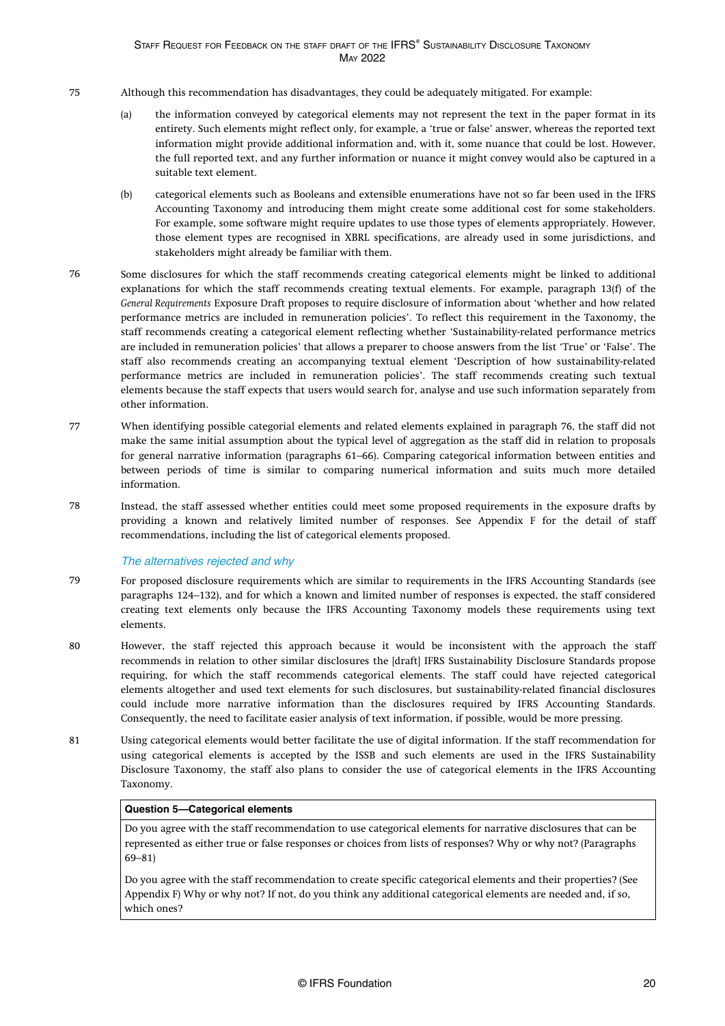- <span id="page-20-0"></span>Although this recommendation has disadvantages, they could be adequately mitigated. For example: 75
	- (a) the information conveyed by categorical elements may not represent the text in the paper format in its entirety. Such elements might reflect only, for example, a 'true or false' answer, whereas the reported text information might provide additional information and, with it, some nuance that could be lost. However, the full reported text, and any further information or nuance it might convey would also be captured in a suitable text element.
	- (b) categorical elements such as Booleans and extensible enumerations have not so far been used in the IFRS Accounting Taxonomy and introducing them might create some additional cost for some stakeholders. For example, some software might require updates to use those types of elements appropriately. However, those element types are recognised in XBRL specifications, are already used in some jurisdictions, and stakeholders might already be familiar with them.
- Some disclosures for which the staff recommends creating categorical elements might be linked to additional explanations for which the staff recommends creating textual elements. For example, paragraph 13(f) of the *General Requirements* Exposure Draft proposes to require disclosure of information about 'whether and how related performance metrics are included in remuneration policies'. To reflect this requirement in the Taxonomy, the staff recommends creating a categorical element reflecting whether 'Sustainability-related performance metrics are included in remuneration policies' that allows a preparer to choose answers from the list 'True' or 'False'. The staff also recommends creating an accompanying textual element 'Description of how sustainability-related performance metrics are included in remuneration policies'. The staff recommends creating such textual elements because the staff expects that users would search for, analyse and use such information separately from other information. 76
- When identifying possible categorial elements and related elements explained in paragraph 76, the staff did not make the same initial assumption about the typical level of aggregation as the staff did in relation to proposals for general narrative information [\(paragraphs 61–66\)](#page-17-0). Comparing categorical information between entities and between periods of time is similar to comparing numerical information and suits much more detailed information. 77
- Instead, the staff assessed whether entities could meet some proposed requirements in the exposure drafts by providing a known and relatively limited number of responses. See [Appendix F](#page-38-0) for the detail of staff recommendations, including the list of categorical elements proposed. 78

### The alternatives rejected and why

- For proposed disclosure requirements which are similar to requirements in the IFRS Accounting Standards (see [paragraphs 124–132\)](aem://author.ifrs.org/content/dam/ifrs-standards/en/issb/staff-drafts/issb-staff-2022-1/ISSB-STAFF-2022-1_g124-132.dita), and for which a known and limited number of responses is expected, the staff considered creating text elements only because the IFRS Accounting Taxonomy models these requirements using text elements. 79
- However, the staff rejected this approach because it would be inconsistent with the approach the staff recommends in relation to other similar disclosures the [draft] IFRS Sustainability Disclosure Standards propose requiring, for which the staff recommends categorical elements. The staff could have rejected categorical elements altogether and used text elements for such disclosures, but sustainability-related financial disclosures could include more narrative information than the disclosures required by IFRS Accounting Standards. Consequently, the need to facilitate easier analysis of text information, if possible, would be more pressing. 80
- Using categorical elements would better facilitate the use of digital information. If the staff recommendation for using categorical elements is accepted by the ISSB and such elements are used in the IFRS Sustainability Disclosure Taxonomy, the staff also plans to consider the use of categorical elements in the IFRS Accounting Taxonomy. 81

### **Question 5—Categorical elements**

Do you agree with the staff recommendation to use categorical elements for narrative disclosures that can be represented as either true or false responses or choices from lists of responses? Why or why not? ([Paragraphs](#page-19-0) [69–81](#page-19-0))

Do you agree with the staff recommendation to create specific categorical elements and their properties? (See [Appendix F](#page-38-0)) Why or why not? If not, do you think any additional categorical elements are needed and, if so, which ones?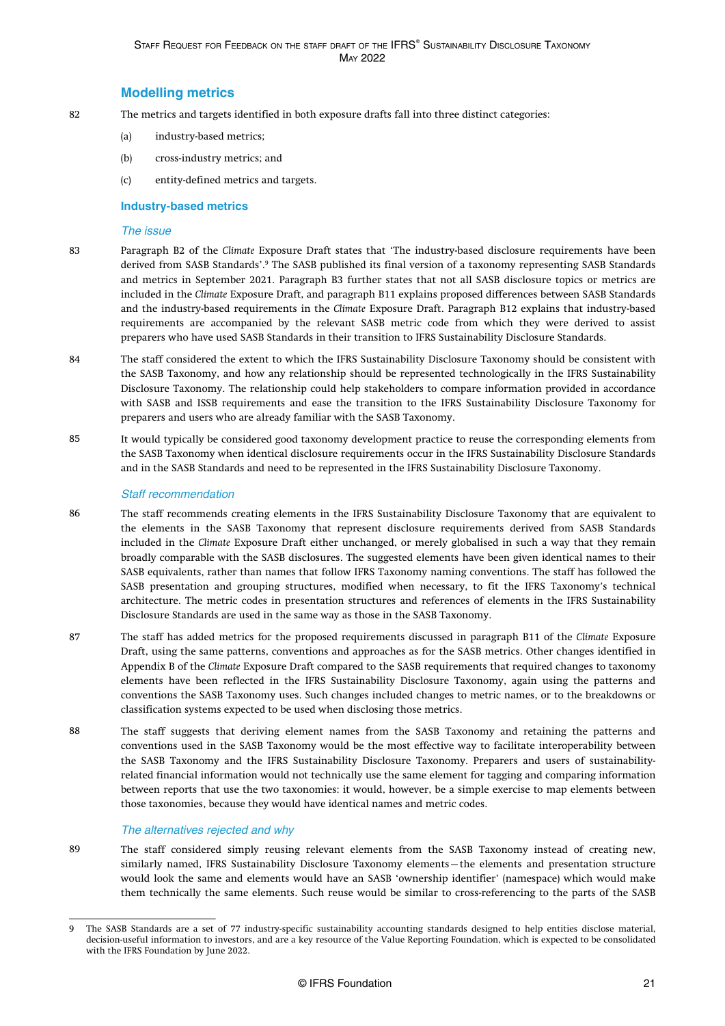### **Modelling metrics**

- <span id="page-21-0"></span>The metrics and targets identified in both exposure drafts fall into three distinct categories: 82
	- (a) industry-based metrics;
	- (b) cross-industry metrics; and
	- (c) entity-defined metrics and targets.

### **Industry-based metrics**

#### The issue

- Paragraph B2 of the *Climate* Exposure Draft states that 'The industry-based disclosure requirements have been derived from SASB Standards'.<sup>9</sup> The SASB published its final version of a taxonomy representing SASB Standards and metrics in September 2021. Paragraph B3 further states that not all SASB disclosure topics or metrics are included in the *Climate* Exposure Draft, and paragraph B11 explains proposed differences between SASB Standards and the industry-based requirements in the *Climate* Exposure Draft. Paragraph B12 explains that industry-based requirements are accompanied by the relevant SASB metric code from which they were derived to assist preparers who have used SASB Standards in their transition to IFRS Sustainability Disclosure Standards. 83
- The staff considered the extent to which the IFRS Sustainability Disclosure Taxonomy should be consistent with the SASB Taxonomy, and how any relationship should be represented technologically in the IFRS Sustainability Disclosure Taxonomy. The relationship could help stakeholders to compare information provided in accordance with SASB and ISSB requirements and ease the transition to the IFRS Sustainability Disclosure Taxonomy for preparers and users who are already familiar with the SASB Taxonomy. 84
- It would typically be considered good taxonomy development practice to reuse the corresponding elements from the SASB Taxonomy when identical disclosure requirements occur in the IFRS Sustainability Disclosure Standards and in the SASB Standards and need to be represented in the IFRS Sustainability Disclosure Taxonomy. 85

### Staff recommendation

- The staff recommends creating elements in the IFRS Sustainability Disclosure Taxonomy that are equivalent to the elements in the SASB Taxonomy that represent disclosure requirements derived from SASB Standards included in the *Climate* Exposure Draft either unchanged, or merely globalised in such a way that they remain broadly comparable with the SASB disclosures. The suggested elements have been given identical names to their SASB equivalents, rather than names that follow IFRS Taxonomy naming conventions. The staff has followed the SASB presentation and grouping structures, modified when necessary, to fit the IFRS Taxonomy's technical architecture. The metric codes in presentation structures and references of elements in the IFRS Sustainability Disclosure Standards are used in the same way as those in the SASB Taxonomy. 86
- The staff has added metrics for the proposed requirements discussed in paragraph B11 of the *Climate* Exposure Draft, using the same patterns, conventions and approaches as for the SASB metrics. Other changes identified in Appendix B of the *Climate* Exposure Draft compared to the SASB requirements that required changes to taxonomy elements have been reflected in the IFRS Sustainability Disclosure Taxonomy, again using the patterns and conventions the SASB Taxonomy uses. Such changes included changes to metric names, or to the breakdowns or classification systems expected to be used when disclosing those metrics. 87
- The staff suggests that deriving element names from the SASB Taxonomy and retaining the patterns and conventions used in the SASB Taxonomy would be the most effective way to facilitate interoperability between the SASB Taxonomy and the IFRS Sustainability Disclosure Taxonomy. Preparers and users of sustainabilityrelated financial information would not technically use the same element for tagging and comparing information between reports that use the two taxonomies: it would, however, be a simple exercise to map elements between those taxonomies, because they would have identical names and metric codes. 88

### The alternatives rejected and why

The staff considered simply reusing relevant elements from the SASB Taxonomy instead of creating new, similarly named, IFRS Sustainability Disclosure Taxonomy elements—the elements and presentation structure would look the same and elements would have an SASB 'ownership identifier' (namespace) which would make them technically the same elements. Such reuse would be similar to cross-referencing to the parts of the SASB 89

<sup>9</sup> The SASB Standards are a set of 77 industry-specific sustainability accounting standards designed to help entities disclose material, decision-useful information to investors, and are a key resource of the Value Reporting Foundation, which is expected to be consolidated with the IFRS Foundation by June 2022.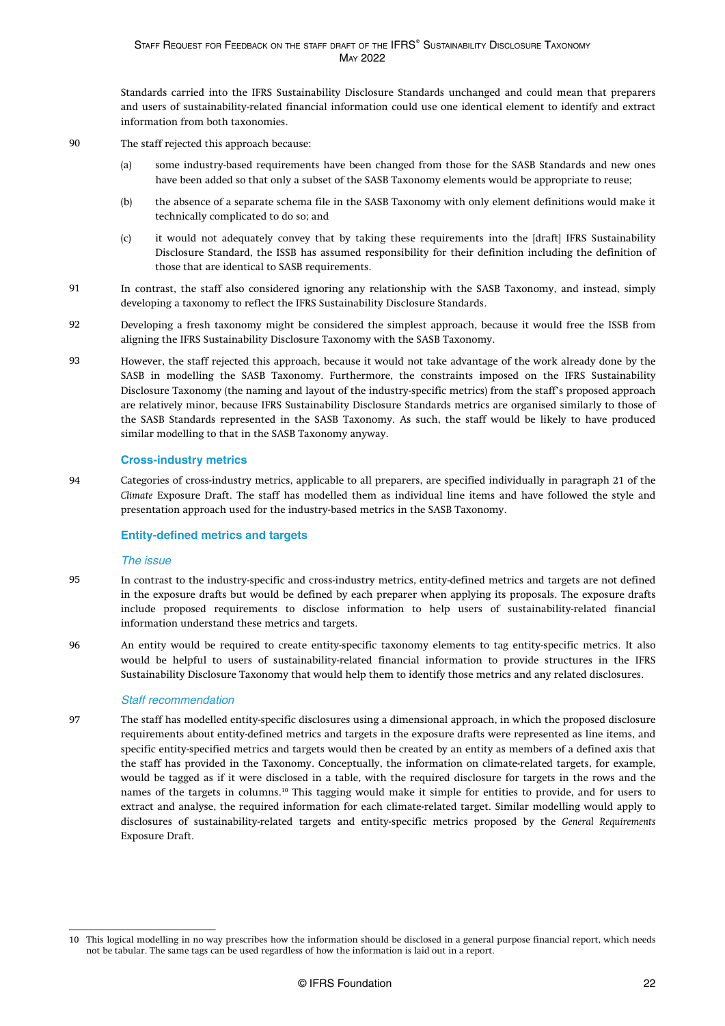<span id="page-22-0"></span>Standards carried into the IFRS Sustainability Disclosure Standards unchanged and could mean that preparers and users of sustainability-related financial information could use one identical element to identify and extract information from both taxonomies.

- The staff rejected this approach because: 90
	- (a) some industry-based requirements have been changed from those for the SASB Standards and new ones have been added so that only a subset of the SASB Taxonomy elements would be appropriate to reuse;
	- (b) the absence of a separate schema file in the SASB Taxonomy with only element definitions would make it technically complicated to do so; and
	- (c) it would not adequately convey that by taking these requirements into the [draft] IFRS Sustainability Disclosure Standard, the ISSB has assumed responsibility for their definition including the definition of those that are identical to SASB requirements.
- In contrast, the staff also considered ignoring any relationship with the SASB Taxonomy, and instead, simply developing a taxonomy to reflect the IFRS Sustainability Disclosure Standards. 91
- Developing a fresh taxonomy might be considered the simplest approach, because it would free the ISSB from aligning the IFRS Sustainability Disclosure Taxonomy with the SASB Taxonomy. 92
- However, the staff rejected this approach, because it would not take advantage of the work already done by the SASB in modelling the SASB Taxonomy. Furthermore, the constraints imposed on the IFRS Sustainability Disclosure Taxonomy (the naming and layout of the industry-specific metrics) from the staff's proposed approach are relatively minor, because IFRS Sustainability Disclosure Standards metrics are organised similarly to those of the SASB Standards represented in the SASB Taxonomy. As such, the staff would be likely to have produced similar modelling to that in the SASB Taxonomy anyway. 93

### **Cross-industry metrics**

Categories of cross-industry metrics, applicable to all preparers, are specified individually in paragraph 21 of the *Climate* Exposure Draft. The staff has modelled them as individual line items and have followed the style and presentation approach used for the industry-based metrics in the SASB Taxonomy. 94

### **Entity-defined metrics and targets**

#### The issue

- In contrast to the industry-specific and cross-industry metrics, entity-defined metrics and targets are not defined in the exposure drafts but would be defined by each preparer when applying its proposals. The exposure drafts include proposed requirements to disclose information to help users of sustainability-related financial information understand these metrics and targets. 95
- An entity would be required to create entity-specific taxonomy elements to tag entity-specific metrics. It also would be helpful to users of sustainability-related financial information to provide structures in the IFRS Sustainability Disclosure Taxonomy that would help them to identify those metrics and any related disclosures. 96

### Staff recommendation

The staff has modelled entity-specific disclosures using a dimensional approach, in which the proposed disclosure requirements about entity-defined metrics and targets in the exposure drafts were represented as line items, and specific entity-specified metrics and targets would then be created by an entity as members of a defined axis that the staff has provided in the Taxonomy. Conceptually, the information on climate-related targets, for example, would be tagged as if it were disclosed in a table, with the required disclosure for targets in the rows and the names of the targets in columns.<sup>10</sup> This tagging would make it simple for entities to provide, and for users to extract and analyse, the required information for each climate-related target. Similar modelling would apply to disclosures of sustainability-related targets and entity-specific metrics proposed by the *General Requirements* Exposure Draft. 97

<sup>10</sup> This logical modelling in no way prescribes how the information should be disclosed in a general purpose financial report, which needs not be tabular. The same tags can be used regardless of how the information is laid out in a report.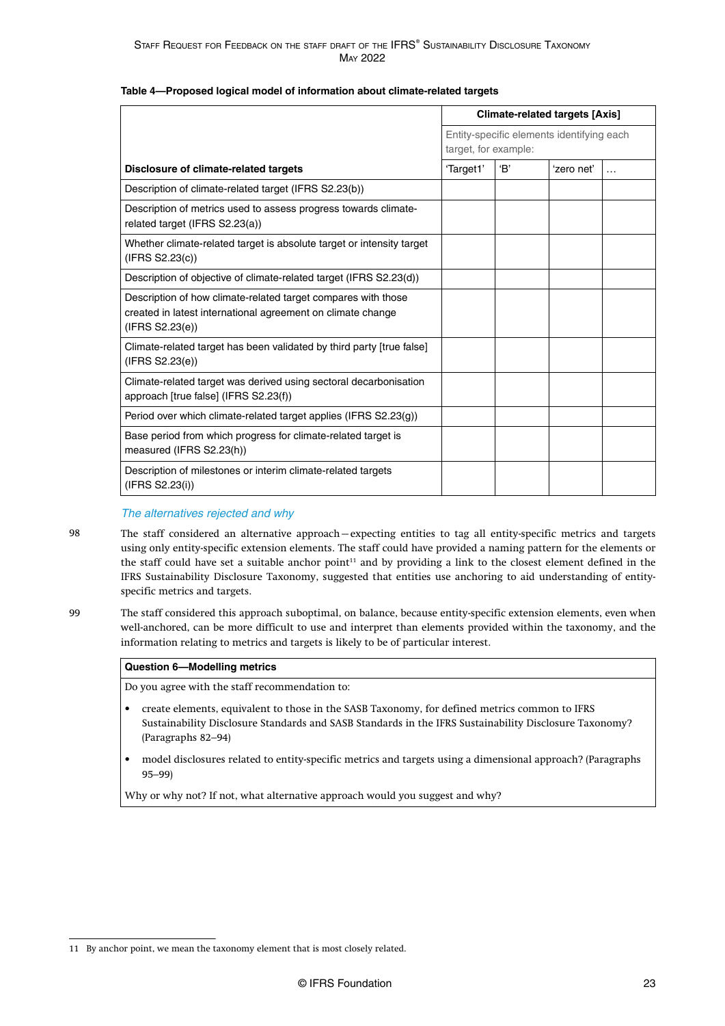#### **Table 4—Proposed logical model of information about climate-related targets**

|                                                                                                                                                 |           |                                                                   | <b>Climate-related targets [Axis]</b> |           |
|-------------------------------------------------------------------------------------------------------------------------------------------------|-----------|-------------------------------------------------------------------|---------------------------------------|-----------|
|                                                                                                                                                 |           | Entity-specific elements identifying each<br>target, for example: |                                       |           |
| Disclosure of climate-related targets                                                                                                           | 'Target1' | 'B'                                                               | 'zero net'                            | $\ddotsc$ |
| Description of climate-related target (IFRS S2.23(b))                                                                                           |           |                                                                   |                                       |           |
| Description of metrics used to assess progress towards climate-<br>related target (IFRS S2.23(a))                                               |           |                                                                   |                                       |           |
| Whether climate-related target is absolute target or intensity target<br>(IFRS S2.23(c))                                                        |           |                                                                   |                                       |           |
| Description of objective of climate-related target (IFRS S2.23(d))                                                                              |           |                                                                   |                                       |           |
| Description of how climate-related target compares with those<br>created in latest international agreement on climate change<br>(IFRS S2.23(e)) |           |                                                                   |                                       |           |
| Climate-related target has been validated by third party [true false]<br>(IFRS S2.23(e))                                                        |           |                                                                   |                                       |           |
| Climate-related target was derived using sectoral decarbonisation<br>approach [true false] (IFRS S2.23(f))                                      |           |                                                                   |                                       |           |
| Period over which climate-related target applies (IFRS S2.23(g))                                                                                |           |                                                                   |                                       |           |
| Base period from which progress for climate-related target is<br>measured (IFRS S2.23(h))                                                       |           |                                                                   |                                       |           |
| Description of milestones or interim climate-related targets<br>(IFRS S2.23(i))                                                                 |           |                                                                   |                                       |           |

### The alternatives rejected and why

- The staff considered an alternative approach—expecting entities to tag all entity-specific metrics and targets using only entity-specific extension elements. The staff could have provided a naming pattern for the elements or the staff could have set a suitable anchor point<sup>11</sup> and by providing a link to the closest element defined in the IFRS Sustainability Disclosure Taxonomy, suggested that entities use anchoring to aid understanding of entityspecific metrics and targets. 98
- The staff considered this approach suboptimal, on balance, because entity-specific extension elements, even when well-anchored, can be more difficult to use and interpret than elements provided within the taxonomy, and the information relating to metrics and targets is likely to be of particular interest. 99

#### **Question 6—Modelling metrics**

Do you agree with the staff recommendation to:

- create elements, equivalent to those in the SASB Taxonomy, for defined metrics common to IFRS Sustainability Disclosure Standards and SASB Standards in the IFRS Sustainability Disclosure Taxonomy? ([Paragraphs 82–94](#page-21-0))
- model disclosures related to entity-specific metrics and targets using a dimensional approach? [\(Paragraphs](#page-22-0) [95–99\)](#page-22-0)

Why or why not? If not, what alternative approach would you suggest and why?

<sup>11</sup> By anchor point, we mean the taxonomy element that is most closely related.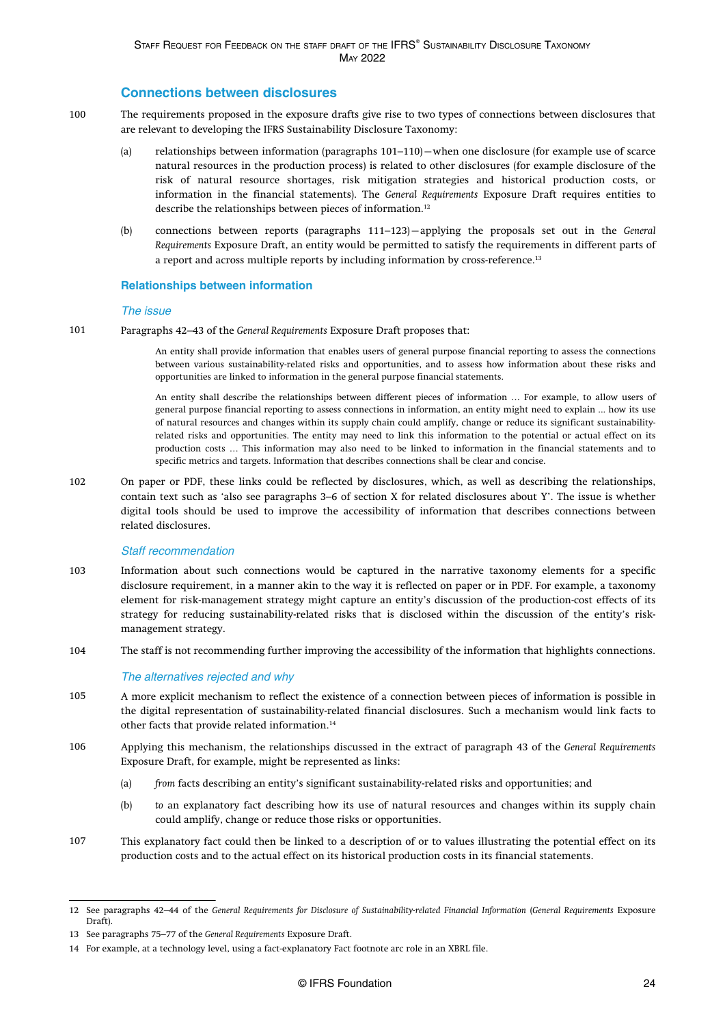### **Connections between disclosures**

- <span id="page-24-0"></span>The requirements proposed in the exposure drafts give rise to two types of connections between disclosures that are relevant to developing the IFRS Sustainability Disclosure Taxonomy: 100
	- (a) relationships between information (paragraphs 101–110)—when one disclosure (for example use of scarce natural resources in the production process) is related to other disclosures (for example disclosure of the risk of natural resource shortages, risk mitigation strategies and historical production costs, or information in the financial statements). The *General Requirements* Exposure Draft requires entities to describe the relationships between pieces of information.<sup>12</sup>
	- (b) connections between reports [\(paragraphs 111–123](#page-25-0))—applying the proposals set out in the *General Requirements* Exposure Draft, an entity would be permitted to satisfy the requirements in different parts of a report and across multiple reports by including information by cross-reference.<sup>13</sup>

### **Relationships between information**

#### The issue

Paragraphs 42–43 of the *General Requirements* Exposure Draft proposes that: 101

> An entity shall provide information that enables users of general purpose financial reporting to assess the connections between various sustainability-related risks and opportunities, and to assess how information about these risks and opportunities are linked to information in the general purpose financial statements.

> An entity shall describe the relationships between different pieces of information … For example, to allow users of general purpose financial reporting to assess connections in information, an entity might need to explain ... how its use of natural resources and changes within its supply chain could amplify, change or reduce its significant sustainabilityrelated risks and opportunities. The entity may need to link this information to the potential or actual effect on its production costs … This information may also need to be linked to information in the financial statements and to specific metrics and targets. Information that describes connections shall be clear and concise.

On paper or PDF, these links could be reflected by disclosures, which, as well as describing the relationships, contain text such as 'also see [paragraphs 3–6](#page-8-0) of section X for related disclosures about Y'. The issue is whether digital tools should be used to improve the accessibility of information that describes connections between related disclosures. 102

#### Staff recommendation

- Information about such connections would be captured in the narrative taxonomy elements for a specific disclosure requirement, in a manner akin to the way it is reflected on paper or in PDF. For example, a taxonomy element for risk-management strategy might capture an entity's discussion of the production-cost effects of its strategy for reducing sustainability-related risks that is disclosed within the discussion of the entity's riskmanagement strategy. 103
- The staff is not recommending further improving the accessibility of the information that highlights connections. 104

#### The alternatives rejected and why

- A more explicit mechanism to reflect the existence of a connection between pieces of information is possible in the digital representation of sustainability-related financial disclosures. Such a mechanism would link facts to other facts that provide related information.<sup>14</sup> 105
- Applying this mechanism, the relationships discussed in the extract of paragraph 43 of the *General Requirements* Exposure Draft, for example, might be represented as links: 106
	- (a) *from* facts describing an entity's significant sustainability-related risks and opportunities; and
	- (b) *to* an explanatory fact describing how its use of natural resources and changes within its supply chain could amplify, change or reduce those risks or opportunities.
- This explanatory fact could then be linked to a description of or to values illustrating the potential effect on its production costs and to the actual effect on its historical production costs in its financial statements. 107

<sup>12</sup> See paragraphs 42–44 of the *[General Requirements for Disclosure of Sustainability-related Financial Information](https://www.ifrs.org/content/dam/ifrs/project/general-sustainability-related-disclosures/exposure-draft-ifrs-s1-general-requirements-for-disclosure-of-sustainability-related-financial-information.pdf)* (*General Requirements* Exposure Draft).

<sup>13</sup> See paragraphs 75–77 of the *General Requirements* Exposure Draft.

<sup>14</sup> For example, at a technology level, using a fact-explanatory Fact footnote arc role in an XBRL file.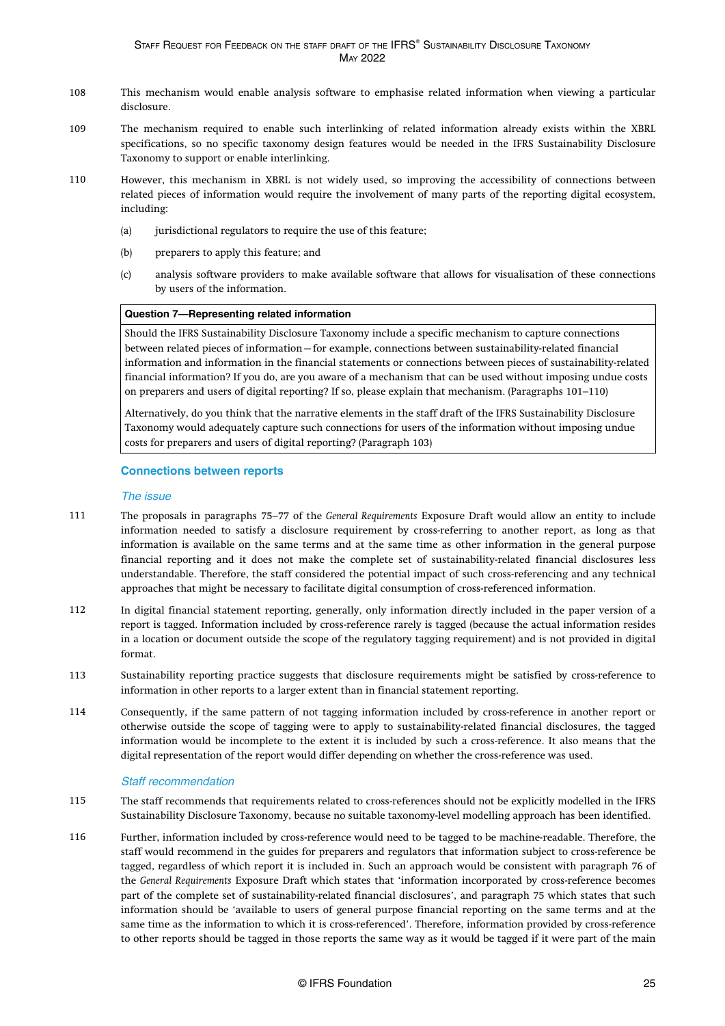- <span id="page-25-0"></span>This mechanism would enable analysis software to emphasise related information when viewing a particular disclosure. 108
- The mechanism required to enable such interlinking of related information already exists within the XBRL specifications, so no specific taxonomy design features would be needed in the IFRS Sustainability Disclosure Taxonomy to support or enable interlinking. 109
- However, this mechanism in XBRL is not widely used, so improving the accessibility of connections between related pieces of information would require the involvement of many parts of the reporting digital ecosystem, including: 110
	- (a) jurisdictional regulators to require the use of this feature;
	- (b) preparers to apply this feature; and
	- (c) analysis software providers to make available software that allows for visualisation of these connections by users of the information.

### **Question 7—Representing related information**

Should the IFRS Sustainability Disclosure Taxonomy include a specific mechanism to capture connections between related pieces of information—for example, connections between sustainability-related financial information and information in the financial statements or connections between pieces of sustainability-related financial information? If you do, are you aware of a mechanism that can be used without imposing undue costs on preparers and users of digital reporting? If so, please explain that mechanism. ([Paragraphs 101–110](#page-24-0))

Alternatively, do you think that the narrative elements in the staff draft of the IFRS Sustainability Disclosure Taxonomy would adequately capture such connections for users of the information without imposing undue costs for preparers and users of digital reporting? [\(Paragraph 103\)](#page-24-0)

### **Connections between reports**

#### The issue

- The proposals in [paragraphs 75–77](#page-20-0) of the *General Requirements* Exposure Draft would allow an entity to include information needed to satisfy a disclosure requirement by cross-referring to another report, as long as that information is available on the same terms and at the same time as other information in the general purpose financial reporting and it does not make the complete set of sustainability-related financial disclosures less understandable. Therefore, the staff considered the potential impact of such cross-referencing and any technical approaches that might be necessary to facilitate digital consumption of cross-referenced information. 111
- In digital financial statement reporting, generally, only information directly included in the paper version of a report is tagged. Information included by cross-reference rarely is tagged (because the actual information resides in a location or document outside the scope of the regulatory tagging requirement) and is not provided in digital format. 112
- Sustainability reporting practice suggests that disclosure requirements might be satisfied by cross-reference to information in other reports to a larger extent than in financial statement reporting. 113
- Consequently, if the same pattern of not tagging information included by cross-reference in another report or otherwise outside the scope of tagging were to apply to sustainability-related financial disclosures, the tagged information would be incomplete to the extent it is included by such a cross-reference. It also means that the digital representation of the report would differ depending on whether the cross-reference was used. 114

#### Staff recommendation

- The staff recommends that requirements related to cross-references should not be explicitly modelled in the IFRS Sustainability Disclosure Taxonomy, because no suitable taxonomy-level modelling approach has been identified. 115
- Further, information included by cross-reference would need to be tagged to be machine-readable. Therefore, the staff would recommend in the guides for preparers and regulators that information subject to cross-reference be tagged, regardless of which report it is included in. Such an approach would be consistent with paragraph 76 of the *General Requirements* Exposure Draft which states that 'information incorporated by cross-reference becomes part of the complete set of sustainability-related financial disclosures', and paragraph 75 which states that such information should be 'available to users of general purpose financial reporting on the same terms and at the same time as the information to which it is cross-referenced'. Therefore, information provided by cross-reference to other reports should be tagged in those reports the same way as it would be tagged if it were part of the main 116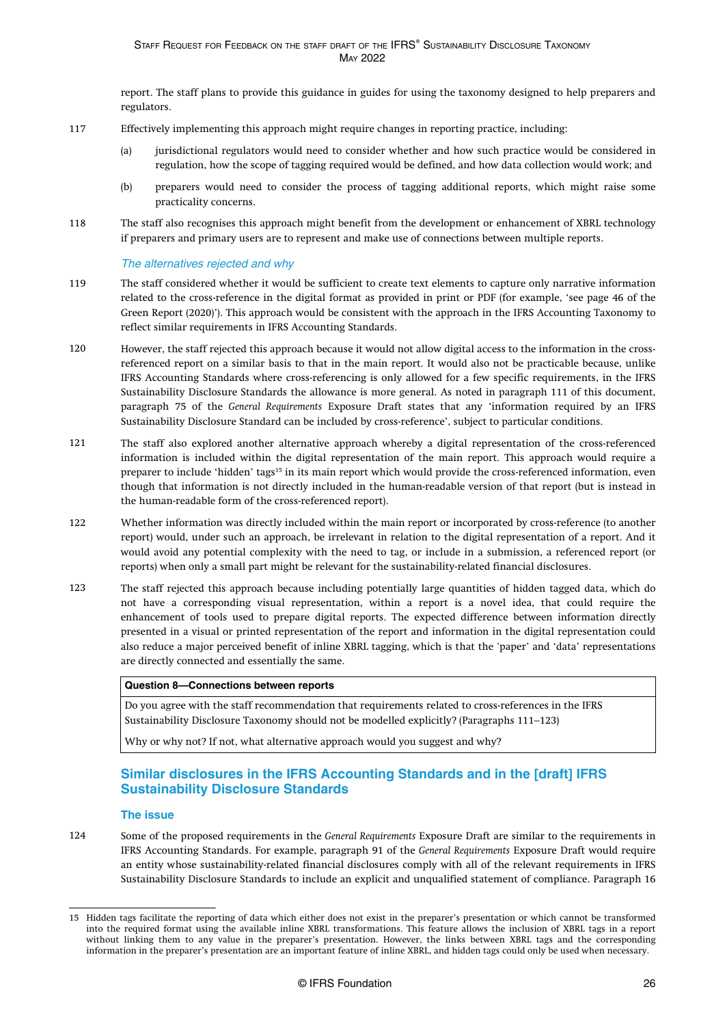report. The staff plans to provide this guidance in guides for using the taxonomy designed to help preparers and regulators.

- <span id="page-26-0"></span>Effectively implementing this approach might require changes in reporting practice, including: 117
	- (a) jurisdictional regulators would need to consider whether and how such practice would be considered in regulation, how the scope of tagging required would be defined, and how data collection would work; and
	- (b) preparers would need to consider the process of tagging additional reports, which might raise some practicality concerns.
- The staff also recognises this approach might benefit from the development or enhancement of XBRL technology if preparers and primary users are to represent and make use of connections between multiple reports. 118

### The alternatives rejected and why

- The staff considered whether it would be sufficient to create text elements to capture only narrative information related to the cross-reference in the digital format as provided in print or PDF (for example, 'see page 46 of the Green Report (2020)'). This approach would be consistent with the approach in the IFRS Accounting Taxonomy to reflect similar requirements in IFRS Accounting Standards. 119
- However, the staff rejected this approach because it would not allow digital access to the information in the crossreferenced report on a similar basis to that in the main report. It would also not be practicable because, unlike IFRS Accounting Standards where cross-referencing is only allowed for a few specific requirements, in the IFRS Sustainability Disclosure Standards the allowance is more general. As noted in paragraph 111 of this document, paragraph 75 of the *General Requirements* Exposure Draft states that any 'information required by an IFRS Sustainability Disclosure Standard can be included by cross-reference', subject to particular conditions. 120
- The staff also explored another alternative approach whereby a digital representation of the cross-referenced information is included within the digital representation of the main report. This approach would require a preparer to include 'hidden' tags<sup>15</sup> in its main report which would provide the cross-referenced information, even though that information is not directly included in the human-readable version of that report (but is instead in the human-readable form of the cross-referenced report). 121
- Whether information was directly included within the main report or incorporated by cross-reference (to another report) would, under such an approach, be irrelevant in relation to the digital representation of a report. And it would avoid any potential complexity with the need to tag, or include in a submission, a referenced report (or reports) when only a small part might be relevant for the sustainability-related financial disclosures. 122
- The staff rejected this approach because including potentially large quantities of hidden tagged data, which do not have a corresponding visual representation, within a report is a novel idea, that could require the enhancement of tools used to prepare digital reports. The expected difference between information directly presented in a visual or printed representation of the report and information in the digital representation could also reduce a major perceived benefit of inline XBRL tagging, which is that the 'paper' and 'data' representations are directly connected and essentially the same. 123

### **Question 8—Connections between reports**

Do you agree with the staff recommendation that requirements related to cross-references in the IFRS Sustainability Disclosure Taxonomy should not be modelled explicitly? ([Paragraphs 111–123](#page-25-0))

Why or why not? If not, what alternative approach would you suggest and why?

### **Similar disclosures in the IFRS Accounting Standards and in the [draft] IFRS Sustainability Disclosure Standards**

#### **The issue**

Some of the proposed requirements in the *General Requirements* Exposure Draft are similar to the requirements in IFRS Accounting Standards. For example, paragraph 91 of the *General Requirements* Exposure Draft would require an entity whose sustainability-related financial disclosures comply with all of the relevant requirements in IFRS Sustainability Disclosure Standards to include an explicit and unqualified statement of compliance. Paragraph 16 124

<sup>15</sup> Hidden tags facilitate the reporting of data which either does not exist in the preparer's presentation or which cannot be transformed into the required format using the available inline XBRL transformations. This feature allows the inclusion of XBRL tags in a report without linking them to any value in the preparer's presentation. However, the links between XBRL tags and the corresponding information in the preparer's presentation are an important feature of inline XBRL, and hidden tags could only be used when necessary.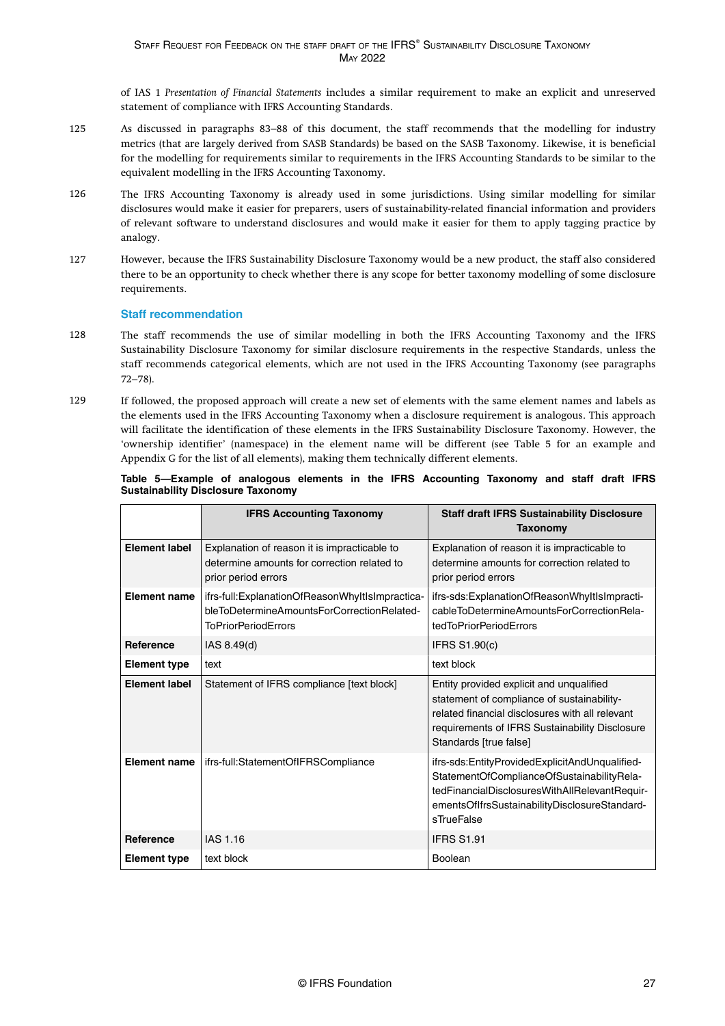of IAS 1 *Presentation of Financial Statements* includes a similar requirement to make an explicit and unreserved statement of compliance with IFRS Accounting Standards.

- <span id="page-27-0"></span>As discussed in paragraphs 83–88 of this document, the staff recommends that the modelling for industry metrics (that are largely derived from SASB Standards) be based on the SASB Taxonomy. Likewise, it is beneficial for the modelling for requirements similar to requirements in the IFRS Accounting Standards to be similar to the equivalent modelling in the IFRS Accounting Taxonomy. 125
- The IFRS Accounting Taxonomy is already used in some jurisdictions. Using similar modelling for similar disclosures would make it easier for preparers, users of sustainability-related financial information and providers of relevant software to understand disclosures and would make it easier for them to apply tagging practice by analogy. 126
- However, because the IFRS Sustainability Disclosure Taxonomy would be a new product, the staff also considered there to be an opportunity to check whether there is any scope for better taxonomy modelling of some disclosure requirements. 127

### **Staff recommendation**

- The staff recommends the use of similar modelling in both the IFRS Accounting Taxonomy and the IFRS Sustainability Disclosure Taxonomy for similar disclosure requirements in the respective Standards, unless the staff recommends categorical elements, which are not used in the IFRS Accounting Taxonomy (see [paragraphs](#page-19-0) [72–78](#page-19-0)). 128
- If followed, the proposed approach will create a new set of elements with the same element names and labels as the elements used in the IFRS Accounting Taxonomy when a disclosure requirement is analogous. This approach will facilitate the identification of these elements in the IFRS Sustainability Disclosure Taxonomy. However, the 'ownership identifier' (namespace) in the element name will be different (see Table 5 for an example and [Appendix G](#page-41-0) for the list of all elements), making them technically different elements. 129

### **Table 5—Example of analogous elements in the IFRS Accounting Taxonomy and staff draft IFRS Sustainability Disclosure Taxonomy**

|                      | <b>IFRS Accounting Taxonomy</b>                                                                                             | <b>Staff draft IFRS Sustainability Disclosure</b><br>Taxonomy                                                                                                                                                         |
|----------------------|-----------------------------------------------------------------------------------------------------------------------------|-----------------------------------------------------------------------------------------------------------------------------------------------------------------------------------------------------------------------|
| <b>Element label</b> | Explanation of reason it is impracticable to<br>determine amounts for correction related to<br>prior period errors          | Explanation of reason it is impracticable to<br>determine amounts for correction related to<br>prior period errors                                                                                                    |
| <b>Element name</b>  | ifrs-full:ExplanationOfReasonWhyItIsImpractica-<br>bleToDetermineAmountsForCorrectionRelated-<br><b>ToPriorPeriodErrors</b> | ifrs-sds:ExplanationOfReasonWhyItIsImpracti-<br>cableToDetermineAmountsForCorrectionRela-<br>tedToPriorPeriodErrors                                                                                                   |
| <b>Reference</b>     | IAS 8.49(d)                                                                                                                 | <b>IFRS S1.90(c)</b>                                                                                                                                                                                                  |
| <b>Element type</b>  | text                                                                                                                        | text block                                                                                                                                                                                                            |
| <b>Element label</b> | Statement of IFRS compliance [text block]                                                                                   | Entity provided explicit and unqualified<br>statement of compliance of sustainability-<br>related financial disclosures with all relevant<br>requirements of IFRS Sustainability Disclosure<br>Standards [true false] |
| <b>Element name</b>  | ifrs-full:StatementOfIFRSCompliance                                                                                         | ifrs-sds:EntityProvidedExplicitAndUnqualified-<br>StatementOfComplianceOfSustainabilityRela-<br>tedFinancialDisclosuresWithAllRelevantRequir-<br>ementsOfIfrsSustainabilityDisclosureStandard-<br>sTrueFalse          |
| <b>Reference</b>     | IAS 1.16                                                                                                                    | <b>IFRS S1.91</b>                                                                                                                                                                                                     |
| <b>Element type</b>  | text block                                                                                                                  | Boolean                                                                                                                                                                                                               |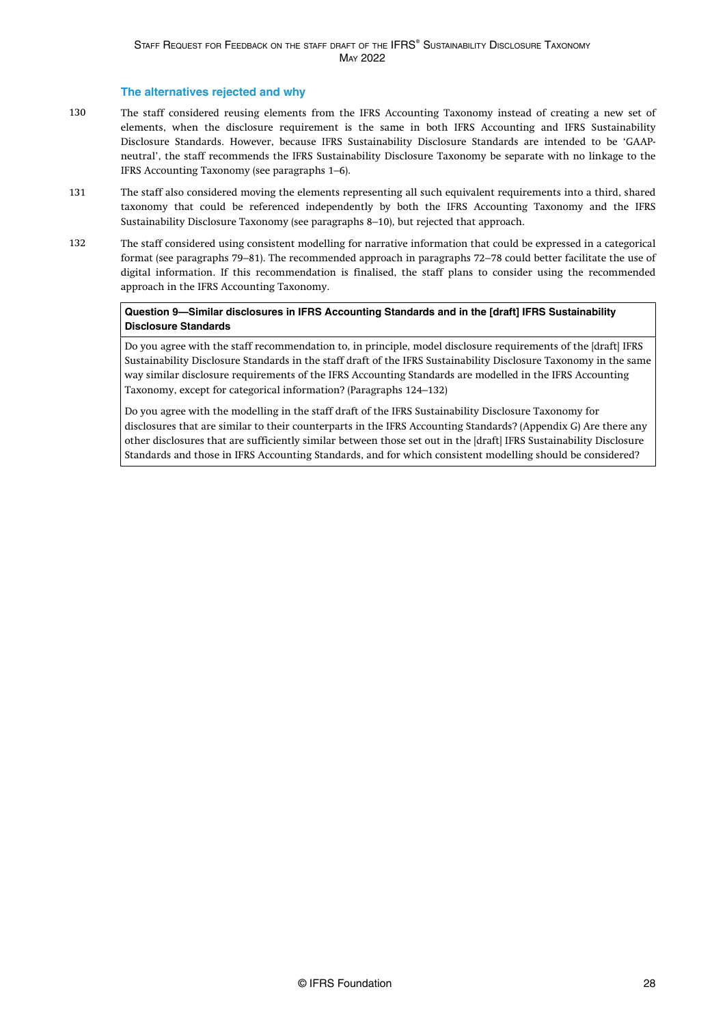### **The alternatives rejected and why**

- The staff considered reusing elements from the IFRS Accounting Taxonomy instead of creating a new set of elements, when the disclosure requirement is the same in both IFRS Accounting and IFRS Sustainability Disclosure Standards. However, because IFRS Sustainability Disclosure Standards are intended to be 'GAAPneutral', the staff recommends the IFRS Sustainability Disclosure Taxonomy be separate with no linkage to the IFRS Accounting Taxonomy (see [paragraphs 1–6](#page-8-0)). 130
- The staff also considered moving the elements representing all such equivalent requirements into a third, shared taxonomy that could be referenced independently by both the IFRS Accounting Taxonomy and the IFRS Sustainability Disclosure Taxonomy (see paragraphs 8–10), but rejected that approach. 131
- The staff considered using consistent modelling for narrative information that could be expressed in a categorical format (see [paragraphs 79–81\)](#page-20-0). The recommended approach in [paragraphs 72–78](#page-19-0) could better facilitate the use of digital information. If this recommendation is finalised, the staff plans to consider using the recommended approach in the IFRS Accounting Taxonomy. 132

### **Question 9—Similar disclosures in IFRS Accounting Standards and in the [draft] IFRS Sustainability Disclosure Standards**

Do you agree with the staff recommendation to, in principle, model disclosure requirements of the [draft] IFRS Sustainability Disclosure Standards in the staff draft of the IFRS Sustainability Disclosure Taxonomy in the same way similar disclosure requirements of the IFRS Accounting Standards are modelled in the IFRS Accounting Taxonomy, except for categorical information? ([Paragraphs 124–132](#page-26-0))

Do you agree with the modelling in the staff draft of the IFRS Sustainability Disclosure Taxonomy for disclosures that are similar to their counterparts in the IFRS Accounting Standards? [\(Appendix G](#page-41-0)) Are there any other disclosures that are sufficiently similar between those set out in the [draft] IFRS Sustainability Disclosure Standards and those in IFRS Accounting Standards, and for which consistent modelling should be considered?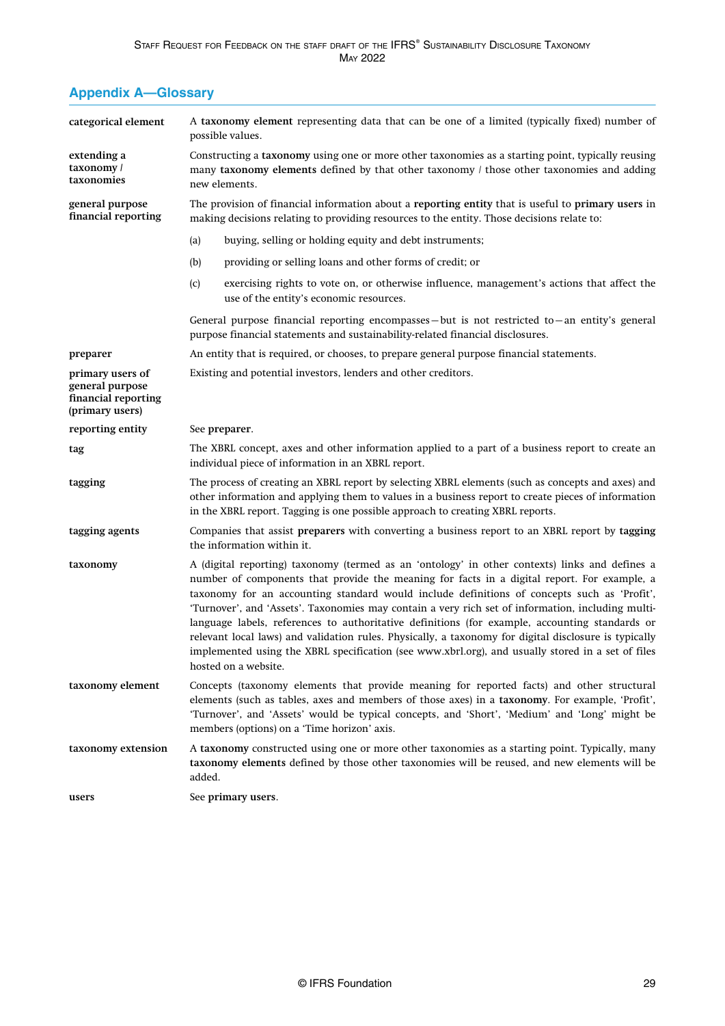# <span id="page-29-0"></span>**Appendix A—Glossary**

| categorical element                                                           | A taxonomy element representing data that can be one of a limited (typically fixed) number of<br>possible values.                                                                                                                                                                                                                                                                                                                                                                                                                                                                                                                                                                                                                         |  |  |
|-------------------------------------------------------------------------------|-------------------------------------------------------------------------------------------------------------------------------------------------------------------------------------------------------------------------------------------------------------------------------------------------------------------------------------------------------------------------------------------------------------------------------------------------------------------------------------------------------------------------------------------------------------------------------------------------------------------------------------------------------------------------------------------------------------------------------------------|--|--|
| extending a<br>taxonomy /<br>taxonomies                                       | Constructing a taxonomy using one or more other taxonomies as a starting point, typically reusing<br>many taxonomy elements defined by that other taxonomy / those other taxonomies and adding<br>new elements.                                                                                                                                                                                                                                                                                                                                                                                                                                                                                                                           |  |  |
| general purpose<br>financial reporting                                        | The provision of financial information about a reporting entity that is useful to primary users in<br>making decisions relating to providing resources to the entity. Those decisions relate to:                                                                                                                                                                                                                                                                                                                                                                                                                                                                                                                                          |  |  |
|                                                                               | buying, selling or holding equity and debt instruments;<br>(a)                                                                                                                                                                                                                                                                                                                                                                                                                                                                                                                                                                                                                                                                            |  |  |
|                                                                               | providing or selling loans and other forms of credit; or<br>(b)                                                                                                                                                                                                                                                                                                                                                                                                                                                                                                                                                                                                                                                                           |  |  |
|                                                                               | exercising rights to vote on, or otherwise influence, management's actions that affect the<br>(c)<br>use of the entity's economic resources.                                                                                                                                                                                                                                                                                                                                                                                                                                                                                                                                                                                              |  |  |
|                                                                               | General purpose financial reporting encompasses – but is not restricted to – an entity's general<br>purpose financial statements and sustainability-related financial disclosures.                                                                                                                                                                                                                                                                                                                                                                                                                                                                                                                                                        |  |  |
| preparer                                                                      | An entity that is required, or chooses, to prepare general purpose financial statements.                                                                                                                                                                                                                                                                                                                                                                                                                                                                                                                                                                                                                                                  |  |  |
| primary users of<br>general purpose<br>financial reporting<br>(primary users) | Existing and potential investors, lenders and other creditors.                                                                                                                                                                                                                                                                                                                                                                                                                                                                                                                                                                                                                                                                            |  |  |
| reporting entity                                                              | See preparer.                                                                                                                                                                                                                                                                                                                                                                                                                                                                                                                                                                                                                                                                                                                             |  |  |
| tag                                                                           | The XBRL concept, axes and other information applied to a part of a business report to create an<br>individual piece of information in an XBRL report.                                                                                                                                                                                                                                                                                                                                                                                                                                                                                                                                                                                    |  |  |
| tagging                                                                       | The process of creating an XBRL report by selecting XBRL elements (such as concepts and axes) and<br>other information and applying them to values in a business report to create pieces of information<br>in the XBRL report. Tagging is one possible approach to creating XBRL reports.                                                                                                                                                                                                                                                                                                                                                                                                                                                 |  |  |
| tagging agents                                                                | Companies that assist preparers with converting a business report to an XBRL report by tagging<br>the information within it.                                                                                                                                                                                                                                                                                                                                                                                                                                                                                                                                                                                                              |  |  |
| taxonomy                                                                      | A (digital reporting) taxonomy (termed as an 'ontology' in other contexts) links and defines a<br>number of components that provide the meaning for facts in a digital report. For example, a<br>taxonomy for an accounting standard would include definitions of concepts such as 'Profit',<br>'Turnover', and 'Assets'. Taxonomies may contain a very rich set of information, including multi-<br>language labels, references to authoritative definitions (for example, accounting standards or<br>relevant local laws) and validation rules. Physically, a taxonomy for digital disclosure is typically<br>implemented using the XBRL specification (see www.xbrl.org), and usually stored in a set of files<br>hosted on a website. |  |  |
| taxonomy element                                                              | Concepts (taxonomy elements that provide meaning for reported facts) and other structural<br>elements (such as tables, axes and members of those axes) in a taxonomy. For example, 'Profit',<br>'Turnover', and 'Assets' would be typical concepts, and 'Short', 'Medium' and 'Long' might be<br>members (options) on a 'Time horizon' axis.                                                                                                                                                                                                                                                                                                                                                                                              |  |  |
| taxonomy extension                                                            | A taxonomy constructed using one or more other taxonomies as a starting point. Typically, many<br>taxonomy elements defined by those other taxonomies will be reused, and new elements will be<br>added.                                                                                                                                                                                                                                                                                                                                                                                                                                                                                                                                  |  |  |
| users                                                                         | See primary users.                                                                                                                                                                                                                                                                                                                                                                                                                                                                                                                                                                                                                                                                                                                        |  |  |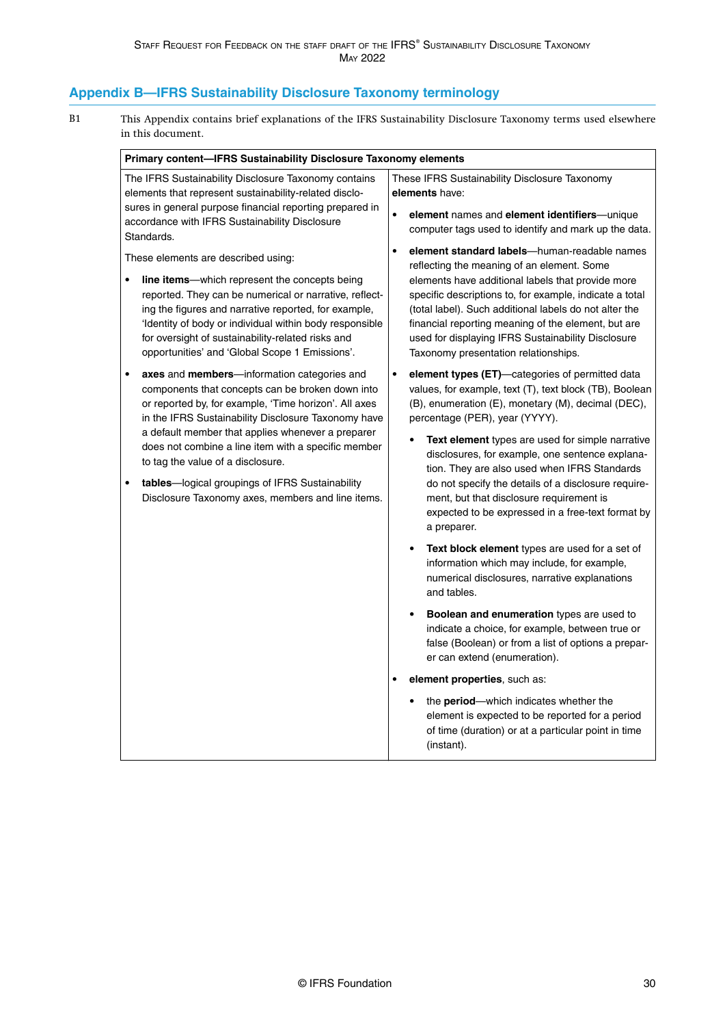## <span id="page-30-0"></span>**Appendix B—IFRS Sustainability Disclosure Taxonomy terminology**

This Appendix contains brief explanations of the IFRS Sustainability Disclosure Taxonomy terms used elsewhere in this document. B1

| Primary content-IFRS Sustainability Disclosure Taxonomy elements                                                                                                                                                                                                                                                                                                                                                                                                                                                                                                                                                                                                                                                                                                                                                                                                                                                                                                                                                                                                                                                                             |                                                                                                                                                                                                                                                                                                                                                                                                                                                                                                                                                                                                                                                                                                                                                                                                                                                                                                                                                                                                                                                                                                                                                                                 |  |
|----------------------------------------------------------------------------------------------------------------------------------------------------------------------------------------------------------------------------------------------------------------------------------------------------------------------------------------------------------------------------------------------------------------------------------------------------------------------------------------------------------------------------------------------------------------------------------------------------------------------------------------------------------------------------------------------------------------------------------------------------------------------------------------------------------------------------------------------------------------------------------------------------------------------------------------------------------------------------------------------------------------------------------------------------------------------------------------------------------------------------------------------|---------------------------------------------------------------------------------------------------------------------------------------------------------------------------------------------------------------------------------------------------------------------------------------------------------------------------------------------------------------------------------------------------------------------------------------------------------------------------------------------------------------------------------------------------------------------------------------------------------------------------------------------------------------------------------------------------------------------------------------------------------------------------------------------------------------------------------------------------------------------------------------------------------------------------------------------------------------------------------------------------------------------------------------------------------------------------------------------------------------------------------------------------------------------------------|--|
| The IFRS Sustainability Disclosure Taxonomy contains<br>elements that represent sustainability-related disclo-<br>sures in general purpose financial reporting prepared in<br>accordance with IFRS Sustainability Disclosure<br>Standards.<br>These elements are described using:<br>line items--- which represent the concepts being<br>$\bullet$<br>reported. They can be numerical or narrative, reflect-<br>ing the figures and narrative reported, for example,<br>'Identity of body or individual within body responsible<br>for oversight of sustainability-related risks and<br>opportunities' and 'Global Scope 1 Emissions'.<br>axes and members-information categories and<br>$\bullet$<br>components that concepts can be broken down into<br>or reported by, for example, 'Time horizon'. All axes<br>in the IFRS Sustainability Disclosure Taxonomy have<br>a default member that applies whenever a preparer<br>does not combine a line item with a specific member<br>to tag the value of a disclosure.<br>tables-logical groupings of IFRS Sustainability<br>$\bullet$<br>Disclosure Taxonomy axes, members and line items. | These IFRS Sustainability Disclosure Taxonomy<br>elements have:<br>$\bullet$<br>element names and element identifiers-unique<br>computer tags used to identify and mark up the data.<br>$\bullet$<br>element standard labels-human-readable names<br>reflecting the meaning of an element. Some<br>elements have additional labels that provide more<br>specific descriptions to, for example, indicate a total<br>(total label). Such additional labels do not alter the<br>financial reporting meaning of the element, but are<br>used for displaying IFRS Sustainability Disclosure<br>Taxonomy presentation relationships.<br>element types (ET)-categories of permitted data<br>$\bullet$<br>values, for example, text (T), text block (TB), Boolean<br>(B), enumeration (E), monetary (M), decimal (DEC),<br>percentage (PER), year (YYYY).<br>Text element types are used for simple narrative<br>disclosures, for example, one sentence explana-<br>tion. They are also used when IFRS Standards<br>do not specify the details of a disclosure require-<br>ment, but that disclosure requirement is<br>expected to be expressed in a free-text format by<br>a preparer. |  |
|                                                                                                                                                                                                                                                                                                                                                                                                                                                                                                                                                                                                                                                                                                                                                                                                                                                                                                                                                                                                                                                                                                                                              | Text block element types are used for a set of<br>information which may include, for example,<br>numerical disclosures, narrative explanations<br>and tables.                                                                                                                                                                                                                                                                                                                                                                                                                                                                                                                                                                                                                                                                                                                                                                                                                                                                                                                                                                                                                   |  |
|                                                                                                                                                                                                                                                                                                                                                                                                                                                                                                                                                                                                                                                                                                                                                                                                                                                                                                                                                                                                                                                                                                                                              | <b>Boolean and enumeration types are used to</b><br>indicate a choice, for example, between true or<br>false (Boolean) or from a list of options a prepar-<br>er can extend (enumeration).                                                                                                                                                                                                                                                                                                                                                                                                                                                                                                                                                                                                                                                                                                                                                                                                                                                                                                                                                                                      |  |
|                                                                                                                                                                                                                                                                                                                                                                                                                                                                                                                                                                                                                                                                                                                                                                                                                                                                                                                                                                                                                                                                                                                                              | element properties, such as:                                                                                                                                                                                                                                                                                                                                                                                                                                                                                                                                                                                                                                                                                                                                                                                                                                                                                                                                                                                                                                                                                                                                                    |  |
|                                                                                                                                                                                                                                                                                                                                                                                                                                                                                                                                                                                                                                                                                                                                                                                                                                                                                                                                                                                                                                                                                                                                              | the period-which indicates whether the<br>element is expected to be reported for a period<br>of time (duration) or at a particular point in time<br>(instant).                                                                                                                                                                                                                                                                                                                                                                                                                                                                                                                                                                                                                                                                                                                                                                                                                                                                                                                                                                                                                  |  |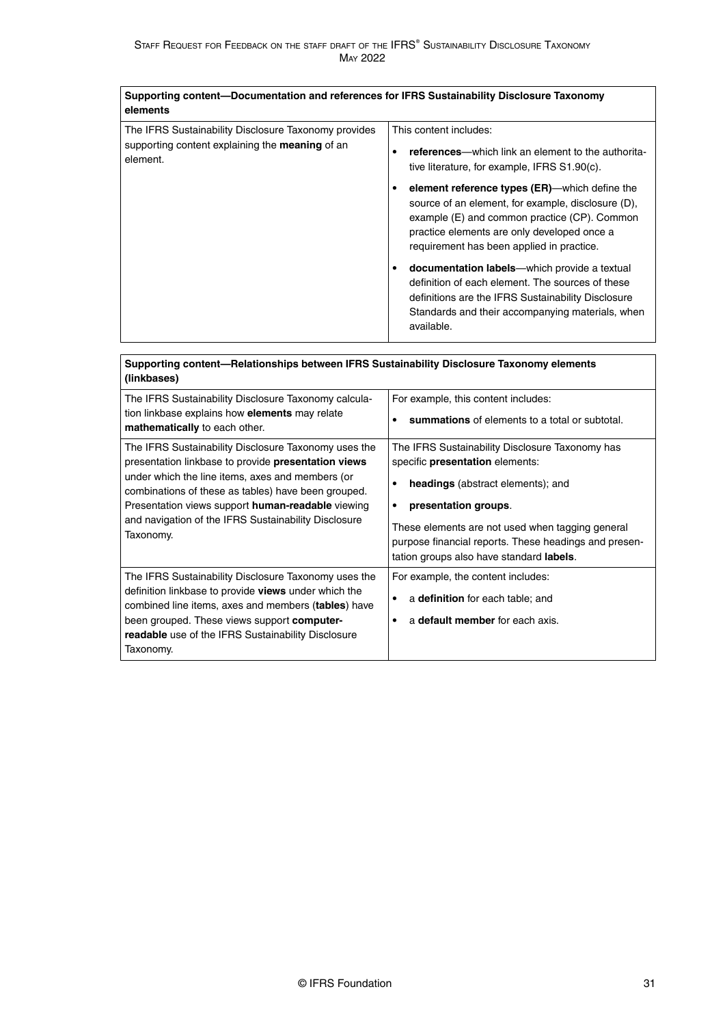| Supporting content—Documentation and references for IFRS Sustainability Disclosure Taxonomy<br>elements                    |                                                                                                                                                                                                                                                      |  |
|----------------------------------------------------------------------------------------------------------------------------|------------------------------------------------------------------------------------------------------------------------------------------------------------------------------------------------------------------------------------------------------|--|
| The IFRS Sustainability Disclosure Taxonomy provides<br>supporting content explaining the <b>meaning</b> of an<br>element. | This content includes:<br>references—which link an element to the authorita-<br>٠<br>tive literature, for example, IFRS S1.90(c).                                                                                                                    |  |
|                                                                                                                            | element reference types (ER)—which define the<br>٠<br>source of an element, for example, disclosure (D),<br>example (E) and common practice (CP). Common<br>practice elements are only developed once a<br>requirement has been applied in practice. |  |
|                                                                                                                            | <b>documentation labels</b> —which provide a textual<br>٠<br>definition of each element. The sources of these<br>definitions are the IFRS Sustainability Disclosure<br>Standards and their accompanying materials, when<br>available.                |  |

| Supporting content—Relationships between IFRS Sustainability Disclosure Taxonomy elements<br>(linkbases)                                                                                                                                                                                                                                         |                                                                                                                                                                                                                                                                                                                           |
|--------------------------------------------------------------------------------------------------------------------------------------------------------------------------------------------------------------------------------------------------------------------------------------------------------------------------------------------------|---------------------------------------------------------------------------------------------------------------------------------------------------------------------------------------------------------------------------------------------------------------------------------------------------------------------------|
| The IFRS Sustainability Disclosure Taxonomy calcula-<br>tion linkbase explains how elements may relate<br>mathematically to each other.                                                                                                                                                                                                          | For example, this content includes:<br>summations of elements to a total or subtotal.                                                                                                                                                                                                                                     |
| The IFRS Sustainability Disclosure Taxonomy uses the<br>presentation linkbase to provide presentation views<br>under which the line items, axes and members (or<br>combinations of these as tables) have been grouped.<br>Presentation views support human-readable viewing<br>and navigation of the IFRS Sustainability Disclosure<br>Taxonomy. | The IFRS Sustainability Disclosure Taxonomy has<br>specific presentation elements:<br><b>headings</b> (abstract elements); and<br>٠<br>presentation groups.<br>٠<br>These elements are not used when tagging general<br>purpose financial reports. These headings and presen-<br>tation groups also have standard labels. |
| The IFRS Sustainability Disclosure Taxonomy uses the<br>definition linkbase to provide views under which the<br>combined line items, axes and members (tables) have<br>been grouped. These views support <b>computer-</b><br><b>readable</b> use of the IFRS Sustainability Disclosure<br>Taxonomy.                                              | For example, the content includes:<br>a definition for each table; and<br>٠<br>a default member for each axis.                                                                                                                                                                                                            |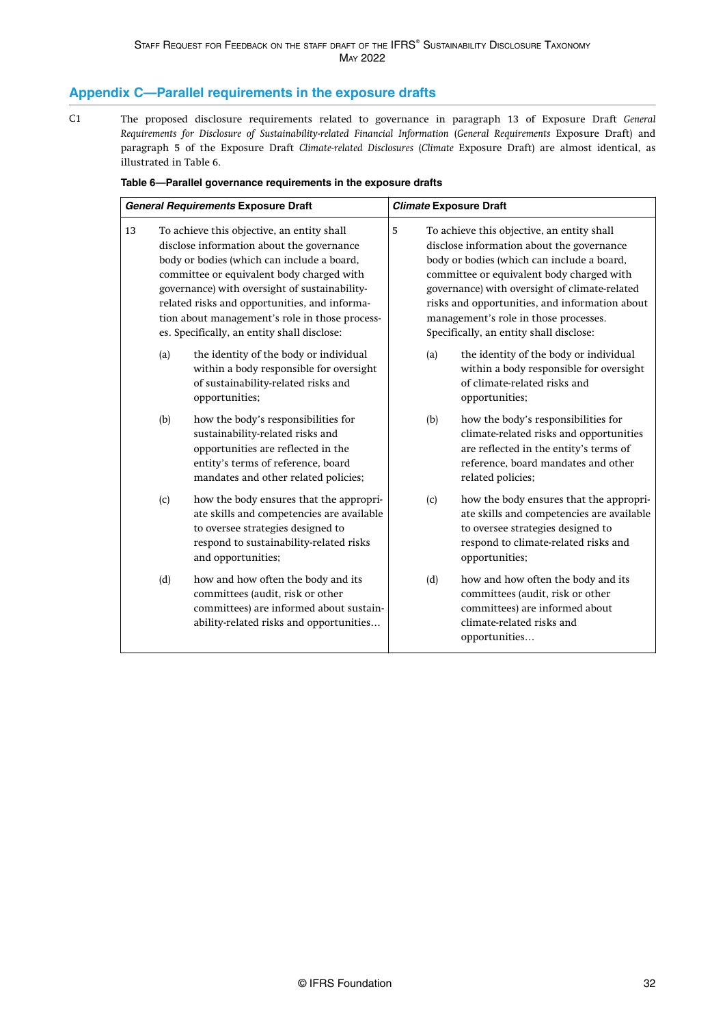### <span id="page-32-0"></span>**Appendix C—Parallel requirements in the exposure drafts**

The proposed disclosure requirements related to governance in paragraph 13 of Exposure Draft *[General](https://www.ifrs.org/content/dam/ifrs/project/general-sustainability-related-disclosures/exposure-draft-ifrs-s1-general-requirements-for-disclosure-of-sustainability-related-financial-information.pdf) [Requirements for Disclosure of Sustainability-related Financial Information](https://www.ifrs.org/content/dam/ifrs/project/general-sustainability-related-disclosures/exposure-draft-ifrs-s1-general-requirements-for-disclosure-of-sustainability-related-financial-information.pdf)* (*General Requirements* Exposure Draft) and paragraph 5 of the Exposure Draft *[Climate-related Disclosures](https://www.ifrs.org/content/dam/ifrs/project/climate-related-disclosures/issb-exposure-draft-2022-2-climate-related-disclosures.pdf)* (*Climate* Exposure Draft) are almost identical, as illustrated in Table 6.  $C<sub>1</sub>$ 

| Table 6-Parallel governance requirements in the exposure drafts |  |  |
|-----------------------------------------------------------------|--|--|
|                                                                 |  |  |

| <b>General Requirements Exposure Draft</b> |     | <b>Climate Exposure Draft</b>                                                                                                                                                                                                                                                                                                                                                         |                                                                                                                                                                                                                                                                                                                                                                                |     |                                                                                                                                                                                      |
|--------------------------------------------|-----|---------------------------------------------------------------------------------------------------------------------------------------------------------------------------------------------------------------------------------------------------------------------------------------------------------------------------------------------------------------------------------------|--------------------------------------------------------------------------------------------------------------------------------------------------------------------------------------------------------------------------------------------------------------------------------------------------------------------------------------------------------------------------------|-----|--------------------------------------------------------------------------------------------------------------------------------------------------------------------------------------|
| 13                                         |     | To achieve this objective, an entity shall<br>disclose information about the governance<br>body or bodies (which can include a board,<br>committee or equivalent body charged with<br>governance) with oversight of sustainability-<br>related risks and opportunities, and informa-<br>tion about management's role in those process-<br>es. Specifically, an entity shall disclose: | 5<br>To achieve this objective, an entity shall<br>disclose information about the governance<br>body or bodies (which can include a board,<br>committee or equivalent body charged with<br>governance) with oversight of climate-related<br>risks and opportunities, and information about<br>management's role in those processes.<br>Specifically, an entity shall disclose: |     |                                                                                                                                                                                      |
|                                            | (a) | the identity of the body or individual<br>within a body responsible for oversight<br>of sustainability-related risks and<br>opportunities;                                                                                                                                                                                                                                            |                                                                                                                                                                                                                                                                                                                                                                                | (a) | the identity of the body or individual<br>within a body responsible for oversight<br>of climate-related risks and<br>opportunities;                                                  |
|                                            | (b) | how the body's responsibilities for<br>sustainability-related risks and<br>opportunities are reflected in the<br>entity's terms of reference, board<br>mandates and other related policies;                                                                                                                                                                                           |                                                                                                                                                                                                                                                                                                                                                                                | (b) | how the body's responsibilities for<br>climate-related risks and opportunities<br>are reflected in the entity's terms of<br>reference, board mandates and other<br>related policies; |
|                                            | (c) | how the body ensures that the appropri-<br>ate skills and competencies are available<br>to oversee strategies designed to<br>respond to sustainability-related risks<br>and opportunities;                                                                                                                                                                                            |                                                                                                                                                                                                                                                                                                                                                                                | (c) | how the body ensures that the appropri-<br>ate skills and competencies are available<br>to oversee strategies designed to<br>respond to climate-related risks and<br>opportunities;  |
|                                            | (d) | how and how often the body and its<br>committees (audit, risk or other<br>committees) are informed about sustain-<br>ability-related risks and opportunities                                                                                                                                                                                                                          |                                                                                                                                                                                                                                                                                                                                                                                | (d) | how and how often the body and its<br>committees (audit, risk or other<br>committees) are informed about<br>climate-related risks and<br>opportunities                               |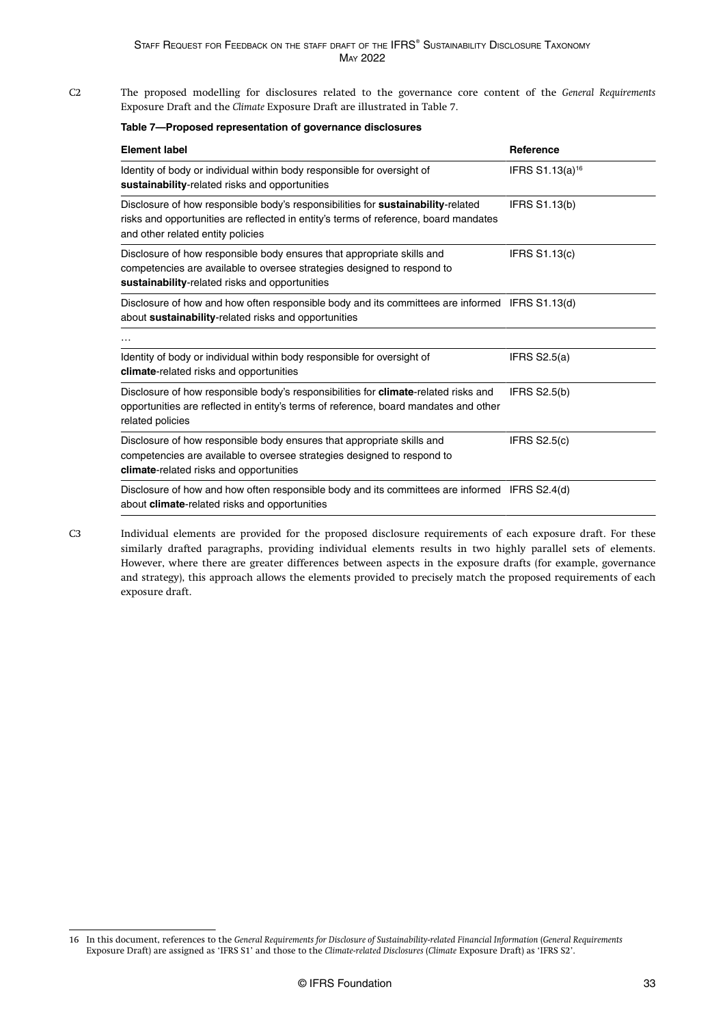The proposed modelling for disclosures related to the governance core content of the *General Requirements* Exposure Draft and the *Climate* Exposure Draft are illustrated in Table 7. C2

| <b>Element label</b>                                                                                                                                                                                          | <b>Reference</b>            |
|---------------------------------------------------------------------------------------------------------------------------------------------------------------------------------------------------------------|-----------------------------|
| Identity of body or individual within body responsible for oversight of<br>sustainability-related risks and opportunities                                                                                     | IFRS S1.13(a) <sup>16</sup> |
| Disclosure of how responsible body's responsibilities for sustainability-related<br>risks and opportunities are reflected in entity's terms of reference, board mandates<br>and other related entity policies | <b>IFRS S1.13(b)</b>        |
| Disclosure of how responsible body ensures that appropriate skills and<br>competencies are available to oversee strategies designed to respond to<br>sustainability-related risks and opportunities           | <b>IFRS S1.13(c)</b>        |
| Disclosure of how and how often responsible body and its committees are informed IFRS S1.13(d)<br>about sustainability-related risks and opportunities                                                        |                             |
| .                                                                                                                                                                                                             |                             |
| Identity of body or individual within body responsible for oversight of<br><b>climate-related risks and opportunities</b>                                                                                     | IFRS $S2.5(a)$              |
| Disclosure of how responsible body's responsibilities for <b>climate-related risks and</b><br>opportunities are reflected in entity's terms of reference, board mandates and other<br>related policies        | <b>IFRS S2.5(b)</b>         |
| Disclosure of how responsible body ensures that appropriate skills and<br>competencies are available to oversee strategies designed to respond to<br><b>climate-related risks and opportunities</b>           | IFRS $S2.5(c)$              |
| Disclosure of how and how often responsible body and its committees are informed IFRS S2.4(d)<br>about <b>climate-related</b> risks and opportunities                                                         |                             |

C3

Individual elements are provided for the proposed disclosure requirements of each exposure draft. For these similarly drafted paragraphs, providing individual elements results in two highly parallel sets of elements. However, where there are greater differences between aspects in the exposure drafts (for example, governance and strategy), this approach allows the elements provided to precisely match the proposed requirements of each exposure draft.

<sup>16</sup> In this document, references to the *General Requirements for Disclosure of Sustainability-related Financial Information* (*General Requirements* Exposure Draft) are assigned as 'IFRS S1' and those to the *[Climate-related Disclosures](https://www.ifrs.org/content/dam/ifrs/project/climate-related-disclosures/issb-exposure-draft-2022-2-climate-related-disclosures.pdf)* (*Climate* Exposure Draft) as 'IFRS S2'.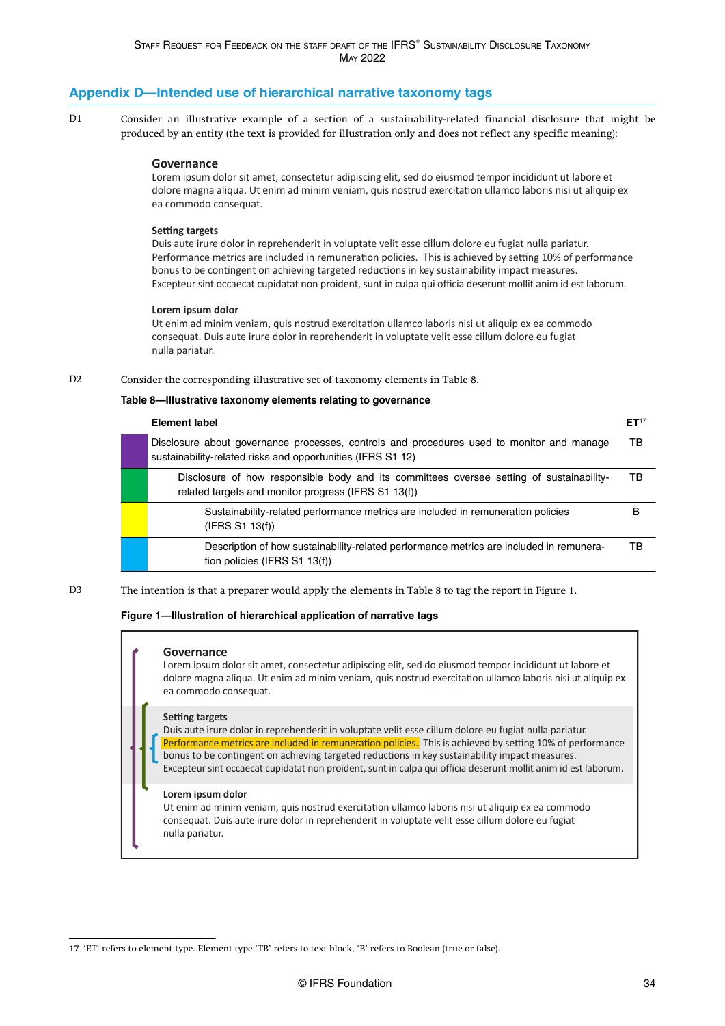### <span id="page-34-0"></span>**Appendix D—Intended use of hierarchical narrative taxonomy tags**

Consider an illustrative example of a section of a sustainability-related financial disclosure that might be produced by an entity (the text is provided for illustration only and does not reflect any specific meaning): D<sub>1</sub>

#### **Governance**

Lorem ipsum dolor sit amet, consectetur adipiscing elit, sed do eiusmod tempor incididunt ut labore et dolore magna aliqua. Ut enim ad minim veniam, quis nostrud exercitation ullamco laboris nisi ut aliquip ex ea commodo consequat.

#### **Setting targets**

Duis aute irure dolor in reprehenderit in voluptate velit esse cillum dolore eu fugiat nulla pariatur. Performance metrics are included in remuneration policies. This is achieved by setting 10% of performance bonus to be contingent on achieving targeted reductions in key sustainability impact measures. Excepteur sint occaecat cupidatat non proident, sunt in culpa qui officia deserunt mollit anim id est laborum.

#### **Lorem ipsum dolor**

Ut enim ad minim veniam, quis nostrud exercitation ullamco laboris nisi ut aliquip ex ea commodo consequat. Duis aute irure dolor in reprehenderit in voluptate velit esse cillum dolore eu fugiat nulla pariatur.

#### Consider the corresponding illustrative set of taxonomy elements in Table 8. D2

#### **Table 8—Illustrative taxonomy elements relating to governance**

| <b>Element label</b>                                                                                                                                     | ET <sup>17</sup> |
|----------------------------------------------------------------------------------------------------------------------------------------------------------|------------------|
| Disclosure about governance processes, controls and procedures used to monitor and manage<br>sustainability-related risks and opportunities (IFRS S1 12) | TB               |
| Disclosure of how responsible body and its committees oversee setting of sustainability-<br>related targets and monitor progress (IFRS S1 13(f))         | тв               |
| Sustainability-related performance metrics are included in remuneration policies<br>(IFRS S1 13(f))                                                      | в                |
| Description of how sustainability-related performance metrics are included in remunera-<br>tion policies (IFRS S1 13(f))                                 | TB               |

The intention is that a preparer would apply the elements in Table 8 to tag the report in Figure 1. D3

#### **Figure 1—Illustration of hierarchical application of narrative tags**

#### **Governance**

Lorem ipsum dolor sit amet, consectetur adipiscing elit, sed do eiusmod tempor incididunt ut labore et dolore magna aliqua. Ut enim ad minim veniam, quis nostrud exercitation ullamco laboris nisi ut aliquip ex ea commodo consequat.

#### **Setting targets**

Duis aute irure dolor in reprehenderit in voluptate velit esse cillum dolore eu fugiat nulla pariatur. Performance metrics are included in remuneration policies. This is achieved by setting 10% of performance bonus to be contingent on achieving targeted reductions in key sustainability impact measures. Excepteur sint occaecat cupidatat non proident, sunt in culpa qui officia deserunt mollit anim id est laborum.

#### **Lorem ipsum dolor**

Ut enim ad minim veniam, quis nostrud exercitation ullamco laboris nisi ut aliquip ex ea commodo consequat. Duis aute irure dolor in reprehenderit in voluptate velit esse cillum dolore eu fugiat nulla pariatur.

<sup>17 &#</sup>x27;ET' refers to element type. Element type 'TB' refers to text block, 'B' refers to Boolean (true or false).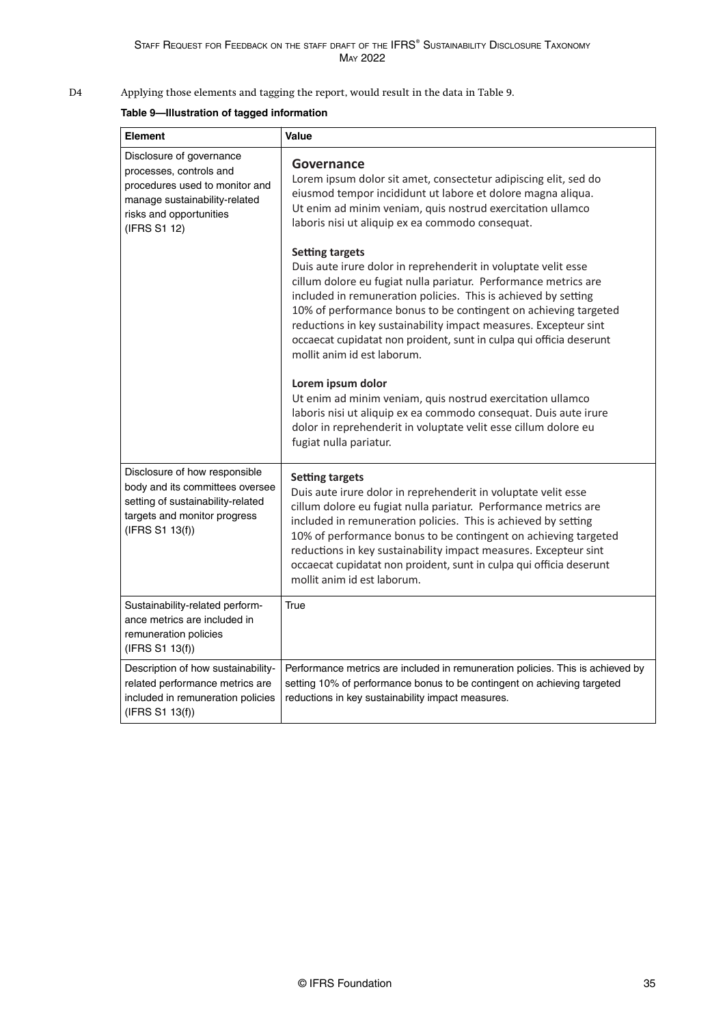Applying those elements and tagging the report, would result in the data in Table 9. D4

### **Table 9—Illustration of tagged information**

| Element                                                                                                                                                           | Value                                                                                                                                                                                                                                                                                                                                                                                                                                                                      |
|-------------------------------------------------------------------------------------------------------------------------------------------------------------------|----------------------------------------------------------------------------------------------------------------------------------------------------------------------------------------------------------------------------------------------------------------------------------------------------------------------------------------------------------------------------------------------------------------------------------------------------------------------------|
| Disclosure of governance<br>processes, controls and<br>procedures used to monitor and<br>manage sustainability-related<br>risks and opportunities<br>(IFRS S1 12) | Governance<br>Lorem ipsum dolor sit amet, consectetur adipiscing elit, sed do<br>eiusmod tempor incididunt ut labore et dolore magna aliqua.<br>Ut enim ad minim veniam, quis nostrud exercitation ullamco<br>laboris nisi ut aliquip ex ea commodo consequat.                                                                                                                                                                                                             |
|                                                                                                                                                                   | <b>Setting targets</b><br>Duis aute irure dolor in reprehenderit in voluptate velit esse<br>cillum dolore eu fugiat nulla pariatur. Performance metrics are<br>included in remuneration policies. This is achieved by setting<br>10% of performance bonus to be contingent on achieving targeted<br>reductions in key sustainability impact measures. Excepteur sint<br>occaecat cupidatat non proident, sunt in culpa qui officia deserunt<br>mollit anim id est laborum. |
|                                                                                                                                                                   | Lorem ipsum dolor<br>Ut enim ad minim veniam, quis nostrud exercitation ullamco<br>laboris nisi ut aliquip ex ea commodo consequat. Duis aute irure<br>dolor in reprehenderit in voluptate velit esse cillum dolore eu<br>fugiat nulla pariatur.                                                                                                                                                                                                                           |
| Disclosure of how responsible<br>body and its committees oversee<br>setting of sustainability-related<br>targets and monitor progress<br>(IFRS S1 13(f))          | <b>Setting targets</b><br>Duis aute irure dolor in reprehenderit in voluptate velit esse<br>cillum dolore eu fugiat nulla pariatur. Performance metrics are<br>included in remuneration policies. This is achieved by setting<br>10% of performance bonus to be contingent on achieving targeted<br>reductions in key sustainability impact measures. Excepteur sint<br>occaecat cupidatat non proident, sunt in culpa qui officia deserunt<br>mollit anim id est laborum. |
| Sustainability-related perform-<br>ance metrics are included in<br>remuneration policies<br>(IFRS S1 13(f))                                                       | True                                                                                                                                                                                                                                                                                                                                                                                                                                                                       |
| Description of how sustainability-<br>related performance metrics are<br>included in remuneration policies<br>(IFRS S1 13(f))                                     | Performance metrics are included in remuneration policies. This is achieved by<br>setting 10% of performance bonus to be contingent on achieving targeted<br>reductions in key sustainability impact measures.                                                                                                                                                                                                                                                             |
|                                                                                                                                                                   |                                                                                                                                                                                                                                                                                                                                                                                                                                                                            |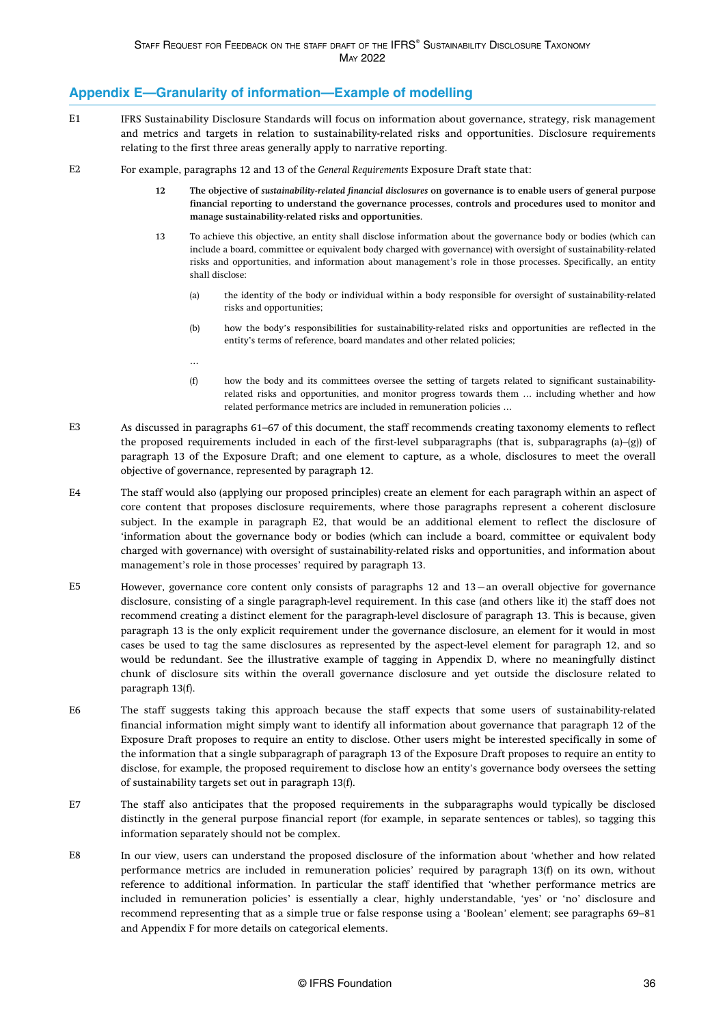### <span id="page-36-0"></span>**Appendix E—Granularity of information—Example of modelling**

- IFRS Sustainability Disclosure Standards will focus on information about governance, strategy, risk management and metrics and targets in relation to sustainability-related risks and opportunities. Disclosure requirements relating to the first three areas generally apply to narrative reporting. E1
- For example, paragraphs 12 and 13 of the *General Requirements* Exposure Draft state that:  $E2$ 
	- **12 The objective of** *sustainability-related financial disclosures* **on governance is to enable users of general purpose financial reporting to understand the governance processes, controls and procedures used to monitor and manage sustainability-related risks and opportunities.**
	- 13 To achieve this objective, an entity shall disclose information about the governance body or bodies (which can include a board, committee or equivalent body charged with governance) with oversight of sustainability-related risks and opportunities, and information about management's role in those processes. Specifically, an entity shall disclose:
		- (a) the identity of the body or individual within a body responsible for oversight of sustainability-related risks and opportunities;
		- (b) how the body's responsibilities for sustainability-related risks and opportunities are reflected in the entity's terms of reference, board mandates and other related policies;
		- …
		- (f) how the body and its committees oversee the setting of targets related to significant sustainabilityrelated risks and opportunities, and monitor progress towards them … including whether and how related performance metrics are included in remuneration policies …
- As discussed in [paragraphs 61–67 o](#page-17-0)f this document, the staff recommends creating taxonomy elements to reflect the proposed requirements included in each of the first-level subparagraphs (that is, subparagraphs (a)–(g)) of paragraph 13 of the Exposure Draft; and one element to capture, as a whole, disclosures to meet the overall objective of governance, represented by paragraph 12.  $E<sub>3</sub>$
- The staff would also (applying our proposed principles) create an element for each paragraph within an aspect of core content that proposes disclosure requirements, where those paragraphs represent a coherent disclosure subject. In the example in paragraph E2, that would be an additional element to reflect the disclosure of 'information about the governance body or bodies (which can include a board, committee or equivalent body charged with governance) with oversight of sustainability-related risks and opportunities, and information about management's role in those processes' required by paragraph 13.  $FA$
- However, governance core content only consists of paragraphs 12 and 13—an overall objective for governance disclosure, consisting of a single paragraph-level requirement. In this case (and others like it) the staff does not recommend creating a distinct element for the paragraph-level disclosure of paragraph 13. This is because, given paragraph 13 is the only explicit requirement under the governance disclosure, an element for it would in most cases be used to tag the same disclosures as represented by the aspect-level element for paragraph 12, and so would be redundant. See the illustrative example of tagging in [Appendix D,](#page-34-0) where no meaningfully distinct chunk of disclosure sits within the overall governance disclosure and yet outside the disclosure related to paragraph 13(f). E5
- The staff suggests taking this approach because the staff expects that some users of sustainability-related financial information might simply want to identify all information about governance that paragraph 12 of the Exposure Draft proposes to require an entity to disclose. Other users might be interested specifically in some of the information that a single subparagraph of paragraph 13 of the Exposure Draft proposes to require an entity to disclose, for example, the proposed requirement to disclose how an entity's governance body oversees the setting of sustainability targets set out in paragraph 13(f). E6
- The staff also anticipates that the proposed requirements in the subparagraphs would typically be disclosed distinctly in the general purpose financial report (for example, in separate sentences or tables), so tagging this information separately should not be complex. E7
- In our view, users can understand the proposed disclosure of the information about 'whether and how related performance metrics are included in remuneration policies' required by paragraph 13(f) on its own, without reference to additional information. In particular the staff identified that 'whether performance metrics are included in remuneration policies' is essentially a clear, highly understandable, 'yes' or 'no' disclosure and recommend representing that as a simple true or false response using a 'Boolean' element; see [paragraphs 69–81](#page-19-0) and [Appendix F](#page-38-0) for more details on categorical elements. E8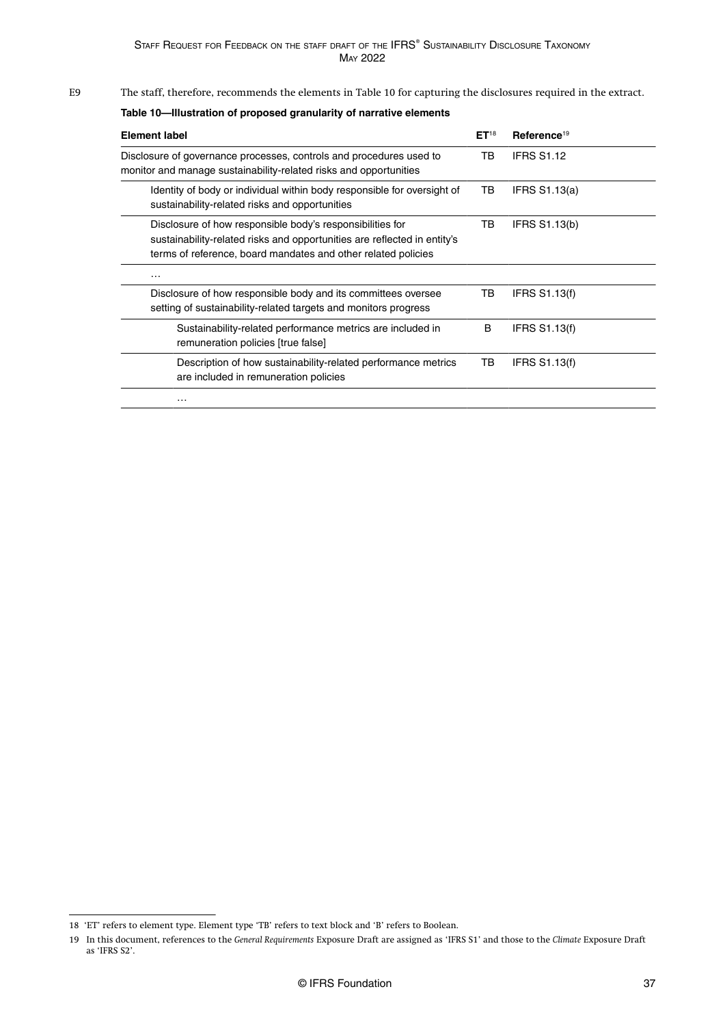#### The staff, therefore, recommends the elements in Table 10 for capturing the disclosures required in the extract. E9

### **Table 10—Illustration of proposed granularity of narrative elements**

| <b>Element label</b>                                                                                                                                                                                   | ET <sup>18</sup> | Reference <sup>19</sup> |
|--------------------------------------------------------------------------------------------------------------------------------------------------------------------------------------------------------|------------------|-------------------------|
| Disclosure of governance processes, controls and procedures used to<br>monitor and manage sustainability-related risks and opportunities                                                               | TB               | <b>IFRS S1.12</b>       |
| Identity of body or individual within body responsible for oversight of<br>sustainability-related risks and opportunities                                                                              | TB               | <b>IFRS S1.13(a)</b>    |
| Disclosure of how responsible body's responsibilities for<br>sustainability-related risks and opportunities are reflected in entity's<br>terms of reference, board mandates and other related policies | TВ               | <b>IFRS S1.13(b)</b>    |
| $\cdots$                                                                                                                                                                                               |                  |                         |
| Disclosure of how responsible body and its committees oversee<br>setting of sustainability-related targets and monitors progress                                                                       | TВ               | <b>IFRS S1.13(f)</b>    |
| Sustainability-related performance metrics are included in<br>remuneration policies [true false]                                                                                                       | B                | <b>IFRS S1.13(f)</b>    |
| Description of how sustainability-related performance metrics<br>are included in remuneration policies                                                                                                 | TB               | <b>IFRS S1.13(f)</b>    |
| .                                                                                                                                                                                                      |                  |                         |

<sup>18 &#</sup>x27;ET' refers to element type. Element type 'TB' refers to text block and 'B' refers to Boolean.

<sup>19</sup> In this document, references to the *General Requirements* Exposure Draft are assigned as 'IFRS S1' and those to the *Climate* Exposure Draft as 'IFRS S2'.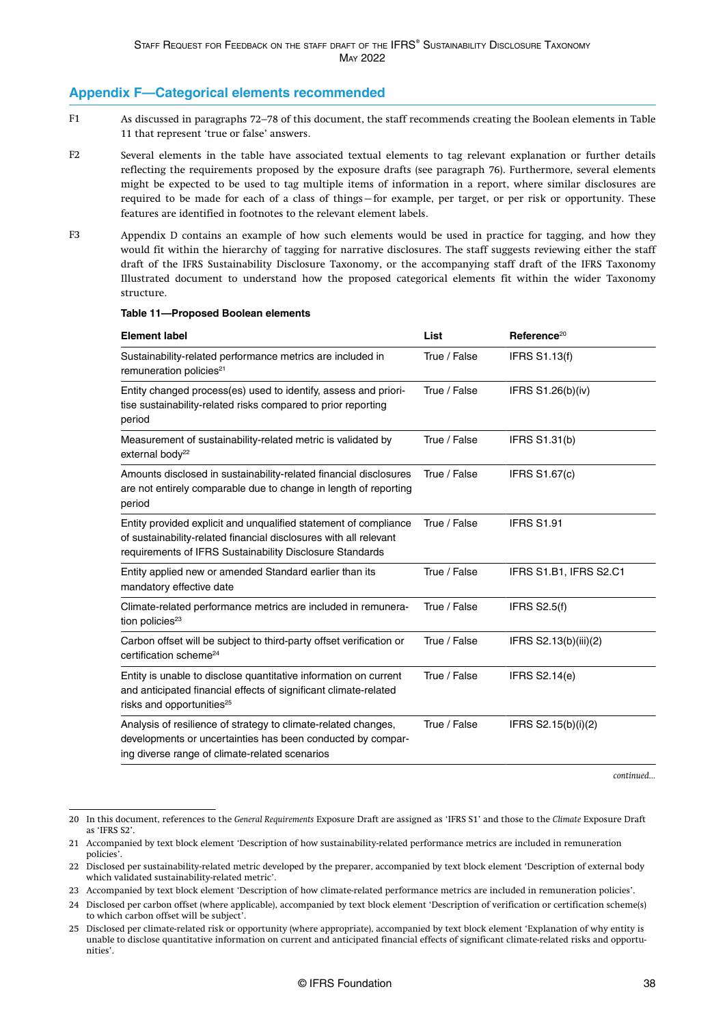### <span id="page-38-0"></span>**Appendix F—Categorical elements recommended**

- As discussed in [paragraphs 72–78](#page-19-0) of this document, the staff recommends creating the Boolean elements in Table 11 that represent 'true or false' answers. F1
- Several elements in the table have associated textual elements to tag relevant explanation or further details reflecting the requirements proposed by the exposure drafts (see [paragraph 76\)](#page-20-0). Furthermore, several elements might be expected to be used to tag multiple items of information in a report, where similar disclosures are required to be made for each of a class of things—for example, per target, or per risk or opportunity. These features are identified in footnotes to the relevant element labels. F2
- [Appendix D](#page-34-0) contains an example of how such elements would be used in practice for tagging, and how they would fit within the hierarchy of tagging for narrative disclosures. The staff suggests reviewing either the staff draft of the IFRS Sustainability Disclosure Taxonomy, or the accompanying staff draft of the IFRS Taxonomy Illustrated document to understand how the proposed categorical elements fit within the wider Taxonomy structure. F3

| <b>Element label</b>                                                                                                                                                                              | List         | Reference <sup>20</sup> |
|---------------------------------------------------------------------------------------------------------------------------------------------------------------------------------------------------|--------------|-------------------------|
| Sustainability-related performance metrics are included in<br>remuneration policies <sup>21</sup>                                                                                                 | True / False | <b>IFRS S1.13(f)</b>    |
| Entity changed process(es) used to identify, assess and priori-<br>tise sustainability-related risks compared to prior reporting<br>period                                                        | True / False | IFRS S1.26(b)(iv)       |
| Measurement of sustainability-related metric is validated by<br>external body <sup>22</sup>                                                                                                       | True / False | IFRS S1.31(b)           |
| Amounts disclosed in sustainability-related financial disclosures<br>are not entirely comparable due to change in length of reporting<br>period                                                   | True / False | <b>IFRS S1.67(c)</b>    |
| Entity provided explicit and unqualified statement of compliance<br>of sustainability-related financial disclosures with all relevant<br>requirements of IFRS Sustainability Disclosure Standards | True / False | <b>IFRS S1.91</b>       |
| Entity applied new or amended Standard earlier than its<br>mandatory effective date                                                                                                               | True / False | IFRS S1.B1, IFRS S2.C1  |
| Climate-related performance metrics are included in remunera-<br>tion policies <sup>23</sup>                                                                                                      | True / False | <b>IFRS S2.5(f)</b>     |
| Carbon offset will be subject to third-party offset verification or<br>certification scheme <sup>24</sup>                                                                                         | True / False | IFRS S2.13(b)(iii)(2)   |
| Entity is unable to disclose quantitative information on current<br>and anticipated financial effects of significant climate-related<br>risks and opportunities <sup>25</sup>                     | True / False | IFRS S2.14(e)           |
| Analysis of resilience of strategy to climate-related changes,<br>developments or uncertainties has been conducted by compar-<br>ing diverse range of climate-related scenarios                   | True / False | IFRS $S2.15(b)(i)(2)$   |

#### **Table 11—Proposed Boolean elements**

*continued...*

<sup>20</sup> In this document, references to the *General Requirements* Exposure Draft are assigned as 'IFRS S1' and those to the *Climate* Exposure Draft as 'IFRS S2'.

<sup>21</sup> Accompanied by text block element 'Description of how sustainability-related performance metrics are included in remuneration policies'.

<sup>22</sup> Disclosed per sustainability-related metric developed by the preparer, accompanied by text block element 'Description of external body which validated sustainability-related metric'.

<sup>23</sup> Accompanied by text block element 'Description of how climate-related performance metrics are included in remuneration policies'.

<sup>24</sup> Disclosed per carbon offset (where applicable), accompanied by text block element 'Description of verification or certification scheme(s) to which carbon offset will be subject'.

<sup>25</sup> Disclosed per climate-related risk or opportunity (where appropriate), accompanied by text block element 'Explanation of why entity is unable to disclose quantitative information on current and anticipated financial effects of significant climate-related risks and opportunities'.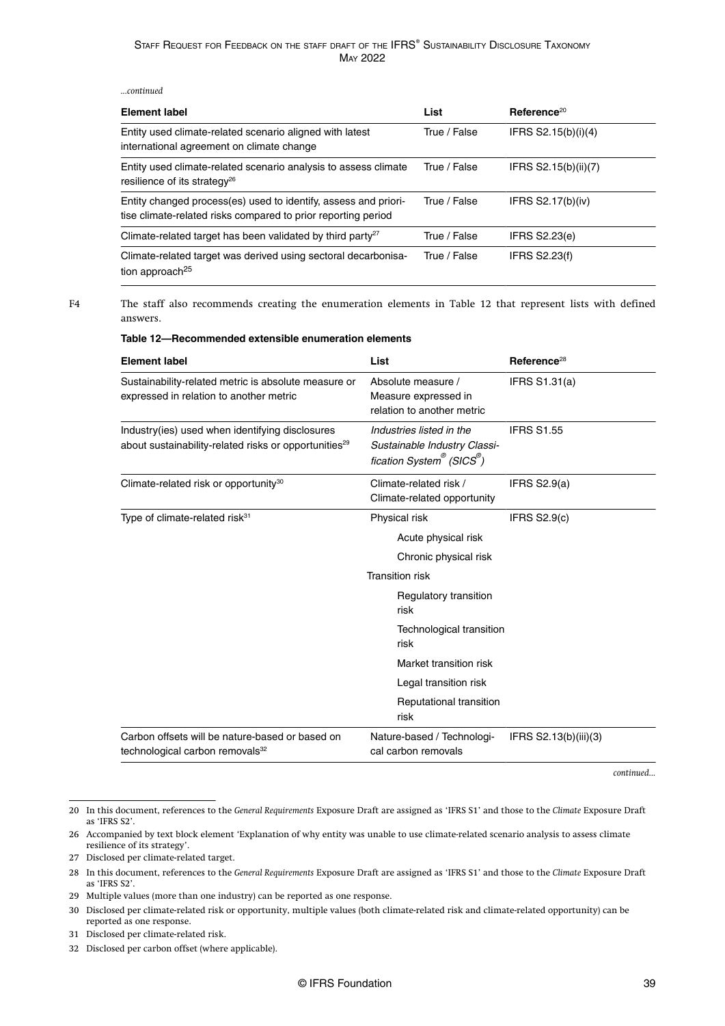#### *...continued*

F4

| <b>Element label</b>                                                                                                             | List         | Reference <sup>20</sup> |
|----------------------------------------------------------------------------------------------------------------------------------|--------------|-------------------------|
| Entity used climate-related scenario aligned with latest<br>international agreement on climate change                            | True / False | IFRS $S2.15(b)(i)(4)$   |
| Entity used climate-related scenario analysis to assess climate<br>resilience of its strategy <sup>26</sup>                      | True / False | IFRS $S2.15(b)(ii)(7)$  |
| Entity changed process(es) used to identify, assess and priori-<br>tise climate-related risks compared to prior reporting period | True / False | IFRS $S2.17(b)(iv)$     |
| Climate-related target has been validated by third party <sup>27</sup>                                                           | True / False | <b>IFRS S2.23(e)</b>    |
| Climate-related target was derived using sectoral decarbonisa-<br>tion approach <sup>25</sup>                                    | True / False | <b>IFRS S2.23(f)</b>    |

The staff also recommends creating the enumeration elements in Table 12 that represent lists with defined answers.

#### **Table 12—Recommended extensible enumeration elements**

| <b>Element label</b>                                                                                                 | List                                                                                                                                                         | Reference <sup>28</sup> |
|----------------------------------------------------------------------------------------------------------------------|--------------------------------------------------------------------------------------------------------------------------------------------------------------|-------------------------|
| Sustainability-related metric is absolute measure or<br>expressed in relation to another metric                      | Absolute measure /<br>Measure expressed in<br>relation to another metric                                                                                     | IFRS S1.31(a)           |
| Industry(ies) used when identifying disclosures<br>about sustainability-related risks or opportunities <sup>29</sup> | Industries listed in the<br>Sustainable Industry Classi-<br>fication System <sup>®</sup> (SICS <sup>®</sup> )                                                | <b>IFRS S1.55</b>       |
| Climate-related risk or opportunity <sup>30</sup>                                                                    | Climate-related risk /<br>Climate-related opportunity                                                                                                        | IFRS $S2.9(a)$          |
| Type of climate-related risk <sup>31</sup>                                                                           | Physical risk<br>Acute physical risk<br>Chronic physical risk<br><b>Transition risk</b><br>Regulatory transition<br>risk<br>Technological transition<br>risk | IFRS $S2.9(c)$          |
|                                                                                                                      | Market transition risk<br>Legal transition risk                                                                                                              |                         |
|                                                                                                                      | Reputational transition<br>risk                                                                                                                              |                         |
| Carbon offsets will be nature-based or based on<br>technological carbon removals <sup>32</sup>                       | Nature-based / Technologi-<br>cal carbon removals                                                                                                            | IFRS $S2.13(b)(iii)(3)$ |

*continued...*

<sup>20</sup> In this document, references to the *General Requirements* Exposure Draft are assigned as 'IFRS S1' and those to the *Climate* Exposure Draft as 'IFRS S2'.

<sup>26</sup> Accompanied by text block element 'Explanation of why entity was unable to use climate-related scenario analysis to assess climate resilience of its strategy'.

<sup>27</sup> Disclosed per climate-related target.

<sup>28</sup> In this document, references to the *General Requirements* Exposure Draft are assigned as 'IFRS S1' and those to the *Climate* Exposure Draft as 'IFRS S2'.

<sup>29</sup> Multiple values (more than one industry) can be reported as one response.

<sup>30</sup> Disclosed per climate-related risk or opportunity, multiple values (both climate-related risk and climate-related opportunity) can be reported as one response.

<sup>31</sup> Disclosed per climate-related risk.

<sup>32</sup> Disclosed per carbon offset (where applicable).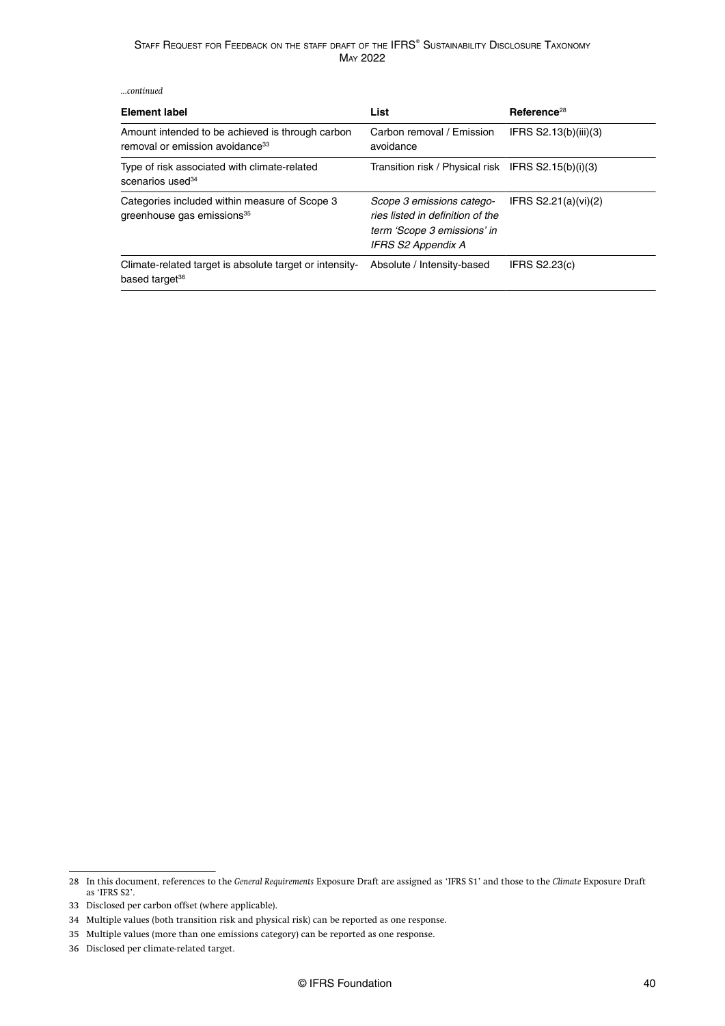*...continued*

| Element label                                                                                   | List                                                                                                               | Reference <sup>28</sup> |
|-------------------------------------------------------------------------------------------------|--------------------------------------------------------------------------------------------------------------------|-------------------------|
| Amount intended to be achieved is through carbon<br>removal or emission avoidance <sup>33</sup> | Carbon removal / Emission<br>avoidance                                                                             | IFRS S2.13(b)(iii)(3)   |
| Type of risk associated with climate-related<br>scenarios used <sup>34</sup>                    | Transition risk / Physical risk IFRS S2.15(b)(i)(3)                                                                |                         |
| Categories included within measure of Scope 3<br>greenhouse gas emissions <sup>35</sup>         | Scope 3 emissions catego-<br>ries listed in definition of the<br>term 'Scope 3 emissions' in<br>IFRS S2 Appendix A | IFRS $S2.21(a)(vi)(2)$  |
| Climate-related target is absolute target or intensity-<br>based target <sup>36</sup>           | Absolute / Intensity-based                                                                                         | <b>IFRS S2.23(c)</b>    |

<sup>28</sup> In this document, references to the *General Requirements* Exposure Draft are assigned as 'IFRS S1' and those to the *Climate* Exposure Draft as 'IFRS S2'.

<sup>33</sup> Disclosed per carbon offset (where applicable).

<sup>34</sup> Multiple values (both transition risk and physical risk) can be reported as one response.

<sup>35</sup> Multiple values (more than one emissions category) can be reported as one response.

<sup>36</sup> Disclosed per climate-related target.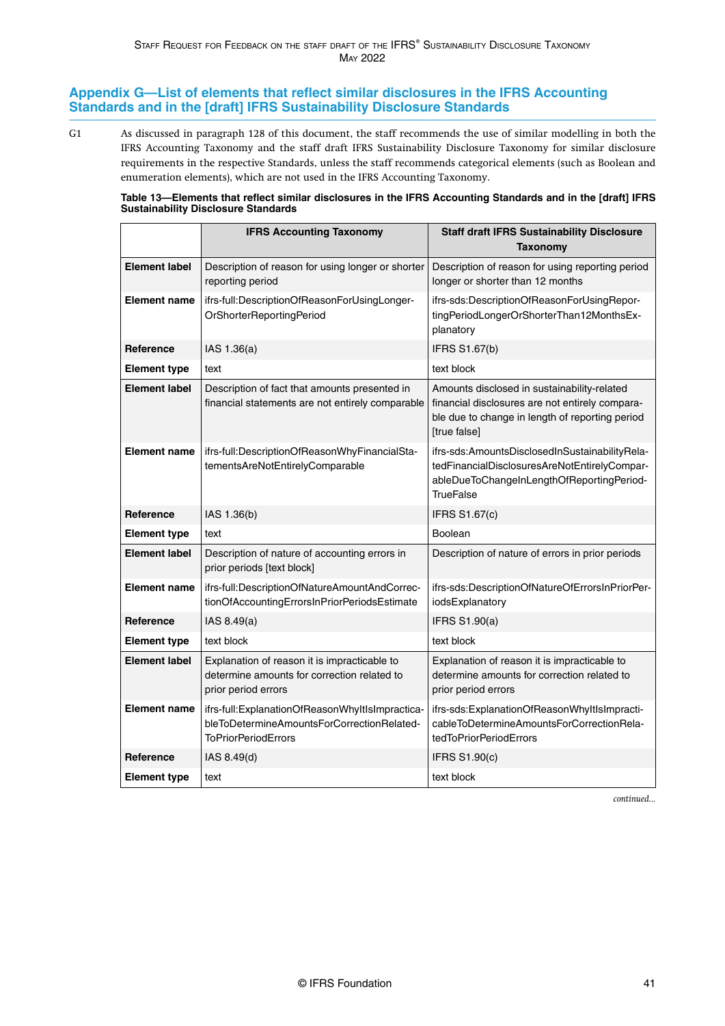### <span id="page-41-0"></span>**Appendix G—List of elements that reflect similar disclosures in the IFRS Accounting Standards and in the [draft] IFRS Sustainability Disclosure Standards**

As discussed in [paragraph 128](#page-27-0) of this document, the staff recommends the use of similar modelling in both the IFRS Accounting Taxonomy and the staff draft IFRS Sustainability Disclosure Taxonomy for similar disclosure requirements in the respective Standards, unless the staff recommends categorical elements (such as Boolean and enumeration elements), which are not used in the IFRS Accounting Taxonomy. G1

**Table 13—Elements that reflect similar disclosures in the IFRS Accounting Standards and in the [draft] IFRS Sustainability Disclosure Standards**

|                      | <b>IFRS Accounting Taxonomy</b>                                                                                             | <b>Staff draft IFRS Sustainability Disclosure</b><br>Taxonomy                                                                                                     |
|----------------------|-----------------------------------------------------------------------------------------------------------------------------|-------------------------------------------------------------------------------------------------------------------------------------------------------------------|
| <b>Element label</b> | Description of reason for using longer or shorter<br>reporting period                                                       | Description of reason for using reporting period<br>longer or shorter than 12 months                                                                              |
| <b>Element name</b>  | ifrs-full:DescriptionOfReasonForUsingLonger-<br>OrShorterReportingPeriod                                                    | ifrs-sds:DescriptionOfReasonForUsingRepor-<br>tingPeriodLongerOrShorterThan12MonthsEx-<br>planatory                                                               |
| Reference            | IAS 1.36(a)                                                                                                                 | <b>IFRS S1.67(b)</b>                                                                                                                                              |
| <b>Element type</b>  | text                                                                                                                        | text block                                                                                                                                                        |
| <b>Element label</b> | Description of fact that amounts presented in<br>financial statements are not entirely comparable                           | Amounts disclosed in sustainability-related<br>financial disclosures are not entirely compara-<br>ble due to change in length of reporting period<br>[true false] |
| <b>Element name</b>  | ifrs-full:DescriptionOfReasonWhyFinancialSta-<br>tementsAreNotEntirelyComparable                                            | ifrs-sds:AmountsDisclosedInSustainabilityRela-<br>tedFinancialDisclosuresAreNotEntirelyCompar-<br>ableDueToChangeInLengthOfReportingPeriod-<br>TrueFalse          |
| Reference            | IAS 1.36(b)                                                                                                                 | <b>IFRS S1.67(c)</b>                                                                                                                                              |
| <b>Element type</b>  | text                                                                                                                        | Boolean                                                                                                                                                           |
| <b>Element label</b> | Description of nature of accounting errors in<br>prior periods [text block]                                                 | Description of nature of errors in prior periods                                                                                                                  |
| <b>Element name</b>  | ifrs-full:DescriptionOfNatureAmountAndCorrec-<br>tionOfAccountingErrorsInPriorPeriodsEstimate                               | ifrs-sds:DescriptionOfNatureOfErrorsInPriorPer-<br>iodsExplanatory                                                                                                |
| Reference            | IAS $8.49(a)$                                                                                                               | <b>IFRS S1.90(a)</b>                                                                                                                                              |
| <b>Element type</b>  | text block                                                                                                                  | text block                                                                                                                                                        |
| <b>Element label</b> | Explanation of reason it is impracticable to<br>determine amounts for correction related to<br>prior period errors          | Explanation of reason it is impracticable to<br>determine amounts for correction related to<br>prior period errors                                                |
| <b>Element name</b>  | ifrs-full:ExplanationOfReasonWhyItIsImpractica-<br>bleToDetermineAmountsForCorrectionRelated-<br><b>ToPriorPeriodErrors</b> | ifrs-sds:ExplanationOfReasonWhyItIsImpracti-<br>cableToDetermineAmountsForCorrectionRela-<br>tedToPriorPeriodErrors                                               |
| Reference            | IAS 8.49(d)                                                                                                                 | <b>IFRS S1.90(c)</b>                                                                                                                                              |
| <b>Element type</b>  | text                                                                                                                        | text block                                                                                                                                                        |

*continued...*